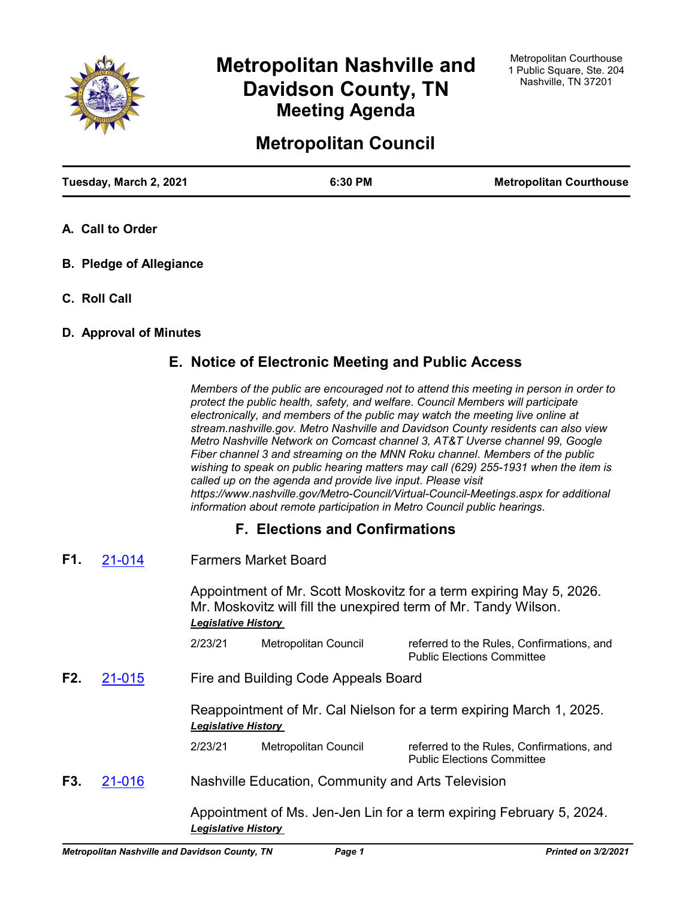

# **Metropolitan Nashville and Davidson County, TN Meeting Agenda**

# **Metropolitan Council**

| Tuesday, March 2, 2021 | 6:30 PM | <b>Metropolitan Courthouse</b> |
|------------------------|---------|--------------------------------|
|                        |         |                                |

- **A. Call to Order**
- **B. Pledge of Allegiance**
- **C. Roll Call**

## **D. Approval of Minutes**

# **E. Notice of Electronic Meeting and Public Access**

*Members of the public are encouraged not to attend this meeting in person in order to protect the public health, safety, and welfare. Council Members will participate electronically, and members of the public may watch the meeting live online at stream.nashville.gov. Metro Nashville and Davidson County residents can also view Metro Nashville Network on Comcast channel 3, AT&T Uverse channel 99, Google Fiber channel 3 and streaming on the MNN Roku channel. Members of the public wishing to speak on public hearing matters may call (629) 255-1931 when the item is called up on the agenda and provide live input. Please visit https://www.nashville.gov/Metro-Council/Virtual-Council-Meetings.aspx for additional information about remote participation in Metro Council public hearings.*

# **F. Elections and Confirmations**

Farmers Market Board **F1.** [21-014](http://nashville.legistar.com/gateway.aspx?m=l&id=/matter.aspx?key=1933)

> Appointment of Mr. Scott Moskovitz for a term expiring May 5, 2026. Mr. Moskovitz will fill the unexpired term of Mr. Tandy Wilson. *Legislative History*

2/23/21 Metropolitan Council referred to the Rules, Confirmations, and Public Elections Committee

Fire and Building Code Appeals Board **F2.** [21-015](http://nashville.legistar.com/gateway.aspx?m=l&id=/matter.aspx?key=1934)

> Reappointment of Mr. Cal Nielson for a term expiring March 1, 2025. *Legislative History*

2/23/21 Metropolitan Council referred to the Rules, Confirmations, and Public Elections Committee

Nashville Education, Community and Arts Television **F3.** [21-016](http://nashville.legistar.com/gateway.aspx?m=l&id=/matter.aspx?key=1935)

> Appointment of Ms. Jen-Jen Lin for a term expiring February 5, 2024. *Legislative History*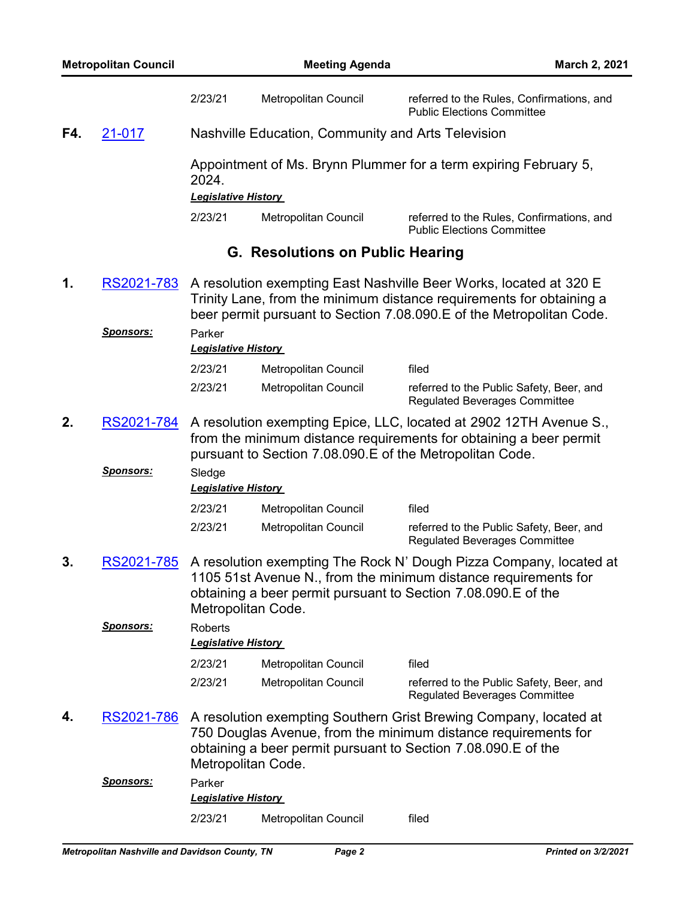|     |                  | 2/23/21                              | Metropolitan Council                               | referred to the Rules, Confirmations, and<br><b>Public Elections Committee</b>                                                                                                                                      |
|-----|------------------|--------------------------------------|----------------------------------------------------|---------------------------------------------------------------------------------------------------------------------------------------------------------------------------------------------------------------------|
| F4. | 21-017           |                                      | Nashville Education, Community and Arts Television |                                                                                                                                                                                                                     |
|     |                  | 2024.<br><b>Legislative History</b>  |                                                    | Appointment of Ms. Brynn Plummer for a term expiring February 5,                                                                                                                                                    |
|     |                  |                                      |                                                    |                                                                                                                                                                                                                     |
|     |                  | 2/23/21                              | Metropolitan Council                               | referred to the Rules, Confirmations, and<br><b>Public Elections Committee</b>                                                                                                                                      |
|     |                  |                                      | <b>G. Resolutions on Public Hearing</b>            |                                                                                                                                                                                                                     |
| 1.  | RS2021-783       |                                      |                                                    | A resolution exempting East Nashville Beer Works, located at 320 E<br>Trinity Lane, from the minimum distance requirements for obtaining a<br>beer permit pursuant to Section 7.08.090. E of the Metropolitan Code. |
|     | <b>Sponsors:</b> | Parker<br><b>Legislative History</b> |                                                    |                                                                                                                                                                                                                     |
|     |                  | 2/23/21                              | Metropolitan Council                               | filed                                                                                                                                                                                                               |
|     |                  | 2/23/21                              | Metropolitan Council                               | referred to the Public Safety, Beer, and<br><b>Regulated Beverages Committee</b>                                                                                                                                    |
| 2.  | RS2021-784       |                                      |                                                    | A resolution exempting Epice, LLC, located at 2902 12TH Avenue S.,<br>from the minimum distance requirements for obtaining a beer permit<br>pursuant to Section 7.08.090.E of the Metropolitan Code.                |
|     | <u>Sponsors:</u> | Sledge<br><b>Legislative History</b> |                                                    |                                                                                                                                                                                                                     |
|     |                  | 2/23/21                              | Metropolitan Council                               | filed                                                                                                                                                                                                               |
|     |                  | 2/23/21                              | Metropolitan Council                               | referred to the Public Safety, Beer, and<br><b>Regulated Beverages Committee</b>                                                                                                                                    |
| 3.  | RS2021-785       |                                      | Metropolitan Code.                                 | A resolution exempting The Rock N' Dough Pizza Company, located at<br>1105 51st Avenue N., from the minimum distance requirements for<br>obtaining a beer permit pursuant to Section 7.08.090. E of the             |
|     | <u>Sponsors:</u> | Roberts                              |                                                    |                                                                                                                                                                                                                     |
|     |                  | <b>Legislative History</b>           |                                                    |                                                                                                                                                                                                                     |
|     |                  | 2/23/21                              | Metropolitan Council                               | filed                                                                                                                                                                                                               |
|     |                  | 2/23/21                              | Metropolitan Council                               | referred to the Public Safety, Beer, and<br><b>Regulated Beverages Committee</b>                                                                                                                                    |
| 4.  | RS2021-786       |                                      | Metropolitan Code.                                 | A resolution exempting Southern Grist Brewing Company, located at<br>750 Douglas Avenue, from the minimum distance requirements for<br>obtaining a beer permit pursuant to Section 7.08.090. E of the               |
|     | <u>Sponsors:</u> | Parker<br><b>Legislative History</b> |                                                    |                                                                                                                                                                                                                     |
|     |                  | 2/23/21                              | Metropolitan Council                               | filed                                                                                                                                                                                                               |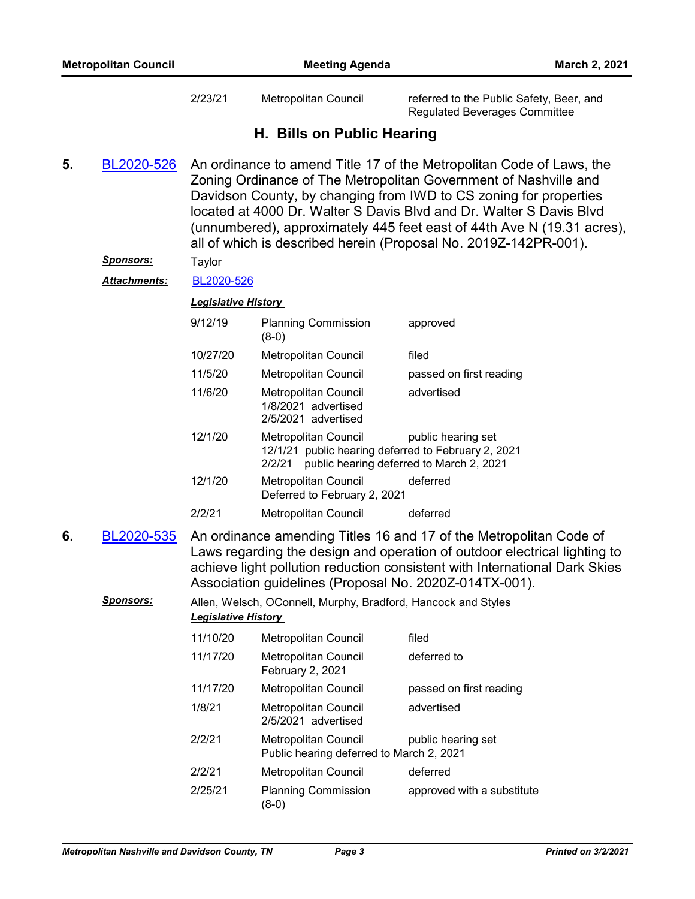2/23/21 Metropolitan Council referred to the Public Safety, Beer, and Regulated Beverages Committee

# **H. Bills on Public Hearing**

An ordinance to amend Title 17 of the Metropolitan Code of Laws, the Zoning Ordinance of The Metropolitan Government of Nashville and Davidson County, by changing from IWD to CS zoning for properties located at 4000 Dr. Walter S Davis Blvd and Dr. Walter S Davis Blvd (unnumbered), approximately 445 feet east of 44th Ave N (19.31 acres), all of which is described herein (Proposal No. 2019Z-142PR-001). **5.** [BL2020-526](http://nashville.legistar.com/gateway.aspx?m=l&id=/matter.aspx?key=1591)

*Sponsors:* Taylor

*Attachments:* [BL2020-526](http://nashville.legistar.com/gateway.aspx?M=F&ID=ff80e2f9-4b3a-4a3e-a739-40c439cb0093.pdf)

*Legislative History* 

| 9/12/19  | <b>Planning Commission</b><br>$(8-0)$                                                 | approved                                                       |
|----------|---------------------------------------------------------------------------------------|----------------------------------------------------------------|
| 10/27/20 | <b>Metropolitan Council</b>                                                           | filed                                                          |
| 11/5/20  | Metropolitan Council                                                                  | passed on first reading                                        |
| 11/6/20  | Metropolitan Council<br>1/8/2021 advertised<br>2/5/2021 advertised                    | advertised                                                     |
| 12/1/20  | Metropolitan Council<br>12/1/21 public hearing deferred to February 2, 2021<br>2/2/21 | public hearing set<br>public hearing deferred to March 2, 2021 |
| 12/1/20  | Metropolitan Council<br>Deferred to February 2, 2021                                  | deferred                                                       |
| 2/2/21   | Metropolitan Council                                                                  | deferred                                                       |

An ordinance amending Titles 16 and 17 of the Metropolitan Code of Laws regarding the design and operation of outdoor electrical lighting to achieve light pollution reduction consistent with International Dark Skies Association guidelines (Proposal No. 2020Z-014TX-001). **6.** [BL2020-535](http://nashville.legistar.com/gateway.aspx?m=l&id=/matter.aspx?key=1649)

## *Sponsors:* Allen, Welsch, OConnell, Murphy, Bradford, Hancock and Styles *Legislative History*

| 11/10/20 | <b>Metropolitan Council</b>                                             | filed                      |
|----------|-------------------------------------------------------------------------|----------------------------|
| 11/17/20 | <b>Metropolitan Council</b><br>February 2, 2021                         | deferred to                |
| 11/17/20 | Metropolitan Council                                                    | passed on first reading    |
| 1/8/21   | <b>Metropolitan Council</b><br>2/5/2021 advertised                      | advertised                 |
| 2/2/21   | <b>Metropolitan Council</b><br>Public hearing deferred to March 2, 2021 | public hearing set         |
| 2/2/21   | Metropolitan Council                                                    | deferred                   |
| 2/25/21  | <b>Planning Commission</b><br>8-0                                       | approved with a substitute |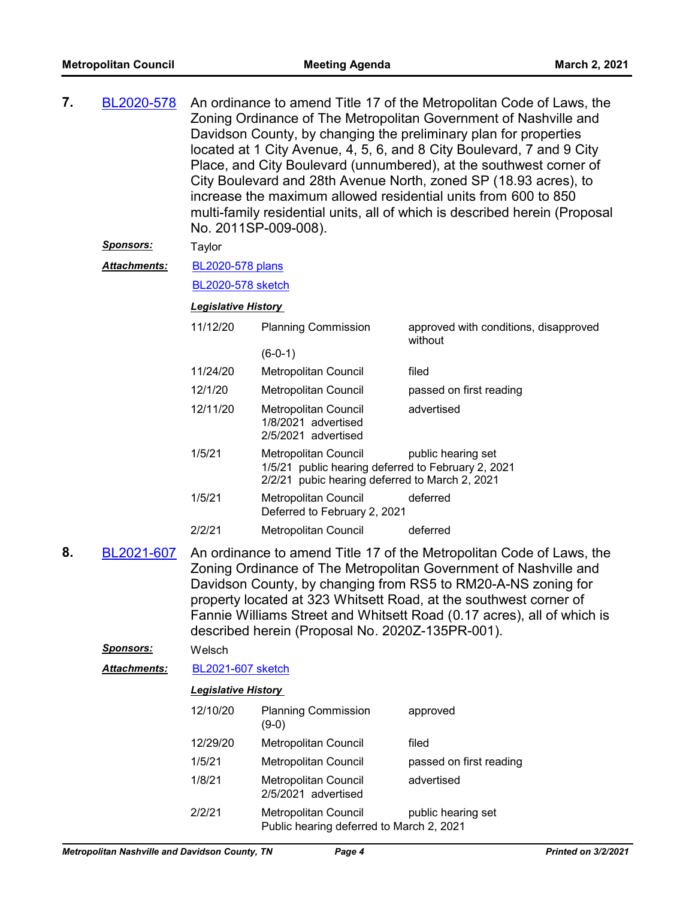| 7. | BL2020-578          | An ordinance to amend Title 17 of the Metropolitan Code of Laws, the<br>Zoning Ordinance of The Metropolitan Government of Nashville and<br>Davidson County, by changing the preliminary plan for properties<br>located at 1 City Avenue, 4, 5, 6, and 8 City Boulevard, 7 and 9 City<br>Place, and City Boulevard (unnumbered), at the southwest corner of<br>City Boulevard and 28th Avenue North, zoned SP (18.93 acres), to<br>increase the maximum allowed residential units from 600 to 850<br>multi-family residential units, all of which is described herein (Proposal<br>No. 2011SP-009-008). |                                                                                                                                                    |                                                                                                                                                                                                                                                                                                                                                          |
|----|---------------------|---------------------------------------------------------------------------------------------------------------------------------------------------------------------------------------------------------------------------------------------------------------------------------------------------------------------------------------------------------------------------------------------------------------------------------------------------------------------------------------------------------------------------------------------------------------------------------------------------------|----------------------------------------------------------------------------------------------------------------------------------------------------|----------------------------------------------------------------------------------------------------------------------------------------------------------------------------------------------------------------------------------------------------------------------------------------------------------------------------------------------------------|
|    | <u>Sponsors:</u>    | Taylor                                                                                                                                                                                                                                                                                                                                                                                                                                                                                                                                                                                                  |                                                                                                                                                    |                                                                                                                                                                                                                                                                                                                                                          |
|    | <b>Attachments:</b> | <b>BL2020-578 plans</b>                                                                                                                                                                                                                                                                                                                                                                                                                                                                                                                                                                                 |                                                                                                                                                    |                                                                                                                                                                                                                                                                                                                                                          |
|    |                     | <b>BL2020-578 sketch</b>                                                                                                                                                                                                                                                                                                                                                                                                                                                                                                                                                                                |                                                                                                                                                    |                                                                                                                                                                                                                                                                                                                                                          |
|    |                     | <b>Legislative History</b>                                                                                                                                                                                                                                                                                                                                                                                                                                                                                                                                                                              |                                                                                                                                                    |                                                                                                                                                                                                                                                                                                                                                          |
|    |                     | 11/12/20                                                                                                                                                                                                                                                                                                                                                                                                                                                                                                                                                                                                | <b>Planning Commission</b>                                                                                                                         | approved with conditions, disapproved<br>without                                                                                                                                                                                                                                                                                                         |
|    |                     |                                                                                                                                                                                                                                                                                                                                                                                                                                                                                                                                                                                                         | $(6-0-1)$                                                                                                                                          |                                                                                                                                                                                                                                                                                                                                                          |
|    |                     | 11/24/20                                                                                                                                                                                                                                                                                                                                                                                                                                                                                                                                                                                                | Metropolitan Council                                                                                                                               | filed                                                                                                                                                                                                                                                                                                                                                    |
|    |                     | 12/1/20                                                                                                                                                                                                                                                                                                                                                                                                                                                                                                                                                                                                 | Metropolitan Council                                                                                                                               | passed on first reading                                                                                                                                                                                                                                                                                                                                  |
|    |                     | 12/11/20                                                                                                                                                                                                                                                                                                                                                                                                                                                                                                                                                                                                | Metropolitan Council<br>1/8/2021 advertised<br>2/5/2021 advertised                                                                                 | advertised                                                                                                                                                                                                                                                                                                                                               |
|    |                     | 1/5/21                                                                                                                                                                                                                                                                                                                                                                                                                                                                                                                                                                                                  | Metropolitan Council<br>public hearing set<br>1/5/21 public hearing deferred to February 2, 2021<br>2/2/21 pubic hearing deferred to March 2, 2021 |                                                                                                                                                                                                                                                                                                                                                          |
|    |                     | 1/5/21                                                                                                                                                                                                                                                                                                                                                                                                                                                                                                                                                                                                  | Metropolitan Council<br>Deferred to February 2, 2021                                                                                               | deferred                                                                                                                                                                                                                                                                                                                                                 |
|    |                     | 2/2/21                                                                                                                                                                                                                                                                                                                                                                                                                                                                                                                                                                                                  | Metropolitan Council                                                                                                                               | deferred                                                                                                                                                                                                                                                                                                                                                 |
| 8. | BL2021-607          |                                                                                                                                                                                                                                                                                                                                                                                                                                                                                                                                                                                                         | described herein (Proposal No. 2020Z-135PR-001).                                                                                                   | An ordinance to amend Title 17 of the Metropolitan Code of Laws, the<br>Zoning Ordinance of The Metropolitan Government of Nashville and<br>Davidson County, by changing from RS5 to RM20-A-NS zoning for<br>property located at 323 Whitsett Road, at the southwest corner of<br>Fannie Williams Street and Whitsett Road (0.17 acres), all of which is |
|    | Sponsors:           | Welsch                                                                                                                                                                                                                                                                                                                                                                                                                                                                                                                                                                                                  |                                                                                                                                                    |                                                                                                                                                                                                                                                                                                                                                          |
|    | <b>Attachments:</b> | <b>BL2021-607 sketch</b>                                                                                                                                                                                                                                                                                                                                                                                                                                                                                                                                                                                |                                                                                                                                                    |                                                                                                                                                                                                                                                                                                                                                          |
|    |                     | <b>Legislative History</b>                                                                                                                                                                                                                                                                                                                                                                                                                                                                                                                                                                              |                                                                                                                                                    |                                                                                                                                                                                                                                                                                                                                                          |
|    |                     | 12/10/20                                                                                                                                                                                                                                                                                                                                                                                                                                                                                                                                                                                                | <b>Planning Commission</b><br>$(9-0)$                                                                                                              | approved                                                                                                                                                                                                                                                                                                                                                 |
|    |                     | 12/29/20                                                                                                                                                                                                                                                                                                                                                                                                                                                                                                                                                                                                | Metropolitan Council                                                                                                                               | filed                                                                                                                                                                                                                                                                                                                                                    |
|    |                     | 1/5/21                                                                                                                                                                                                                                                                                                                                                                                                                                                                                                                                                                                                  | Metropolitan Council                                                                                                                               | passed on first reading                                                                                                                                                                                                                                                                                                                                  |
|    |                     | 1/8/21                                                                                                                                                                                                                                                                                                                                                                                                                                                                                                                                                                                                  | Metropolitan Council<br>2/5/2021 advertised                                                                                                        | advertised                                                                                                                                                                                                                                                                                                                                               |
|    |                     | 2/2/21                                                                                                                                                                                                                                                                                                                                                                                                                                                                                                                                                                                                  | <b>Metropolitan Council</b><br>Public hearing deferred to March 2, 2021                                                                            | public hearing set                                                                                                                                                                                                                                                                                                                                       |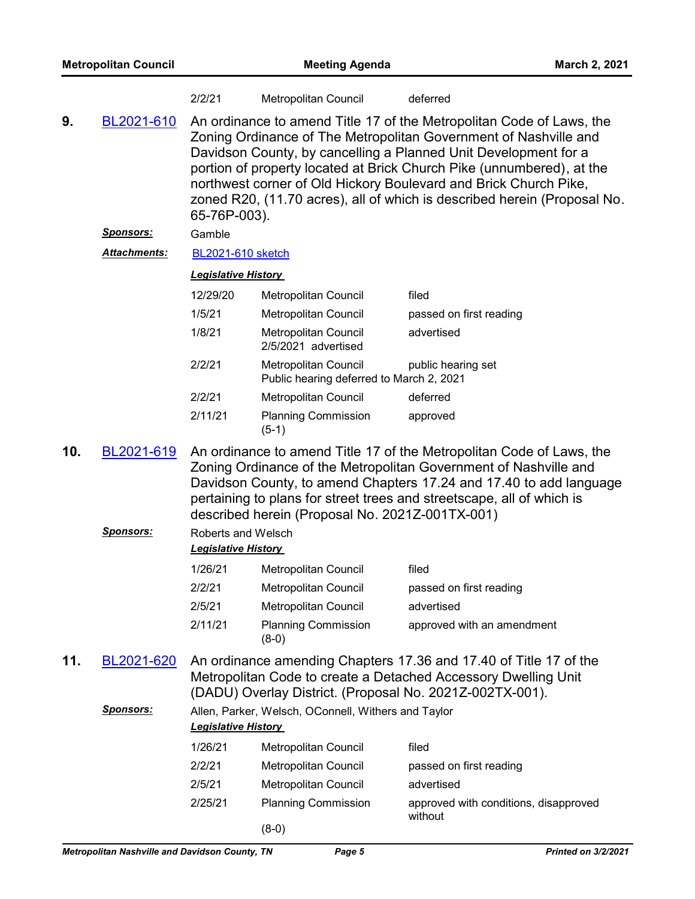| <b>Metropolitan Council</b> |                  | <b>Meeting Agenda</b>                            |                                                                                                                                                                                                                                                                                                                                                                                                                                      |                                                                                                                                                                                                                                                                                         | March 2, 2021 |  |  |
|-----------------------------|------------------|--------------------------------------------------|--------------------------------------------------------------------------------------------------------------------------------------------------------------------------------------------------------------------------------------------------------------------------------------------------------------------------------------------------------------------------------------------------------------------------------------|-----------------------------------------------------------------------------------------------------------------------------------------------------------------------------------------------------------------------------------------------------------------------------------------|---------------|--|--|
|                             |                  | 2/2/21                                           | Metropolitan Council                                                                                                                                                                                                                                                                                                                                                                                                                 | deferred                                                                                                                                                                                                                                                                                |               |  |  |
| 9.<br>BL2021-610            |                  | 65-76P-003).                                     | An ordinance to amend Title 17 of the Metropolitan Code of Laws, the<br>Zoning Ordinance of The Metropolitan Government of Nashville and<br>Davidson County, by cancelling a Planned Unit Development for a<br>portion of property located at Brick Church Pike (unnumbered), at the<br>northwest corner of Old Hickory Boulevard and Brick Church Pike,<br>zoned R20, (11.70 acres), all of which is described herein (Proposal No. |                                                                                                                                                                                                                                                                                         |               |  |  |
|                             | <b>Sponsors:</b> | Gamble                                           |                                                                                                                                                                                                                                                                                                                                                                                                                                      |                                                                                                                                                                                                                                                                                         |               |  |  |
|                             | Attachments:     | <b>BL2021-610 sketch</b>                         |                                                                                                                                                                                                                                                                                                                                                                                                                                      |                                                                                                                                                                                                                                                                                         |               |  |  |
|                             |                  | <b>Legislative History</b>                       |                                                                                                                                                                                                                                                                                                                                                                                                                                      |                                                                                                                                                                                                                                                                                         |               |  |  |
|                             |                  | 12/29/20                                         | Metropolitan Council                                                                                                                                                                                                                                                                                                                                                                                                                 | filed                                                                                                                                                                                                                                                                                   |               |  |  |
|                             |                  | 1/5/21                                           | Metropolitan Council                                                                                                                                                                                                                                                                                                                                                                                                                 | passed on first reading                                                                                                                                                                                                                                                                 |               |  |  |
|                             |                  | 1/8/21                                           | Metropolitan Council<br>2/5/2021 advertised                                                                                                                                                                                                                                                                                                                                                                                          | advertised                                                                                                                                                                                                                                                                              |               |  |  |
|                             |                  | 2/2/21                                           | Metropolitan Council<br>Public hearing deferred to March 2, 2021                                                                                                                                                                                                                                                                                                                                                                     | public hearing set                                                                                                                                                                                                                                                                      |               |  |  |
|                             |                  | 2/2/21                                           | Metropolitan Council                                                                                                                                                                                                                                                                                                                                                                                                                 | deferred                                                                                                                                                                                                                                                                                |               |  |  |
|                             |                  | 2/11/21                                          | <b>Planning Commission</b><br>$(5-1)$                                                                                                                                                                                                                                                                                                                                                                                                | approved                                                                                                                                                                                                                                                                                |               |  |  |
| 10.                         | BL2021-619       |                                                  | described herein (Proposal No. 2021Z-001TX-001)                                                                                                                                                                                                                                                                                                                                                                                      | An ordinance to amend Title 17 of the Metropolitan Code of Laws, the<br>Zoning Ordinance of the Metropolitan Government of Nashville and<br>Davidson County, to amend Chapters 17.24 and 17.40 to add language<br>pertaining to plans for street trees and streetscape, all of which is |               |  |  |
|                             | <b>Sponsors:</b> | Roberts and Welsch<br><b>Legislative History</b> |                                                                                                                                                                                                                                                                                                                                                                                                                                      |                                                                                                                                                                                                                                                                                         |               |  |  |
|                             |                  | 1/26/21                                          | Metropolitan Council                                                                                                                                                                                                                                                                                                                                                                                                                 | filed                                                                                                                                                                                                                                                                                   |               |  |  |
|                             |                  | 2/2/21                                           | Metropolitan Council                                                                                                                                                                                                                                                                                                                                                                                                                 | passed on first reading                                                                                                                                                                                                                                                                 |               |  |  |
|                             |                  | 2/5/21                                           | <b>Metropolitan Council</b>                                                                                                                                                                                                                                                                                                                                                                                                          | advertised                                                                                                                                                                                                                                                                              |               |  |  |
|                             |                  | 2/11/21                                          | <b>Planning Commission</b><br>$(8-0)$                                                                                                                                                                                                                                                                                                                                                                                                | approved with an amendment                                                                                                                                                                                                                                                              |               |  |  |
| 11.                         | BL2021-620       |                                                  |                                                                                                                                                                                                                                                                                                                                                                                                                                      | An ordinance amending Chapters 17.36 and 17.40 of Title 17 of the<br>Metropolitan Code to create a Detached Accessory Dwelling Unit<br>(DADU) Overlay District. (Proposal No. 2021Z-002TX-001).                                                                                         |               |  |  |
|                             | <b>Sponsors:</b> | <b>Legislative History</b>                       | Allen, Parker, Welsch, OConnell, Withers and Taylor                                                                                                                                                                                                                                                                                                                                                                                  |                                                                                                                                                                                                                                                                                         |               |  |  |
|                             |                  | 1/26/21                                          | Metropolitan Council                                                                                                                                                                                                                                                                                                                                                                                                                 | filed                                                                                                                                                                                                                                                                                   |               |  |  |
|                             |                  | 2/2/21                                           | Metropolitan Council                                                                                                                                                                                                                                                                                                                                                                                                                 | passed on first reading                                                                                                                                                                                                                                                                 |               |  |  |
|                             |                  | 2/5/21                                           | Metropolitan Council                                                                                                                                                                                                                                                                                                                                                                                                                 | advertised                                                                                                                                                                                                                                                                              |               |  |  |
|                             |                  | 2/25/21                                          | <b>Planning Commission</b>                                                                                                                                                                                                                                                                                                                                                                                                           | approved with conditions, disapproved<br>without                                                                                                                                                                                                                                        |               |  |  |
|                             |                  |                                                  | $(8-0)$                                                                                                                                                                                                                                                                                                                                                                                                                              |                                                                                                                                                                                                                                                                                         |               |  |  |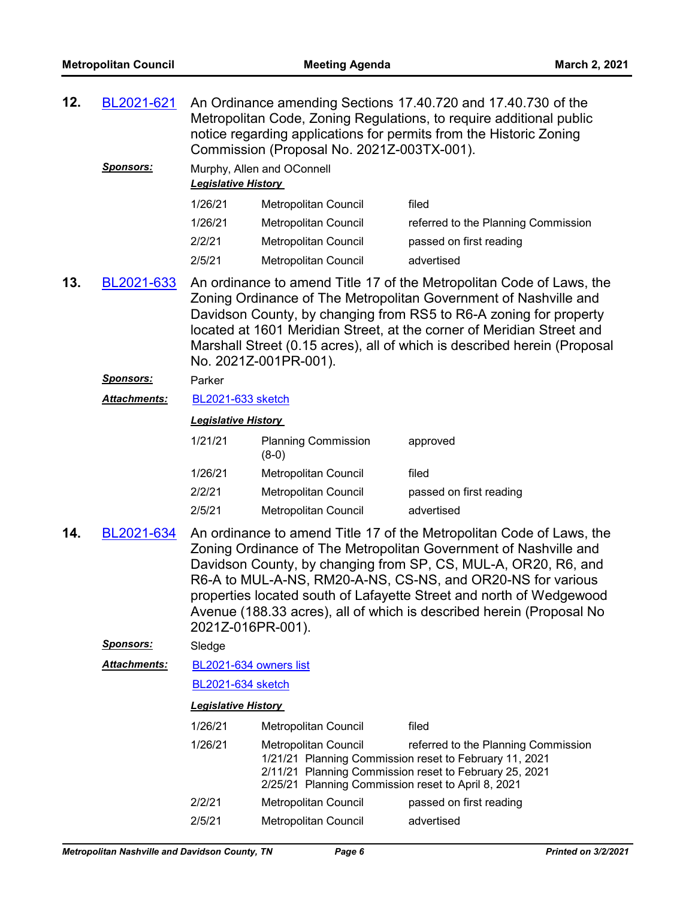| 12. | BL2021-621          | An Ordinance amending Sections 17.40.720 and 17.40.730 of the<br>Metropolitan Code, Zoning Regulations, to require additional public<br>notice regarding applications for permits from the Historic Zoning<br>Commission (Proposal No. 2021Z-003TX-001).                                                                                                                                                                                      |                                                                                   |                                                                                                                                                         |  |
|-----|---------------------|-----------------------------------------------------------------------------------------------------------------------------------------------------------------------------------------------------------------------------------------------------------------------------------------------------------------------------------------------------------------------------------------------------------------------------------------------|-----------------------------------------------------------------------------------|---------------------------------------------------------------------------------------------------------------------------------------------------------|--|
|     | <b>Sponsors:</b>    |                                                                                                                                                                                                                                                                                                                                                                                                                                               | Murphy, Allen and OConnell<br><b>Legislative History</b>                          |                                                                                                                                                         |  |
|     |                     | 1/26/21                                                                                                                                                                                                                                                                                                                                                                                                                                       | Metropolitan Council                                                              | filed                                                                                                                                                   |  |
|     |                     | 1/26/21                                                                                                                                                                                                                                                                                                                                                                                                                                       | Metropolitan Council                                                              | referred to the Planning Commission                                                                                                                     |  |
|     |                     | 2/2/21                                                                                                                                                                                                                                                                                                                                                                                                                                        | Metropolitan Council                                                              | passed on first reading                                                                                                                                 |  |
|     |                     | 2/5/21                                                                                                                                                                                                                                                                                                                                                                                                                                        | Metropolitan Council                                                              | advertised                                                                                                                                              |  |
| 13. | BL2021-633          | An ordinance to amend Title 17 of the Metropolitan Code of Laws, the<br>Zoning Ordinance of The Metropolitan Government of Nashville and<br>Davidson County, by changing from RS5 to R6-A zoning for property<br>located at 1601 Meridian Street, at the corner of Meridian Street and<br>Marshall Street (0.15 acres), all of which is described herein (Proposal<br>No. 2021Z-001PR-001).                                                   |                                                                                   |                                                                                                                                                         |  |
|     | <b>Sponsors:</b>    | Parker                                                                                                                                                                                                                                                                                                                                                                                                                                        |                                                                                   |                                                                                                                                                         |  |
|     | <b>Attachments:</b> | BL2021-633 sketch                                                                                                                                                                                                                                                                                                                                                                                                                             |                                                                                   |                                                                                                                                                         |  |
|     |                     | <b>Legislative History</b>                                                                                                                                                                                                                                                                                                                                                                                                                    |                                                                                   |                                                                                                                                                         |  |
|     |                     | 1/21/21                                                                                                                                                                                                                                                                                                                                                                                                                                       | <b>Planning Commission</b><br>$(8-0)$                                             | approved                                                                                                                                                |  |
|     |                     | 1/26/21                                                                                                                                                                                                                                                                                                                                                                                                                                       | Metropolitan Council                                                              | filed                                                                                                                                                   |  |
|     |                     | 2/2/21                                                                                                                                                                                                                                                                                                                                                                                                                                        | Metropolitan Council                                                              | passed on first reading                                                                                                                                 |  |
|     |                     | 2/5/21                                                                                                                                                                                                                                                                                                                                                                                                                                        | Metropolitan Council                                                              | advertised                                                                                                                                              |  |
| 14. | BL2021-634          | An ordinance to amend Title 17 of the Metropolitan Code of Laws, the<br>Zoning Ordinance of The Metropolitan Government of Nashville and<br>Davidson County, by changing from SP, CS, MUL-A, OR20, R6, and<br>R6-A to MUL-A-NS, RM20-A-NS, CS-NS, and OR20-NS for various<br>properties located south of Lafayette Street and north of Wedgewood<br>Avenue (188.33 acres), all of which is described herein (Proposal No<br>2021Z-016PR-001). |                                                                                   |                                                                                                                                                         |  |
|     | <u>Sponsors:</u>    | Sledge                                                                                                                                                                                                                                                                                                                                                                                                                                        |                                                                                   |                                                                                                                                                         |  |
|     | <b>Attachments:</b> | BL2021-634 owners list                                                                                                                                                                                                                                                                                                                                                                                                                        |                                                                                   |                                                                                                                                                         |  |
|     |                     | <b>BL2021-634 sketch</b>                                                                                                                                                                                                                                                                                                                                                                                                                      |                                                                                   |                                                                                                                                                         |  |
|     |                     | <b>Legislative History</b>                                                                                                                                                                                                                                                                                                                                                                                                                    |                                                                                   |                                                                                                                                                         |  |
|     |                     | 1/26/21                                                                                                                                                                                                                                                                                                                                                                                                                                       | Metropolitan Council                                                              | filed                                                                                                                                                   |  |
|     |                     | 1/26/21                                                                                                                                                                                                                                                                                                                                                                                                                                       | <b>Metropolitan Council</b><br>2/25/21 Planning Commission reset to April 8, 2021 | referred to the Planning Commission<br>1/21/21 Planning Commission reset to February 11, 2021<br>2/11/21 Planning Commission reset to February 25, 2021 |  |
|     |                     | 2/2/21                                                                                                                                                                                                                                                                                                                                                                                                                                        | Metropolitan Council                                                              | passed on first reading                                                                                                                                 |  |
|     |                     | 2/5/21                                                                                                                                                                                                                                                                                                                                                                                                                                        | Metropolitan Council                                                              | advertised                                                                                                                                              |  |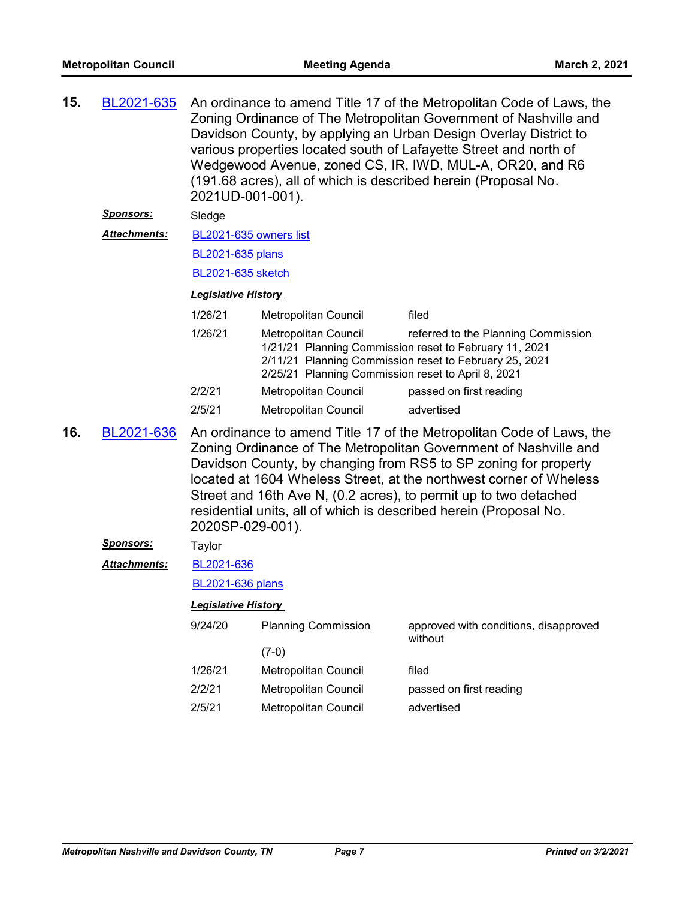| 15. | BL2021-635          | An ordinance to amend Title 17 of the Metropolitan Code of Laws, the<br>Zoning Ordinance of The Metropolitan Government of Nashville and<br>Davidson County, by applying an Urban Design Overlay District to<br>various properties located south of Lafayette Street and north of<br>Wedgewood Avenue, zoned CS, IR, IWD, MUL-A, OR20, and R6<br>(191.68 acres), all of which is described herein (Proposal No.<br>2021UD-001-001). |                             |                                                                                                                                                                                                                                                                                                                                                                                                                            |  |
|-----|---------------------|-------------------------------------------------------------------------------------------------------------------------------------------------------------------------------------------------------------------------------------------------------------------------------------------------------------------------------------------------------------------------------------------------------------------------------------|-----------------------------|----------------------------------------------------------------------------------------------------------------------------------------------------------------------------------------------------------------------------------------------------------------------------------------------------------------------------------------------------------------------------------------------------------------------------|--|
|     | <u>Sponsors:</u>    | Sledge                                                                                                                                                                                                                                                                                                                                                                                                                              |                             |                                                                                                                                                                                                                                                                                                                                                                                                                            |  |
|     | <b>Attachments:</b> | BL2021-635 owners list                                                                                                                                                                                                                                                                                                                                                                                                              |                             |                                                                                                                                                                                                                                                                                                                                                                                                                            |  |
|     |                     | <b>BL2021-635 plans</b>                                                                                                                                                                                                                                                                                                                                                                                                             |                             |                                                                                                                                                                                                                                                                                                                                                                                                                            |  |
|     |                     | BL2021-635 sketch                                                                                                                                                                                                                                                                                                                                                                                                                   |                             |                                                                                                                                                                                                                                                                                                                                                                                                                            |  |
|     |                     | Legislative History                                                                                                                                                                                                                                                                                                                                                                                                                 |                             |                                                                                                                                                                                                                                                                                                                                                                                                                            |  |
|     |                     | filed                                                                                                                                                                                                                                                                                                                                                                                                                               |                             |                                                                                                                                                                                                                                                                                                                                                                                                                            |  |
|     |                     | 1/26/21<br><b>Metropolitan Council</b><br>referred to the Planning Commission<br>1/21/21 Planning Commission reset to February 11, 2021<br>2/11/21 Planning Commission reset to February 25, 2021<br>2/25/21 Planning Commission reset to April 8, 2021                                                                                                                                                                             |                             |                                                                                                                                                                                                                                                                                                                                                                                                                            |  |
|     |                     | 2/2/21                                                                                                                                                                                                                                                                                                                                                                                                                              | <b>Metropolitan Council</b> | passed on first reading                                                                                                                                                                                                                                                                                                                                                                                                    |  |
|     |                     | 2/5/21                                                                                                                                                                                                                                                                                                                                                                                                                              | Metropolitan Council        | advertised                                                                                                                                                                                                                                                                                                                                                                                                                 |  |
| 16. | BL2021-636          | 2020SP-029-001).                                                                                                                                                                                                                                                                                                                                                                                                                    |                             | An ordinance to amend Title 17 of the Metropolitan Code of Laws, the<br>Zoning Ordinance of The Metropolitan Government of Nashville and<br>Davidson County, by changing from RS5 to SP zoning for property<br>located at 1604 Wheless Street, at the northwest corner of Wheless<br>Street and 16th Ave N, (0.2 acres), to permit up to two detached<br>residential units, all of which is described herein (Proposal No. |  |
|     | <u>Sponsors:</u>    | Taylor                                                                                                                                                                                                                                                                                                                                                                                                                              |                             |                                                                                                                                                                                                                                                                                                                                                                                                                            |  |
|     | <b>Attachments:</b> | BL2021-636                                                                                                                                                                                                                                                                                                                                                                                                                          |                             |                                                                                                                                                                                                                                                                                                                                                                                                                            |  |
|     |                     | <b>BL2021-636 plans</b>                                                                                                                                                                                                                                                                                                                                                                                                             |                             |                                                                                                                                                                                                                                                                                                                                                                                                                            |  |
|     |                     | Legislative History                                                                                                                                                                                                                                                                                                                                                                                                                 |                             |                                                                                                                                                                                                                                                                                                                                                                                                                            |  |
|     |                     | 9/24/20                                                                                                                                                                                                                                                                                                                                                                                                                             | <b>Planning Commission</b>  | approved with conditions, disapproved<br>without                                                                                                                                                                                                                                                                                                                                                                           |  |
|     |                     |                                                                                                                                                                                                                                                                                                                                                                                                                                     | $(7-0)$                     |                                                                                                                                                                                                                                                                                                                                                                                                                            |  |
|     |                     | 1/26/21                                                                                                                                                                                                                                                                                                                                                                                                                             | Metropolitan Council        | filed                                                                                                                                                                                                                                                                                                                                                                                                                      |  |
|     |                     | 2/2/21                                                                                                                                                                                                                                                                                                                                                                                                                              | Metropolitan Council        | passed on first reading                                                                                                                                                                                                                                                                                                                                                                                                    |  |
|     |                     | 2/5/21                                                                                                                                                                                                                                                                                                                                                                                                                              | Metropolitan Council        | advertised                                                                                                                                                                                                                                                                                                                                                                                                                 |  |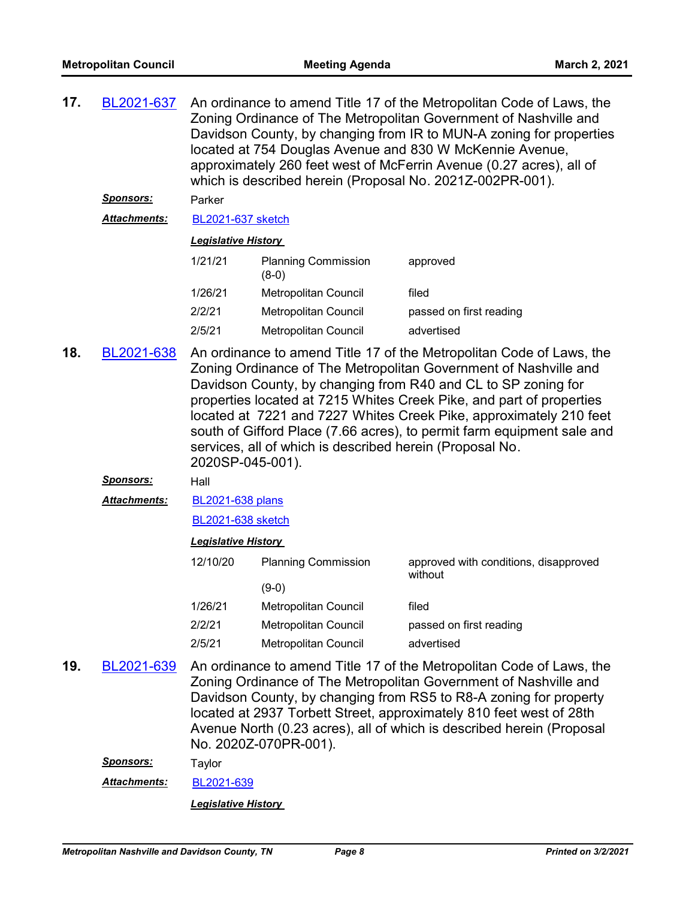| 17. | <u>BL2021-637</u><br><u>Sponsors:</u> | An ordinance to amend Title 17 of the Metropolitan Code of Laws, the<br>Zoning Ordinance of The Metropolitan Government of Nashville and<br>Davidson County, by changing from IR to MUN-A zoning for properties<br>located at 754 Douglas Avenue and 830 W McKennie Avenue,<br>approximately 260 feet west of McFerrin Avenue (0.27 acres), all of<br>which is described herein (Proposal No. 2021Z-002PR-001).<br>Parker                                                                                         |                                       |                                                                                                                                                                                                                                                                                                                                                               |  |  |
|-----|---------------------------------------|-------------------------------------------------------------------------------------------------------------------------------------------------------------------------------------------------------------------------------------------------------------------------------------------------------------------------------------------------------------------------------------------------------------------------------------------------------------------------------------------------------------------|---------------------------------------|---------------------------------------------------------------------------------------------------------------------------------------------------------------------------------------------------------------------------------------------------------------------------------------------------------------------------------------------------------------|--|--|
|     | <b>Attachments:</b>                   | BL2021-637 sketch                                                                                                                                                                                                                                                                                                                                                                                                                                                                                                 |                                       |                                                                                                                                                                                                                                                                                                                                                               |  |  |
|     |                                       | <b>Legislative History</b>                                                                                                                                                                                                                                                                                                                                                                                                                                                                                        |                                       |                                                                                                                                                                                                                                                                                                                                                               |  |  |
|     |                                       | 1/21/21<br><b>Planning Commission</b><br>approved<br>$(8-0)$                                                                                                                                                                                                                                                                                                                                                                                                                                                      |                                       |                                                                                                                                                                                                                                                                                                                                                               |  |  |
|     |                                       | 1/26/21                                                                                                                                                                                                                                                                                                                                                                                                                                                                                                           | Metropolitan Council                  | filed                                                                                                                                                                                                                                                                                                                                                         |  |  |
|     |                                       | 2/2/21                                                                                                                                                                                                                                                                                                                                                                                                                                                                                                            | Metropolitan Council                  | passed on first reading                                                                                                                                                                                                                                                                                                                                       |  |  |
|     |                                       | 2/5/21                                                                                                                                                                                                                                                                                                                                                                                                                                                                                                            | Metropolitan Council                  | advertised                                                                                                                                                                                                                                                                                                                                                    |  |  |
| 18. | BL2021-638                            | An ordinance to amend Title 17 of the Metropolitan Code of Laws, the<br>Zoning Ordinance of The Metropolitan Government of Nashville and<br>Davidson County, by changing from R40 and CL to SP zoning for<br>properties located at 7215 Whites Creek Pike, and part of properties<br>located at 7221 and 7227 Whites Creek Pike, approximately 210 feet<br>south of Gifford Place (7.66 acres), to permit farm equipment sale and<br>services, all of which is described herein (Proposal No.<br>2020SP-045-001). |                                       |                                                                                                                                                                                                                                                                                                                                                               |  |  |
|     | <u>Sponsors:</u>                      | Hall                                                                                                                                                                                                                                                                                                                                                                                                                                                                                                              |                                       |                                                                                                                                                                                                                                                                                                                                                               |  |  |
|     | <b>Attachments:</b>                   | <b>BL2021-638 plans</b>                                                                                                                                                                                                                                                                                                                                                                                                                                                                                           |                                       |                                                                                                                                                                                                                                                                                                                                                               |  |  |
|     |                                       | <b>BL2021-638 sketch</b>                                                                                                                                                                                                                                                                                                                                                                                                                                                                                          |                                       |                                                                                                                                                                                                                                                                                                                                                               |  |  |
|     |                                       | <b>Legislative History</b>                                                                                                                                                                                                                                                                                                                                                                                                                                                                                        |                                       |                                                                                                                                                                                                                                                                                                                                                               |  |  |
|     |                                       | 12/10/20                                                                                                                                                                                                                                                                                                                                                                                                                                                                                                          | <b>Planning Commission</b><br>$(9-0)$ | approved with conditions, disapproved<br>without                                                                                                                                                                                                                                                                                                              |  |  |
|     |                                       | 1/26/21                                                                                                                                                                                                                                                                                                                                                                                                                                                                                                           | <b>Metropolitan Council</b>           | filed                                                                                                                                                                                                                                                                                                                                                         |  |  |
|     |                                       | 2/2/21                                                                                                                                                                                                                                                                                                                                                                                                                                                                                                            | Metropolitan Council                  | passed on first reading                                                                                                                                                                                                                                                                                                                                       |  |  |
|     |                                       | 2/5/21                                                                                                                                                                                                                                                                                                                                                                                                                                                                                                            | Metropolitan Council                  | advertised                                                                                                                                                                                                                                                                                                                                                    |  |  |
| 19. | BL2021-639                            |                                                                                                                                                                                                                                                                                                                                                                                                                                                                                                                   | No. 2020Z-070PR-001).                 | An ordinance to amend Title 17 of the Metropolitan Code of Laws, the<br>Zoning Ordinance of The Metropolitan Government of Nashville and<br>Davidson County, by changing from RS5 to R8-A zoning for property<br>located at 2937 Torbett Street, approximately 810 feet west of 28th<br>Avenue North (0.23 acres), all of which is described herein (Proposal |  |  |

*Sponsors:* Taylor *Attachments:* [BL2021-639](http://nashville.legistar.com/gateway.aspx?M=F&ID=34b00272-0ffa-409f-8f30-da8a2a3f0053.docx)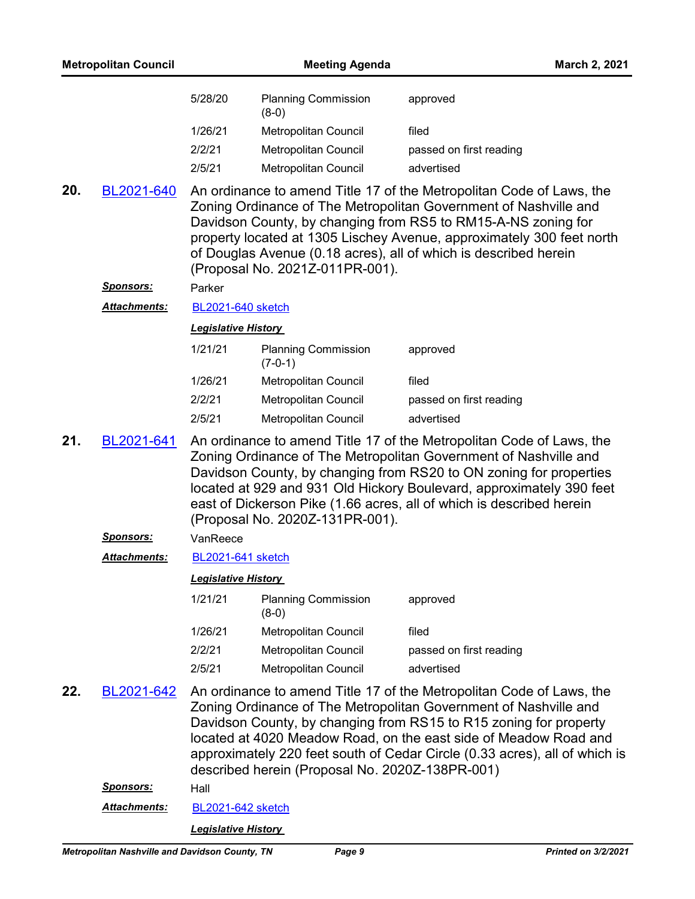| <b>Metropolitan Council</b> |                     |                            | <b>Meeting Agenda</b><br>March 2, 2021          |                                                                                                                                                                                                                                                                                                                                                                 |
|-----------------------------|---------------------|----------------------------|-------------------------------------------------|-----------------------------------------------------------------------------------------------------------------------------------------------------------------------------------------------------------------------------------------------------------------------------------------------------------------------------------------------------------------|
|                             |                     | 5/28/20                    | <b>Planning Commission</b><br>$(8-0)$           | approved                                                                                                                                                                                                                                                                                                                                                        |
|                             |                     | 1/26/21                    | Metropolitan Council                            | filed                                                                                                                                                                                                                                                                                                                                                           |
|                             |                     | 2/2/21                     | Metropolitan Council                            | passed on first reading                                                                                                                                                                                                                                                                                                                                         |
|                             |                     | 2/5/21                     | Metropolitan Council                            | advertised                                                                                                                                                                                                                                                                                                                                                      |
| 20.                         | BL2021-640          |                            | (Proposal No. 2021Z-011PR-001).                 | An ordinance to amend Title 17 of the Metropolitan Code of Laws, the<br>Zoning Ordinance of The Metropolitan Government of Nashville and<br>Davidson County, by changing from RS5 to RM15-A-NS zoning for<br>property located at 1305 Lischey Avenue, approximately 300 feet north<br>of Douglas Avenue (0.18 acres), all of which is described herein          |
|                             | <u>Sponsors:</u>    | Parker                     |                                                 |                                                                                                                                                                                                                                                                                                                                                                 |
|                             | <b>Attachments:</b> | <b>BL2021-640 sketch</b>   |                                                 |                                                                                                                                                                                                                                                                                                                                                                 |
|                             |                     | <b>Legislative History</b> |                                                 |                                                                                                                                                                                                                                                                                                                                                                 |
|                             |                     | 1/21/21                    | <b>Planning Commission</b><br>$(7-0-1)$         | approved                                                                                                                                                                                                                                                                                                                                                        |
|                             |                     | 1/26/21                    | Metropolitan Council                            | filed                                                                                                                                                                                                                                                                                                                                                           |
|                             |                     | 2/2/21                     | Metropolitan Council                            | passed on first reading                                                                                                                                                                                                                                                                                                                                         |
|                             |                     | 2/5/21                     | Metropolitan Council                            | advertised                                                                                                                                                                                                                                                                                                                                                      |
| 21.                         | BL2021-641          |                            | (Proposal No. 2020Z-131PR-001).                 | An ordinance to amend Title 17 of the Metropolitan Code of Laws, the<br>Zoning Ordinance of The Metropolitan Government of Nashville and<br>Davidson County, by changing from RS20 to ON zoning for properties<br>located at 929 and 931 Old Hickory Boulevard, approximately 390 feet<br>east of Dickerson Pike (1.66 acres, all of which is described herein  |
|                             | <u>Sponsors:</u>    | VanReece                   |                                                 |                                                                                                                                                                                                                                                                                                                                                                 |
|                             | <b>Attachments:</b> | <b>BL2021-641 sketch</b>   |                                                 |                                                                                                                                                                                                                                                                                                                                                                 |
|                             |                     | <b>Legislative History</b> |                                                 |                                                                                                                                                                                                                                                                                                                                                                 |
|                             |                     | 1/21/21                    | <b>Planning Commission</b><br>$(8-0)$           | approved                                                                                                                                                                                                                                                                                                                                                        |
|                             |                     | 1/26/21                    | Metropolitan Council                            | filed                                                                                                                                                                                                                                                                                                                                                           |
|                             |                     | 2/2/21                     | Metropolitan Council                            | passed on first reading                                                                                                                                                                                                                                                                                                                                         |
|                             |                     | 2/5/21                     | <b>Metropolitan Council</b>                     | advertised                                                                                                                                                                                                                                                                                                                                                      |
| 22.                         | BL2021-642          |                            | described herein (Proposal No. 2020Z-138PR-001) | An ordinance to amend Title 17 of the Metropolitan Code of Laws, the<br>Zoning Ordinance of The Metropolitan Government of Nashville and<br>Davidson County, by changing from RS15 to R15 zoning for property<br>located at 4020 Meadow Road, on the east side of Meadow Road and<br>approximately 220 feet south of Cedar Circle (0.33 acres), all of which is |
|                             | <b>Sponsors:</b>    | Hall                       |                                                 |                                                                                                                                                                                                                                                                                                                                                                 |
|                             | Attachments:        | <b>BL2021-642 sketch</b>   |                                                 |                                                                                                                                                                                                                                                                                                                                                                 |
|                             |                     | <b>Legislative History</b> |                                                 |                                                                                                                                                                                                                                                                                                                                                                 |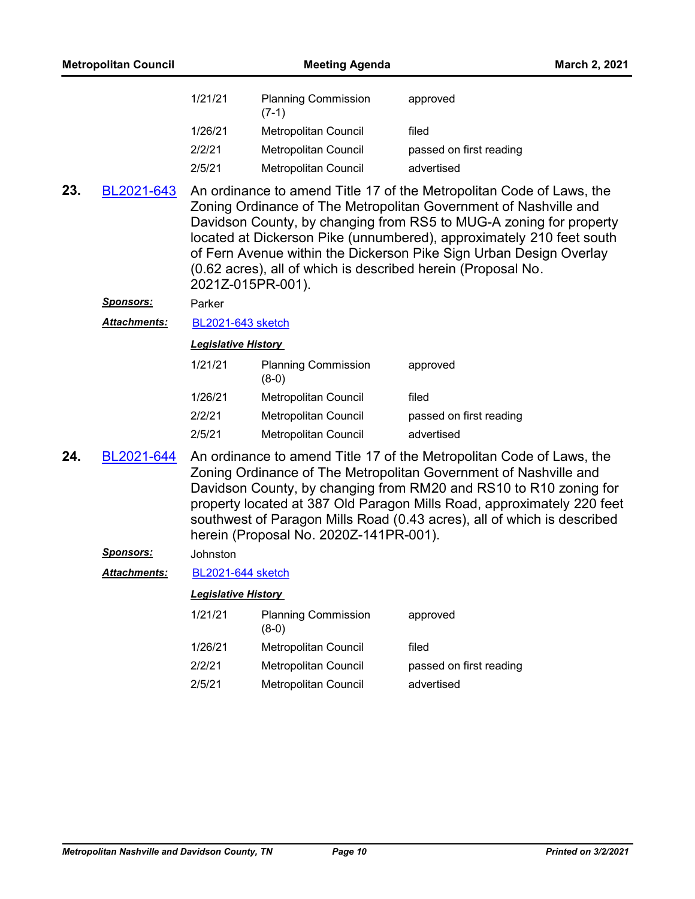| <b>Metropolitan Council</b> |                     |                            | <b>Meeting Agenda</b><br>March 2, 2021 |                                                                                                                                                                                                                                                                                                                                                                                                                              |
|-----------------------------|---------------------|----------------------------|----------------------------------------|------------------------------------------------------------------------------------------------------------------------------------------------------------------------------------------------------------------------------------------------------------------------------------------------------------------------------------------------------------------------------------------------------------------------------|
|                             |                     | 1/21/21                    | <b>Planning Commission</b><br>$(7-1)$  | approved                                                                                                                                                                                                                                                                                                                                                                                                                     |
|                             |                     | 1/26/21                    | Metropolitan Council                   | filed                                                                                                                                                                                                                                                                                                                                                                                                                        |
|                             |                     | 2/2/21                     | Metropolitan Council                   | passed on first reading                                                                                                                                                                                                                                                                                                                                                                                                      |
|                             |                     | 2/5/21                     | <b>Metropolitan Council</b>            | advertised                                                                                                                                                                                                                                                                                                                                                                                                                   |
| 23.                         | BL2021-643          |                            | 2021Z-015PR-001).                      | An ordinance to amend Title 17 of the Metropolitan Code of Laws, the<br>Zoning Ordinance of The Metropolitan Government of Nashville and<br>Davidson County, by changing from RS5 to MUG-A zoning for property<br>located at Dickerson Pike (unnumbered), approximately 210 feet south<br>of Fern Avenue within the Dickerson Pike Sign Urban Design Overlay<br>(0.62 acres), all of which is described herein (Proposal No. |
|                             | <u>Sponsors:</u>    | Parker                     |                                        |                                                                                                                                                                                                                                                                                                                                                                                                                              |
|                             | Attachments:        | <b>BL2021-643 sketch</b>   |                                        |                                                                                                                                                                                                                                                                                                                                                                                                                              |
| <b>Legislative History</b>  |                     |                            |                                        |                                                                                                                                                                                                                                                                                                                                                                                                                              |
|                             |                     | 1/21/21                    | <b>Planning Commission</b><br>$(8-0)$  | approved                                                                                                                                                                                                                                                                                                                                                                                                                     |
|                             |                     | 1/26/21                    | Metropolitan Council                   | filed                                                                                                                                                                                                                                                                                                                                                                                                                        |
|                             |                     | 2/2/21                     | Metropolitan Council                   | passed on first reading                                                                                                                                                                                                                                                                                                                                                                                                      |
|                             |                     | 2/5/21                     | Metropolitan Council                   | advertised                                                                                                                                                                                                                                                                                                                                                                                                                   |
| 24.                         | BL2021-644          |                            | herein (Proposal No. 2020Z-141PR-001). | An ordinance to amend Title 17 of the Metropolitan Code of Laws, the<br>Zoning Ordinance of The Metropolitan Government of Nashville and<br>Davidson County, by changing from RM20 and RS10 to R10 zoning for<br>property located at 387 Old Paragon Mills Road, approximately 220 feet<br>southwest of Paragon Mills Road (0.43 acres), all of which is described                                                           |
|                             | Sponsors:           | Johnston                   |                                        |                                                                                                                                                                                                                                                                                                                                                                                                                              |
|                             | <b>Attachments:</b> | <b>BL2021-644 sketch</b>   |                                        |                                                                                                                                                                                                                                                                                                                                                                                                                              |
|                             |                     | <b>Legislative History</b> |                                        |                                                                                                                                                                                                                                                                                                                                                                                                                              |
|                             |                     | 1/21/21                    | <b>Planning Commission</b><br>$(8-0)$  | approved                                                                                                                                                                                                                                                                                                                                                                                                                     |
|                             |                     | 1/26/21                    | Metropolitan Council                   | filed                                                                                                                                                                                                                                                                                                                                                                                                                        |
|                             |                     | 2/2/21                     | Metropolitan Council                   | passed on first reading                                                                                                                                                                                                                                                                                                                                                                                                      |
|                             |                     | 2/5/21                     | Metropolitan Council                   | advertised                                                                                                                                                                                                                                                                                                                                                                                                                   |
|                             |                     |                            |                                        |                                                                                                                                                                                                                                                                                                                                                                                                                              |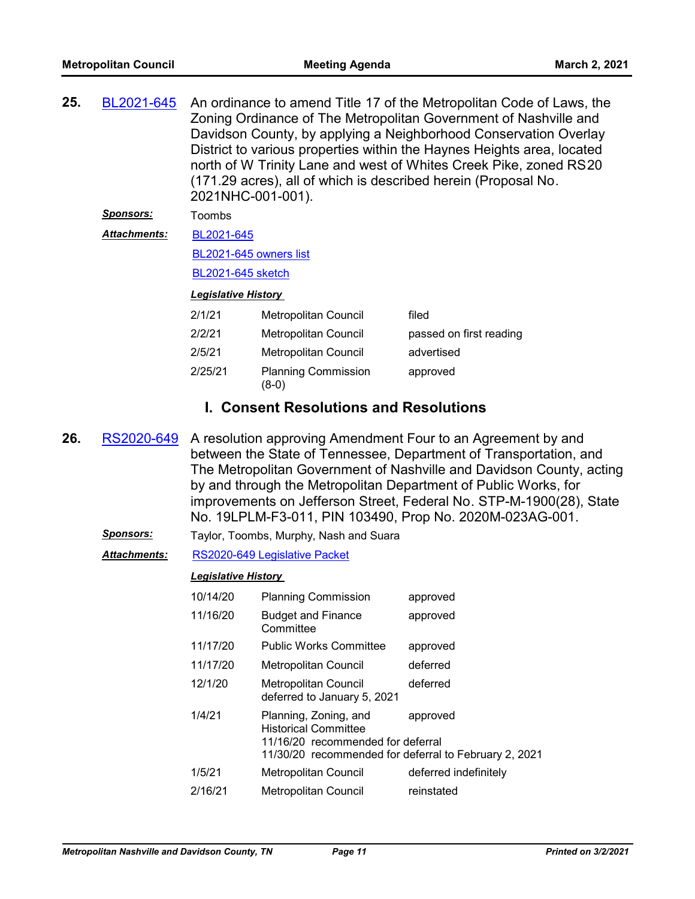| 25. | BL2021-645<br><u>Sponsors:</u><br>Attachments: | An ordinance to amend Title 17 of the Metropolitan Code of Laws, the<br>Zoning Ordinance of The Metropolitan Government of Nashville and<br>Davidson County, by applying a Neighborhood Conservation Overlay<br>District to various properties within the Haynes Heights area, located<br>north of W Trinity Lane and west of Whites Creek Pike, zoned RS20<br>(171.29 acres), all of which is described herein (Proposal No.<br>2021NHC-001-001).<br>Toombs<br>BL2021-645<br>BL2021-645 owners list<br><b>BL2021-645 sketch</b> |                                                                                                                                                    |                                                                                                                                                                                                                                                                                                                                                                                                                 |  |
|-----|------------------------------------------------|----------------------------------------------------------------------------------------------------------------------------------------------------------------------------------------------------------------------------------------------------------------------------------------------------------------------------------------------------------------------------------------------------------------------------------------------------------------------------------------------------------------------------------|----------------------------------------------------------------------------------------------------------------------------------------------------|-----------------------------------------------------------------------------------------------------------------------------------------------------------------------------------------------------------------------------------------------------------------------------------------------------------------------------------------------------------------------------------------------------------------|--|
|     |                                                | <b>Legislative History</b>                                                                                                                                                                                                                                                                                                                                                                                                                                                                                                       |                                                                                                                                                    |                                                                                                                                                                                                                                                                                                                                                                                                                 |  |
|     |                                                | 2/1/21                                                                                                                                                                                                                                                                                                                                                                                                                                                                                                                           | Metropolitan Council                                                                                                                               | filed                                                                                                                                                                                                                                                                                                                                                                                                           |  |
|     |                                                | 2/2/21                                                                                                                                                                                                                                                                                                                                                                                                                                                                                                                           | <b>Metropolitan Council</b>                                                                                                                        | passed on first reading                                                                                                                                                                                                                                                                                                                                                                                         |  |
|     |                                                | 2/5/21                                                                                                                                                                                                                                                                                                                                                                                                                                                                                                                           | Metropolitan Council                                                                                                                               | advertised                                                                                                                                                                                                                                                                                                                                                                                                      |  |
|     |                                                | 2/25/21                                                                                                                                                                                                                                                                                                                                                                                                                                                                                                                          | <b>Planning Commission</b><br>$(8-0)$                                                                                                              | approved                                                                                                                                                                                                                                                                                                                                                                                                        |  |
|     |                                                | <b>I. Consent Resolutions and Resolutions</b>                                                                                                                                                                                                                                                                                                                                                                                                                                                                                    |                                                                                                                                                    |                                                                                                                                                                                                                                                                                                                                                                                                                 |  |
| 26. | RS2020-649                                     |                                                                                                                                                                                                                                                                                                                                                                                                                                                                                                                                  |                                                                                                                                                    | A resolution approving Amendment Four to an Agreement by and<br>between the State of Tennessee, Department of Transportation, and<br>The Metropolitan Government of Nashville and Davidson County, acting<br>by and through the Metropolitan Department of Public Works, for<br>improvements on Jefferson Street, Federal No. STP-M-1900(28), State<br>No. 19LPLM-F3-011, PIN 103490, Prop No. 2020M-023AG-001. |  |
|     | <u>Sponsors:</u>                               |                                                                                                                                                                                                                                                                                                                                                                                                                                                                                                                                  | Taylor, Toombs, Murphy, Nash and Suara                                                                                                             |                                                                                                                                                                                                                                                                                                                                                                                                                 |  |
|     | <b>Attachments:</b>                            |                                                                                                                                                                                                                                                                                                                                                                                                                                                                                                                                  | RS2020-649 Legislative Packet                                                                                                                      |                                                                                                                                                                                                                                                                                                                                                                                                                 |  |
|     |                                                | <b>Legislative History</b>                                                                                                                                                                                                                                                                                                                                                                                                                                                                                                       |                                                                                                                                                    |                                                                                                                                                                                                                                                                                                                                                                                                                 |  |
|     |                                                |                                                                                                                                                                                                                                                                                                                                                                                                                                                                                                                                  | 10/14/20 Planning Commission                                                                                                                       | approved                                                                                                                                                                                                                                                                                                                                                                                                        |  |
|     |                                                | 11/16/20                                                                                                                                                                                                                                                                                                                                                                                                                                                                                                                         | <b>Budget and Finance</b><br>Committee                                                                                                             | approved                                                                                                                                                                                                                                                                                                                                                                                                        |  |
|     |                                                | 11/17/20                                                                                                                                                                                                                                                                                                                                                                                                                                                                                                                         | <b>Public Works Committee</b>                                                                                                                      | approved                                                                                                                                                                                                                                                                                                                                                                                                        |  |
|     |                                                | 11/17/20                                                                                                                                                                                                                                                                                                                                                                                                                                                                                                                         | Metropolitan Council                                                                                                                               | deferred                                                                                                                                                                                                                                                                                                                                                                                                        |  |
|     |                                                | 12/1/20                                                                                                                                                                                                                                                                                                                                                                                                                                                                                                                          | Metropolitan Council<br>deferred to January 5, 2021                                                                                                | deferred                                                                                                                                                                                                                                                                                                                                                                                                        |  |
|     |                                                | 1/4/21                                                                                                                                                                                                                                                                                                                                                                                                                                                                                                                           | Planning, Zoning, and<br><b>Historical Committee</b><br>11/16/20 recommended for deferral<br>11/30/20 recommended for deferral to February 2, 2021 | approved                                                                                                                                                                                                                                                                                                                                                                                                        |  |
|     |                                                | 1/5/21                                                                                                                                                                                                                                                                                                                                                                                                                                                                                                                           | Metropolitan Council                                                                                                                               | deferred indefinitely                                                                                                                                                                                                                                                                                                                                                                                           |  |
|     |                                                | 2/16/21                                                                                                                                                                                                                                                                                                                                                                                                                                                                                                                          | Metropolitan Council                                                                                                                               | reinstated                                                                                                                                                                                                                                                                                                                                                                                                      |  |
|     |                                                |                                                                                                                                                                                                                                                                                                                                                                                                                                                                                                                                  |                                                                                                                                                    |                                                                                                                                                                                                                                                                                                                                                                                                                 |  |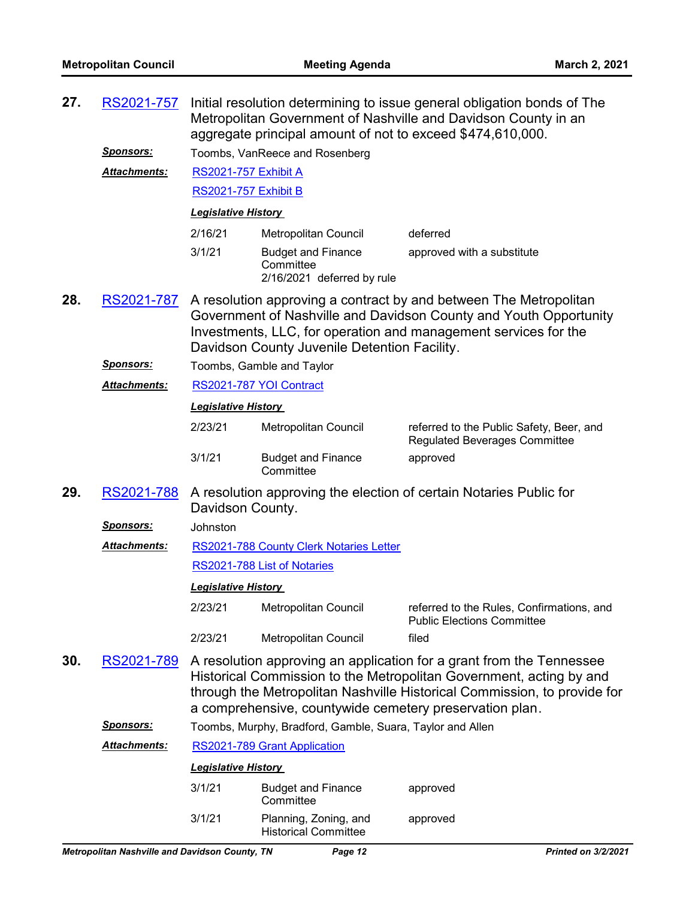| 27.                                                                                                                                                                                                                                                                                                     | RS2021-757                           | Initial resolution determining to issue general obligation bonds of The<br>Metropolitan Government of Nashville and Davidson County in an<br>aggregate principal amount of not to exceed \$474,610,000. |                                                                      |                                                                                  |  |
|---------------------------------------------------------------------------------------------------------------------------------------------------------------------------------------------------------------------------------------------------------------------------------------------------------|--------------------------------------|---------------------------------------------------------------------------------------------------------------------------------------------------------------------------------------------------------|----------------------------------------------------------------------|----------------------------------------------------------------------------------|--|
|                                                                                                                                                                                                                                                                                                         | <b>Sponsors:</b>                     |                                                                                                                                                                                                         | Toombs, VanReece and Rosenberg                                       |                                                                                  |  |
|                                                                                                                                                                                                                                                                                                         | Attachments:<br>RS2021-757 Exhibit A |                                                                                                                                                                                                         |                                                                      |                                                                                  |  |
|                                                                                                                                                                                                                                                                                                         |                                      |                                                                                                                                                                                                         | RS2021-757 Exhibit B                                                 |                                                                                  |  |
|                                                                                                                                                                                                                                                                                                         |                                      | <b>Legislative History</b>                                                                                                                                                                              |                                                                      |                                                                                  |  |
|                                                                                                                                                                                                                                                                                                         |                                      | 2/16/21                                                                                                                                                                                                 | Metropolitan Council                                                 | deferred                                                                         |  |
|                                                                                                                                                                                                                                                                                                         |                                      | 3/1/21                                                                                                                                                                                                  | <b>Budget and Finance</b><br>Committee<br>2/16/2021 deferred by rule | approved with a substitute                                                       |  |
| 28.<br>A resolution approving a contract by and between The Metropolitan<br>RS2021-787<br>Government of Nashville and Davidson County and Youth Opportunity<br>Investments, LLC, for operation and management services for the<br>Davidson County Juvenile Detention Facility.                          |                                      |                                                                                                                                                                                                         |                                                                      |                                                                                  |  |
|                                                                                                                                                                                                                                                                                                         | <b>Sponsors:</b>                     |                                                                                                                                                                                                         | Toombs, Gamble and Taylor                                            |                                                                                  |  |
|                                                                                                                                                                                                                                                                                                         | Attachments:                         |                                                                                                                                                                                                         | RS2021-787 YOI Contract                                              |                                                                                  |  |
|                                                                                                                                                                                                                                                                                                         |                                      | <b>Legislative History</b>                                                                                                                                                                              |                                                                      |                                                                                  |  |
|                                                                                                                                                                                                                                                                                                         |                                      | 2/23/21                                                                                                                                                                                                 | Metropolitan Council                                                 | referred to the Public Safety, Beer, and<br><b>Regulated Beverages Committee</b> |  |
|                                                                                                                                                                                                                                                                                                         |                                      | 3/1/21                                                                                                                                                                                                  | <b>Budget and Finance</b><br>Committee                               | approved                                                                         |  |
| 29.<br>A resolution approving the election of certain Notaries Public for<br>RS2021-788<br>Davidson County.                                                                                                                                                                                             |                                      |                                                                                                                                                                                                         |                                                                      |                                                                                  |  |
|                                                                                                                                                                                                                                                                                                         | <u>Sponsors:</u>                     | Johnston                                                                                                                                                                                                |                                                                      |                                                                                  |  |
|                                                                                                                                                                                                                                                                                                         | Attachments:                         |                                                                                                                                                                                                         | RS2021-788 County Clerk Notaries Letter                              |                                                                                  |  |
|                                                                                                                                                                                                                                                                                                         |                                      |                                                                                                                                                                                                         | RS2021-788 List of Notaries                                          |                                                                                  |  |
|                                                                                                                                                                                                                                                                                                         |                                      | <b>Legislative History</b>                                                                                                                                                                              |                                                                      |                                                                                  |  |
|                                                                                                                                                                                                                                                                                                         |                                      | 2/23/21                                                                                                                                                                                                 | Metropolitan Council                                                 | referred to the Rules, Confirmations, and<br><b>Public Elections Committee</b>   |  |
|                                                                                                                                                                                                                                                                                                         |                                      | 2/23/21                                                                                                                                                                                                 | Metropolitan Council                                                 | filed                                                                            |  |
| 30.<br>A resolution approving an application for a grant from the Tennessee<br>RS2021-789<br>Historical Commission to the Metropolitan Government, acting by and<br>through the Metropolitan Nashville Historical Commission, to provide for<br>a comprehensive, countywide cemetery preservation plan. |                                      |                                                                                                                                                                                                         |                                                                      |                                                                                  |  |
|                                                                                                                                                                                                                                                                                                         | <b>Sponsors:</b>                     |                                                                                                                                                                                                         | Toombs, Murphy, Bradford, Gamble, Suara, Taylor and Allen            |                                                                                  |  |
|                                                                                                                                                                                                                                                                                                         | Attachments:                         |                                                                                                                                                                                                         | RS2021-789 Grant Application                                         |                                                                                  |  |
|                                                                                                                                                                                                                                                                                                         |                                      | <b>Legislative History</b>                                                                                                                                                                              |                                                                      |                                                                                  |  |
|                                                                                                                                                                                                                                                                                                         |                                      | 3/1/21                                                                                                                                                                                                  | <b>Budget and Finance</b><br>Committee                               | approved                                                                         |  |
|                                                                                                                                                                                                                                                                                                         |                                      | 3/1/21                                                                                                                                                                                                  | Planning, Zoning, and<br><b>Historical Committee</b>                 | approved                                                                         |  |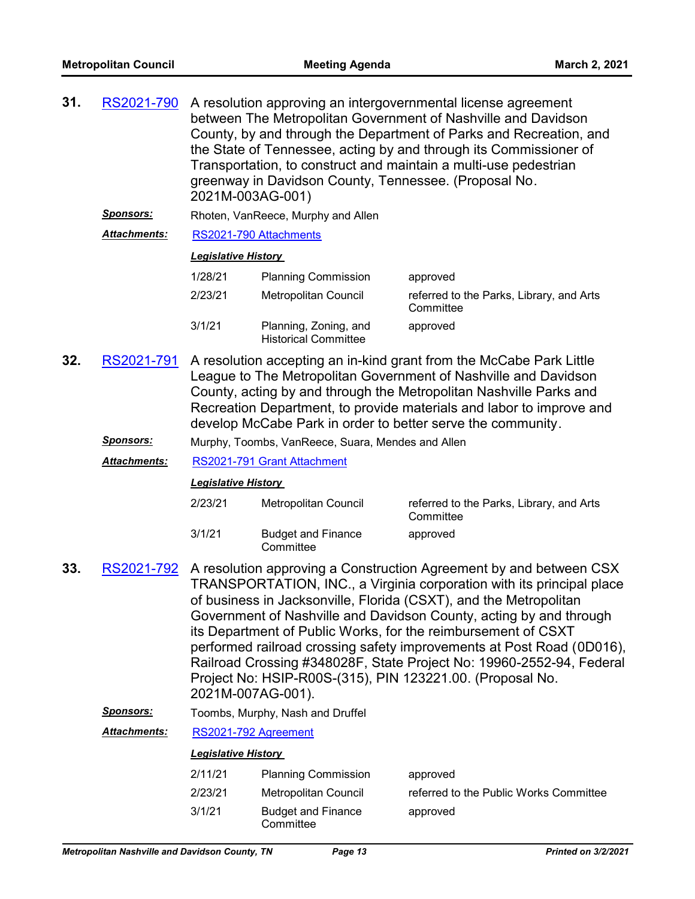| 31. | RS2021-790          | A resolution approving an intergovernmental license agreement<br>between The Metropolitan Government of Nashville and Davidson<br>County, by and through the Department of Parks and Recreation, and<br>the State of Tennessee, acting by and through its Commissioner of<br>Transportation, to construct and maintain a multi-use pedestrian<br>greenway in Davidson County, Tennessee. (Proposal No.<br>2021M-003AG-001) |                            |                                                       |
|-----|---------------------|----------------------------------------------------------------------------------------------------------------------------------------------------------------------------------------------------------------------------------------------------------------------------------------------------------------------------------------------------------------------------------------------------------------------------|----------------------------|-------------------------------------------------------|
|     | <b>Sponsors:</b>    | Rhoten, VanReece, Murphy and Allen                                                                                                                                                                                                                                                                                                                                                                                         |                            |                                                       |
|     | <b>Attachments:</b> | RS2021-790 Attachments<br><b>Legislative History</b>                                                                                                                                                                                                                                                                                                                                                                       |                            |                                                       |
|     |                     |                                                                                                                                                                                                                                                                                                                                                                                                                            |                            |                                                       |
|     | 1/28/21             |                                                                                                                                                                                                                                                                                                                                                                                                                            | <b>Planning Commission</b> | approved                                              |
|     |                     | 2/23/21                                                                                                                                                                                                                                                                                                                                                                                                                    | Metropolitan Council       | referred to the Parks, Library, and Arts<br>Committee |
|     |                     | 3/1/21                                                                                                                                                                                                                                                                                                                                                                                                                     | approved                   |                                                       |
| 32. | RS2021-791          | A resolution accepting an in-kind grant from the McCabe Park Little<br>League to The Metropolitan Government of Nashville and Davidson<br>County, acting by and through the Metropolitan Nashville Parks and<br>Recreation Department, to provide materials and labor to improve and<br>develop McCabe Park in order to better serve the community.                                                                        |                            |                                                       |

*Sponsors:* Murphy, Toombs, VanReece, Suara, Mendes and Allen

*Attachments:* [RS2021-791 Grant Attachment](http://nashville.legistar.com/gateway.aspx?M=F&ID=f92d5423-81ed-4b72-99fa-16c09942196f.pdf)

*Legislative History* 

| 2/23/21 | Metropolitan Council                   | referred to the Parks, Library, and Arts<br>Committee |
|---------|----------------------------------------|-------------------------------------------------------|
| 3/1/21  | <b>Budget and Finance</b><br>Committee | approved                                              |

- A resolution approving a Construction Agreement by and between CSX TRANSPORTATION, INC., a Virginia corporation with its principal place of business in Jacksonville, Florida (CSXT), and the Metropolitan Government of Nashville and Davidson County, acting by and through its Department of Public Works, for the reimbursement of CSXT performed railroad crossing safety improvements at Post Road (0D016), Railroad Crossing #348028F, State Project No: 19960-2552-94, Federal Project No: HSIP-R00S-(315), PIN 123221.00. (Proposal No. 2021M-007AG-001). **33.** [RS2021-792](http://nashville.legistar.com/gateway.aspx?m=l&id=/matter.aspx?key=1947)
	- *Sponsors:* Toombs, Murphy, Nash and Druffel

*Attachments:* [RS2021-792 Agreement](http://nashville.legistar.com/gateway.aspx?M=F&ID=bc411d29-0ffb-441d-8a9f-661bcaf9a42b.pdf)

| 2/11/21 | <b>Planning Commission</b>             | approved                               |
|---------|----------------------------------------|----------------------------------------|
| 2/23/21 | Metropolitan Council                   | referred to the Public Works Committee |
| 3/1/21  | <b>Budget and Finance</b><br>Committee | approved                               |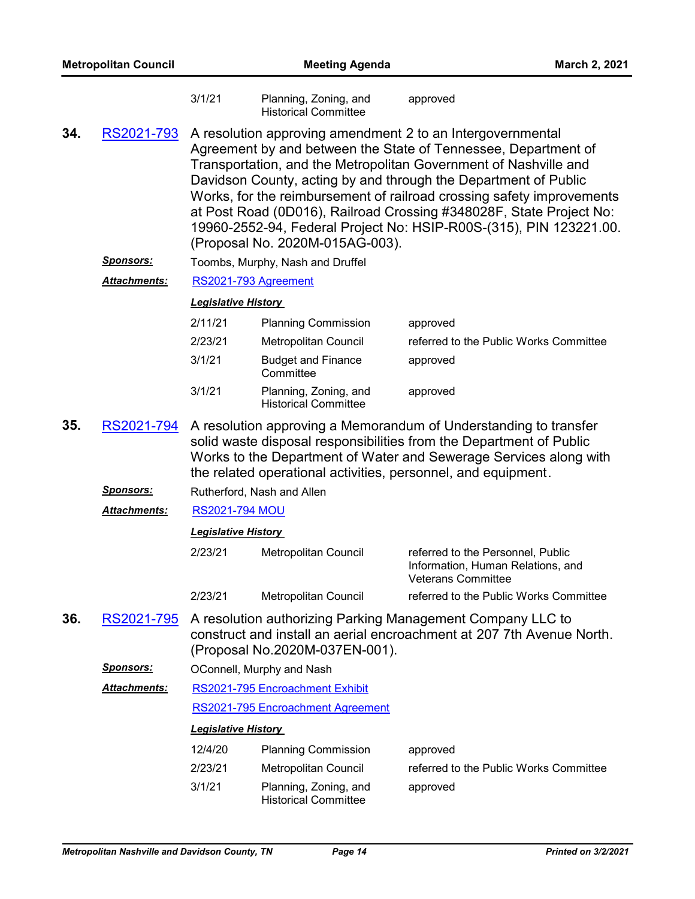|     |                     | 3/1/21                     | Planning, Zoning, and<br><b>Historical Committee</b> | approved                                                                                                                                                                                                                                                                                                                                                                                                                                                                                  |
|-----|---------------------|----------------------------|------------------------------------------------------|-------------------------------------------------------------------------------------------------------------------------------------------------------------------------------------------------------------------------------------------------------------------------------------------------------------------------------------------------------------------------------------------------------------------------------------------------------------------------------------------|
| 34. | RS2021-793          |                            | (Proposal No. 2020M-015AG-003).                      | A resolution approving amendment 2 to an Intergovernmental<br>Agreement by and between the State of Tennessee, Department of<br>Transportation, and the Metropolitan Government of Nashville and<br>Davidson County, acting by and through the Department of Public<br>Works, for the reimbursement of railroad crossing safety improvements<br>at Post Road (0D016), Railroad Crossing #348028F, State Project No:<br>19960-2552-94, Federal Project No: HSIP-R00S-(315), PIN 123221.00. |
|     | <u>Sponsors:</u>    |                            | Toombs, Murphy, Nash and Druffel                     |                                                                                                                                                                                                                                                                                                                                                                                                                                                                                           |
|     | <b>Attachments:</b> | RS2021-793 Agreement       |                                                      |                                                                                                                                                                                                                                                                                                                                                                                                                                                                                           |
|     |                     | <b>Legislative History</b> |                                                      |                                                                                                                                                                                                                                                                                                                                                                                                                                                                                           |
|     |                     | 2/11/21                    | <b>Planning Commission</b>                           | approved                                                                                                                                                                                                                                                                                                                                                                                                                                                                                  |
|     |                     | 2/23/21                    | Metropolitan Council                                 | referred to the Public Works Committee                                                                                                                                                                                                                                                                                                                                                                                                                                                    |
|     |                     | 3/1/21                     | <b>Budget and Finance</b><br>Committee               | approved                                                                                                                                                                                                                                                                                                                                                                                                                                                                                  |
|     |                     | 3/1/21                     | Planning, Zoning, and<br><b>Historical Committee</b> | approved                                                                                                                                                                                                                                                                                                                                                                                                                                                                                  |
| 35. | RS2021-794          |                            |                                                      | A resolution approving a Memorandum of Understanding to transfer<br>solid waste disposal responsibilities from the Department of Public<br>Works to the Department of Water and Sewerage Services along with<br>the related operational activities, personnel, and equipment.                                                                                                                                                                                                             |
|     | <u>Sponsors:</u>    |                            | Rutherford, Nash and Allen                           |                                                                                                                                                                                                                                                                                                                                                                                                                                                                                           |
|     | <b>Attachments:</b> | <b>RS2021-794 MOU</b>      |                                                      |                                                                                                                                                                                                                                                                                                                                                                                                                                                                                           |
|     |                     | <b>Legislative History</b> |                                                      |                                                                                                                                                                                                                                                                                                                                                                                                                                                                                           |
|     |                     | 2/23/21                    | Metropolitan Council                                 | referred to the Personnel, Public<br>Information, Human Relations, and<br><b>Veterans Committee</b>                                                                                                                                                                                                                                                                                                                                                                                       |
|     |                     | 2/23/21                    | <b>Metropolitan Council</b>                          | referred to the Public Works Committee                                                                                                                                                                                                                                                                                                                                                                                                                                                    |
| 36. | RS2021-795          |                            | (Proposal No.2020M-037EN-001).                       | A resolution authorizing Parking Management Company LLC to<br>construct and install an aerial encroachment at 207 7th Avenue North.                                                                                                                                                                                                                                                                                                                                                       |
|     | <b>Sponsors:</b>    |                            | OConnell, Murphy and Nash                            |                                                                                                                                                                                                                                                                                                                                                                                                                                                                                           |
|     | Attachments:        |                            | RS2021-795 Encroachment Exhibit                      |                                                                                                                                                                                                                                                                                                                                                                                                                                                                                           |
|     |                     |                            | RS2021-795 Encroachment Agreement                    |                                                                                                                                                                                                                                                                                                                                                                                                                                                                                           |
|     |                     | <b>Legislative History</b> |                                                      |                                                                                                                                                                                                                                                                                                                                                                                                                                                                                           |
|     |                     | 12/4/20                    | <b>Planning Commission</b>                           | approved                                                                                                                                                                                                                                                                                                                                                                                                                                                                                  |
|     |                     | 2/23/21                    | Metropolitan Council                                 | referred to the Public Works Committee                                                                                                                                                                                                                                                                                                                                                                                                                                                    |
|     |                     | 3/1/21                     | Planning, Zoning, and<br><b>Historical Committee</b> | approved                                                                                                                                                                                                                                                                                                                                                                                                                                                                                  |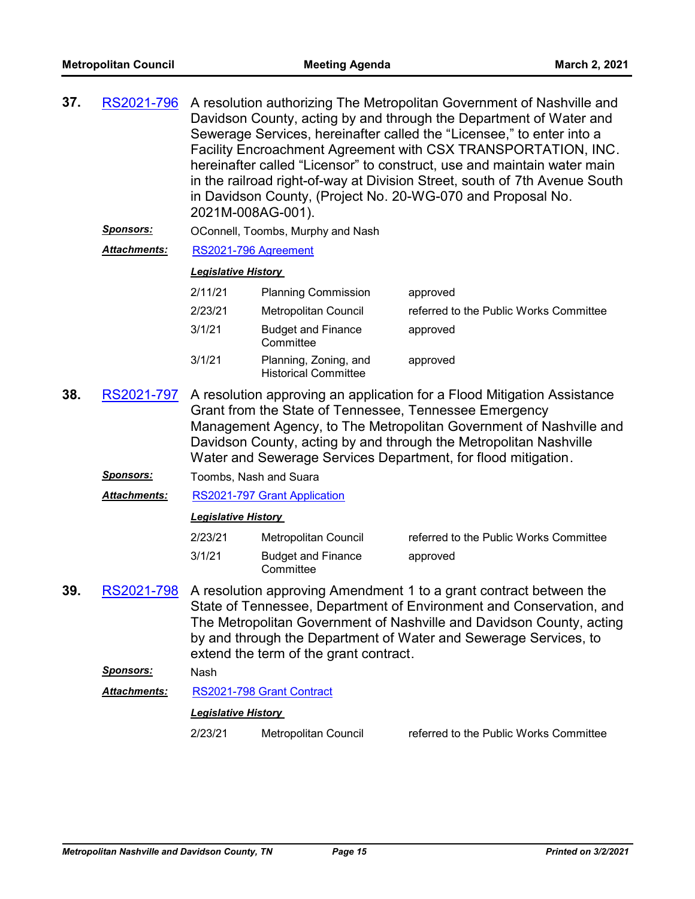| 37.                                                                                                                                                                                                                                                                                                                                                  | RS2021-796          | A resolution authorizing The Metropolitan Government of Nashville and<br>Davidson County, acting by and through the Department of Water and<br>Sewerage Services, hereinafter called the "Licensee," to enter into a<br>Facility Encroachment Agreement with CSX TRANSPORTATION, INC.<br>hereinafter called "Licensor" to construct, use and maintain water main<br>in the railroad right-of-way at Division Street, south of 7th Avenue South<br>in Davidson County, (Project No. 20-WG-070 and Proposal No.<br>2021M-008AG-001). |                                                      |                                        |  |
|------------------------------------------------------------------------------------------------------------------------------------------------------------------------------------------------------------------------------------------------------------------------------------------------------------------------------------------------------|---------------------|------------------------------------------------------------------------------------------------------------------------------------------------------------------------------------------------------------------------------------------------------------------------------------------------------------------------------------------------------------------------------------------------------------------------------------------------------------------------------------------------------------------------------------|------------------------------------------------------|----------------------------------------|--|
|                                                                                                                                                                                                                                                                                                                                                      | <u>Sponsors:</u>    |                                                                                                                                                                                                                                                                                                                                                                                                                                                                                                                                    | OConnell, Toombs, Murphy and Nash                    |                                        |  |
|                                                                                                                                                                                                                                                                                                                                                      | Attachments:        | RS2021-796 Agreement                                                                                                                                                                                                                                                                                                                                                                                                                                                                                                               |                                                      |                                        |  |
|                                                                                                                                                                                                                                                                                                                                                      |                     | <b>Legislative History</b>                                                                                                                                                                                                                                                                                                                                                                                                                                                                                                         |                                                      |                                        |  |
|                                                                                                                                                                                                                                                                                                                                                      |                     | 2/11/21                                                                                                                                                                                                                                                                                                                                                                                                                                                                                                                            | <b>Planning Commission</b>                           | approved                               |  |
|                                                                                                                                                                                                                                                                                                                                                      |                     | 2/23/21                                                                                                                                                                                                                                                                                                                                                                                                                                                                                                                            | Metropolitan Council                                 | referred to the Public Works Committee |  |
|                                                                                                                                                                                                                                                                                                                                                      |                     | 3/1/21                                                                                                                                                                                                                                                                                                                                                                                                                                                                                                                             | <b>Budget and Finance</b><br>Committee               | approved                               |  |
|                                                                                                                                                                                                                                                                                                                                                      |                     | 3/1/21                                                                                                                                                                                                                                                                                                                                                                                                                                                                                                                             | Planning, Zoning, and<br><b>Historical Committee</b> | approved                               |  |
| 38.                                                                                                                                                                                                                                                                                                                                                  | RS2021-797          | A resolution approving an application for a Flood Mitigation Assistance<br>Grant from the State of Tennessee, Tennessee Emergency<br>Management Agency, to The Metropolitan Government of Nashville and<br>Davidson County, acting by and through the Metropolitan Nashville<br>Water and Sewerage Services Department, for flood mitigation.                                                                                                                                                                                      |                                                      |                                        |  |
|                                                                                                                                                                                                                                                                                                                                                      | <b>Sponsors:</b>    | Toombs, Nash and Suara                                                                                                                                                                                                                                                                                                                                                                                                                                                                                                             |                                                      |                                        |  |
|                                                                                                                                                                                                                                                                                                                                                      | <b>Attachments:</b> |                                                                                                                                                                                                                                                                                                                                                                                                                                                                                                                                    | RS2021-797 Grant Application                         |                                        |  |
|                                                                                                                                                                                                                                                                                                                                                      |                     | <b>Legislative History</b>                                                                                                                                                                                                                                                                                                                                                                                                                                                                                                         |                                                      |                                        |  |
|                                                                                                                                                                                                                                                                                                                                                      |                     | 2/23/21                                                                                                                                                                                                                                                                                                                                                                                                                                                                                                                            | Metropolitan Council                                 | referred to the Public Works Committee |  |
|                                                                                                                                                                                                                                                                                                                                                      |                     | 3/1/21                                                                                                                                                                                                                                                                                                                                                                                                                                                                                                                             | <b>Budget and Finance</b><br>Committee               | approved                               |  |
| 39.<br>RS2021-798<br>A resolution approving Amendment 1 to a grant contract between the<br>State of Tennessee, Department of Environment and Conservation, and<br>The Metropolitan Government of Nashville and Davidson County, acting<br>by and through the Department of Water and Sewerage Services, to<br>extend the term of the grant contract. |                     |                                                                                                                                                                                                                                                                                                                                                                                                                                                                                                                                    |                                                      |                                        |  |
|                                                                                                                                                                                                                                                                                                                                                      | <b>Sponsors:</b>    | Nash                                                                                                                                                                                                                                                                                                                                                                                                                                                                                                                               |                                                      |                                        |  |
|                                                                                                                                                                                                                                                                                                                                                      | <b>Attachments:</b> |                                                                                                                                                                                                                                                                                                                                                                                                                                                                                                                                    | RS2021-798 Grant Contract                            |                                        |  |
|                                                                                                                                                                                                                                                                                                                                                      |                     | <b>Legislative History</b>                                                                                                                                                                                                                                                                                                                                                                                                                                                                                                         |                                                      |                                        |  |
|                                                                                                                                                                                                                                                                                                                                                      |                     | 2/23/21                                                                                                                                                                                                                                                                                                                                                                                                                                                                                                                            | <b>Metropolitan Council</b>                          | referred to the Public Works Committee |  |
|                                                                                                                                                                                                                                                                                                                                                      |                     |                                                                                                                                                                                                                                                                                                                                                                                                                                                                                                                                    |                                                      |                                        |  |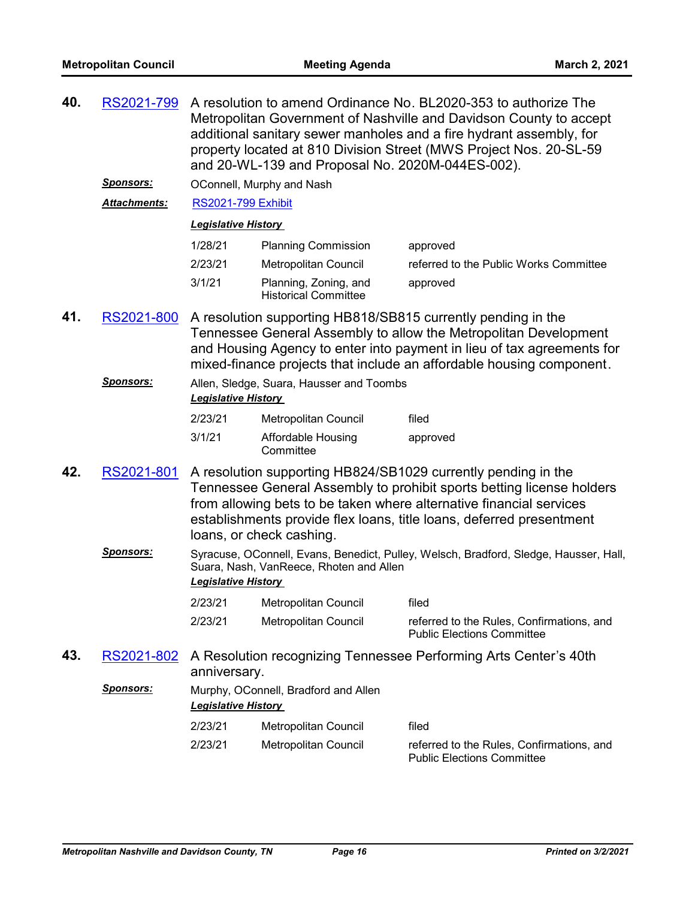| 40. | RS2021-799 A resolution to amend Ordinance No. BL2020-353 to authorize The |
|-----|----------------------------------------------------------------------------|
|     | Metropolitan Government of Nashville and Davidson County to accept         |
|     | additional sanitary sewer manholes and a fire hydrant assembly, for        |
|     | property located at 810 Division Street (MWS Project Nos. 20-SL-59         |
|     | and 20-WL-139 and Proposal No. 2020M-044ES-002).                           |
|     |                                                                            |

*Sponsors:* OConnell, Murphy and Nash

*Attachments:* [RS2021-799 Exhibit](http://nashville.legistar.com/gateway.aspx?M=F&ID=77262de1-2c6f-4c5f-aa46-0275ea4a3e08.pdf)

| 1/28/21 | <b>Planning Commission</b>                           | approved                               |
|---------|------------------------------------------------------|----------------------------------------|
| 2/23/21 | Metropolitan Council                                 | referred to the Public Works Committee |
| 3/1/21  | Planning, Zoning, and<br><b>Historical Committee</b> | approved                               |

- 41. [RS2021-800](http://nashville.legistar.com/gateway.aspx?m=l&id=/matter.aspx?key=1979) A resolution supporting HB818/SB815 currently pending in the Tennessee General Assembly to allow the Metropolitan Development and Housing Agency to enter into payment in lieu of tax agreements for mixed-finance projects that include an affordable housing component.
	- *Sponsors:* Allen, Sledge, Suara, Hausser and Toombs *Legislative History*  2/23/21 Metropolitan Council filed

| 3/1/21 | Affordable Housing | approved |
|--------|--------------------|----------|
|        | Committee          |          |

- A resolution supporting HB824/SB1029 currently pending in the Tennessee General Assembly to prohibit sports betting license holders from allowing bets to be taken where alternative financial services establishments provide flex loans, title loans, deferred presentment loans, or check cashing. **42.** [RS2021-801](http://nashville.legistar.com/gateway.aspx?m=l&id=/matter.aspx?key=1937)
	- Sponsors: Syracuse, OConnell, Evans, Benedict, Pulley, Welsch, Bradford, Sledge, Hausser, Hall, Suara, Nash, VanReece, Rhoten and Allen *Legislative History*

| 2/23/21 | Metropolitan Council | filed                                                                          |
|---------|----------------------|--------------------------------------------------------------------------------|
| 2/23/21 | Metropolitan Council | referred to the Rules, Confirmations, and<br><b>Public Elections Committee</b> |

- A Resolution recognizing Tennessee Performing Arts Center's 40th anniversary. **43.** [RS2021-802](http://nashville.legistar.com/gateway.aspx?m=l&id=/matter.aspx?key=1956)
	- *Sponsors:* Murphy, OConnell, Bradford and Allen *Legislative History*  2/23/21 Metropolitan Council filed 2/23/21 Metropolitan Council referred to the Rules, Confirmations, and Public Elections Committee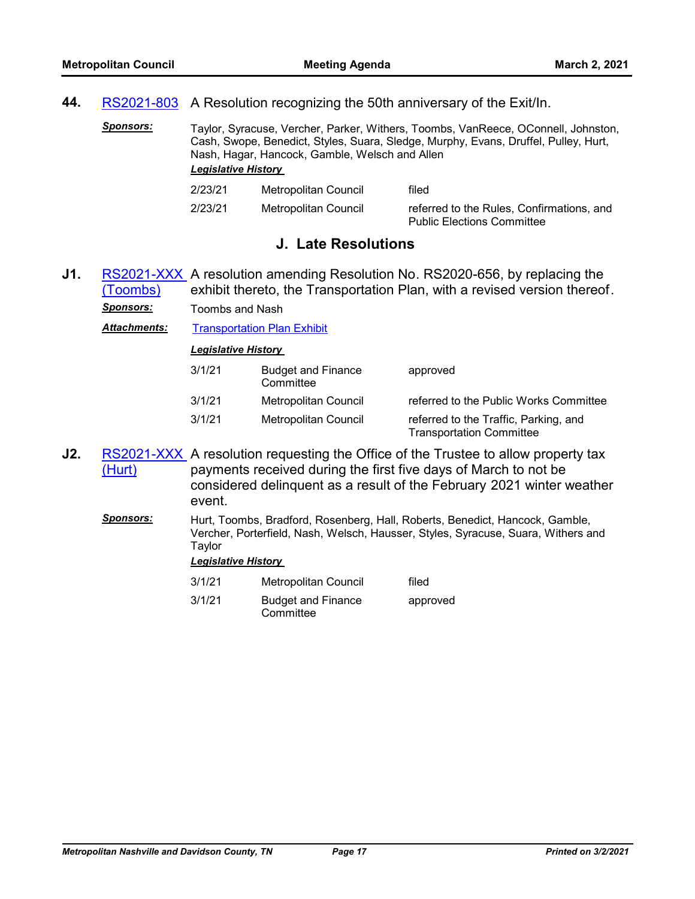# **44.** [RS2021-803](http://nashville.legistar.com/gateway.aspx?m=l&id=/matter.aspx?key=1972) A Resolution recognizing the 50th anniversary of the Exit/In.

*Sponsors:* Taylor, Syracuse, Vercher, Parker, Withers, Toombs, VanReece, OConnell, Johnston, Cash, Swope, Benedict, Styles, Suara, Sledge, Murphy, Evans, Druffel, Pulley, Hurt, Nash, Hagar, Hancock, Gamble, Welsch and Allen *Legislative History* 

| 2/23/21 | Metropolitan Council | filed                                     |
|---------|----------------------|-------------------------------------------|
| 2/23/21 | Metropolitan Council | referred to the Rules, Confirmations, and |
|         |                      | <b>Public Elections Committee</b>         |

# **J. Late Resolutions**

RS2021-XXX, A resolution amending Resolution No. RS2020-656, by replacing the exhibit thereto, the Transportation Plan, with a revised version thereof. (Toombs) **J1.** *Sponsors:* Toombs and Nash

**Attachments:** [Transportation Plan Exhibit](http://nashville.legistar.com/gateway.aspx?M=F&ID=0cdebeb2-dc5e-4181-9d45-212c43a4ba73.pdf)

*Legislative History* 

| 3/1/21 | <b>Budget and Finance</b><br>Committee | approved                                                                 |
|--------|----------------------------------------|--------------------------------------------------------------------------|
| 3/1/21 | Metropolitan Council                   | referred to the Public Works Committee                                   |
| 3/1/21 | Metropolitan Council                   | referred to the Traffic, Parking, and<br><b>Transportation Committee</b> |

[RS2021-XXX](http://nashville.legistar.com/gateway.aspx?m=l&id=/matter.aspx?key=1982) A resolution requesting the Office of the Trustee to allow property tax payments received during the first five days of March to not be considered delinquent as a result of the February 2021 winter weather event. (Hurt) **J2.**

*Sponsors:* Hurt, Toombs, Bradford, Rosenberg, Hall, Roberts, Benedict, Hancock, Gamble, Vercher, Porterfield, Nash, Welsch, Hausser, Styles, Syracuse, Suara, Withers and Taylor

#### *Legislative History*

3/1/21 Metropolitan Council filed 3/1/21 Budget and Finance **Committee** approved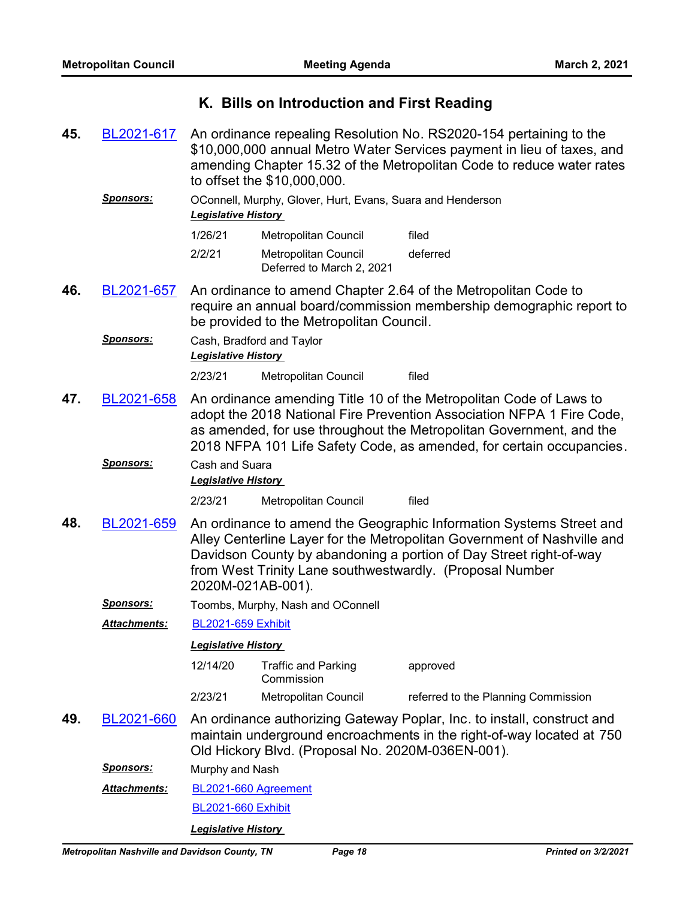# **K. Bills on Introduction and First Reading**

An ordinance repealing Resolution No. RS2020-154 pertaining to the \$10,000,000 annual Metro Water Services payment in lieu of taxes, and amending Chapter 15.32 of the Metropolitan Code to reduce water rates to offset the \$10,000,000. **45.** [BL2021-617](http://nashville.legistar.com/gateway.aspx?m=l&id=/matter.aspx?key=1880)

## *Sponsors:* OConnell, Murphy, Glover, Hurt, Evans, Suara and Henderson *Legislative History*

| 1/26/21 | Metropolitan Council                              | filed    |
|---------|---------------------------------------------------|----------|
| 2/2/21  | Metropolitan Council<br>Deferred to March 2, 2021 | deferred |

- An ordinance to amend Chapter 2.64 of the Metropolitan Code to require an annual board/commission membership demographic report to be provided to the Metropolitan Council. **46.** [BL2021-657](http://nashville.legistar.com/gateway.aspx?m=l&id=/matter.aspx?key=1978)
	- **Sponsors:** Cash, Bradford and Taylor *Legislative History*

2/23/21 Metropolitan Council filed

- An ordinance amending Title 10 of the Metropolitan Code of Laws to adopt the 2018 National Fire Prevention Association NFPA 1 Fire Code, as amended, for use throughout the Metropolitan Government, and the 2018 NFPA 101 Life Safety Code, as amended, for certain occupancies. **47.** [BL2021-658](http://nashville.legistar.com/gateway.aspx?m=l&id=/matter.aspx?key=1976)
	- *Sponsors:* Cash and Suara

*Legislative History* 

2/23/21 Metropolitan Council filed

An ordinance to amend the Geographic Information Systems Street and Alley Centerline Layer for the Metropolitan Government of Nashville and Davidson County by abandoning a portion of Day Street right-of-way from West Trinity Lane southwestwardly. (Proposal Number 2020M-021AB-001). **48.** [BL2021-659](http://nashville.legistar.com/gateway.aspx?m=l&id=/matter.aspx?key=1942)

*Sponsors:* Toombs, Murphy, Nash and OConnell

*Attachments:* [BL2021-659 Exhibit](http://nashville.legistar.com/gateway.aspx?M=F&ID=345280c1-bee4-40ed-b485-6606eca1e3b0.docx)

### *Legislative History*

- 12/14/20 Traffic and Parking Commission approved 2/23/21 Metropolitan Council referred to the Planning Commission
- An ordinance authorizing Gateway Poplar, Inc. to install, construct and maintain underground encroachments in the right-of-way located at 750 Old Hickory Blvd. (Proposal No. 2020M-036EN-001). **49.** [BL2021-660](http://nashville.legistar.com/gateway.aspx?m=l&id=/matter.aspx?key=1961)

*Sponsors:* Murphy and Nash

[BL2021-660 Agreement](http://nashville.legistar.com/gateway.aspx?M=F&ID=92e3e4a1-132c-4335-918b-c4fa8746d8c9.pdf) *Attachments:*

[BL2021-660 Exhibit](http://nashville.legistar.com/gateway.aspx?M=F&ID=d8c26a4a-05e0-4f74-8511-c0c26fc730a8.docx)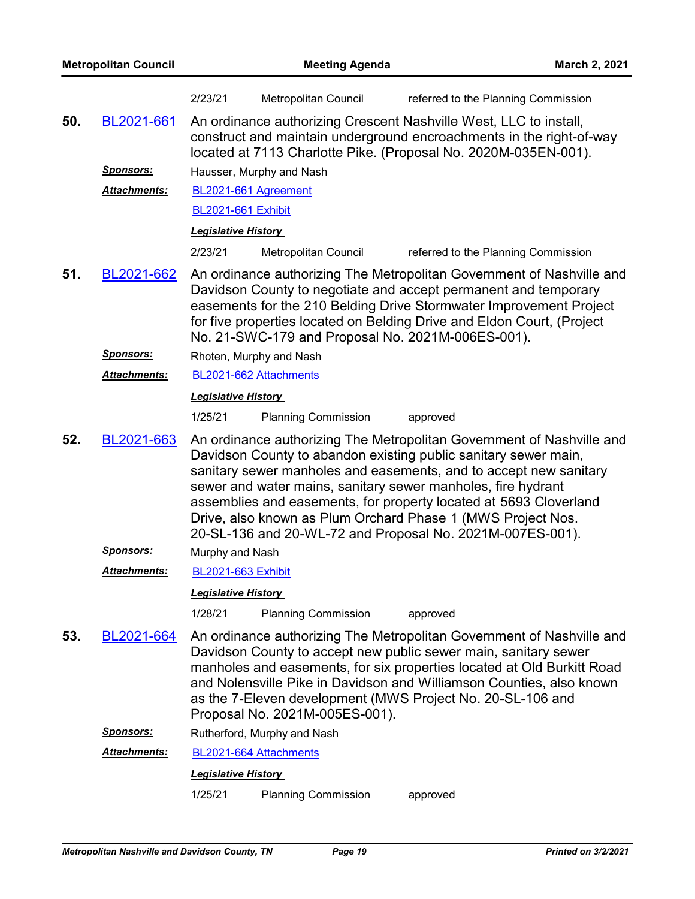|     |                     | 2/23/21                    | Metropolitan Council           | referred to the Planning Commission                                                                                                                                                                                                                                                                                                                                                                                                                                            |
|-----|---------------------|----------------------------|--------------------------------|--------------------------------------------------------------------------------------------------------------------------------------------------------------------------------------------------------------------------------------------------------------------------------------------------------------------------------------------------------------------------------------------------------------------------------------------------------------------------------|
| 50. | BL2021-661          |                            |                                | An ordinance authorizing Crescent Nashville West, LLC to install,<br>construct and maintain underground encroachments in the right-of-way<br>located at 7113 Charlotte Pike. (Proposal No. 2020M-035EN-001).                                                                                                                                                                                                                                                                   |
|     | <u>Sponsors:</u>    |                            | Hausser, Murphy and Nash       |                                                                                                                                                                                                                                                                                                                                                                                                                                                                                |
|     | Attachments:        |                            | BL2021-661 Agreement           |                                                                                                                                                                                                                                                                                                                                                                                                                                                                                |
|     |                     | <b>BL2021-661 Exhibit</b>  |                                |                                                                                                                                                                                                                                                                                                                                                                                                                                                                                |
|     |                     | <b>Legislative History</b> |                                |                                                                                                                                                                                                                                                                                                                                                                                                                                                                                |
|     |                     | 2/23/21                    | Metropolitan Council           | referred to the Planning Commission                                                                                                                                                                                                                                                                                                                                                                                                                                            |
| 51. | BL2021-662          |                            |                                | An ordinance authorizing The Metropolitan Government of Nashville and<br>Davidson County to negotiate and accept permanent and temporary<br>easements for the 210 Belding Drive Stormwater Improvement Project<br>for five properties located on Belding Drive and Eldon Court, (Project<br>No. 21-SWC-179 and Proposal No. 2021M-006ES-001).                                                                                                                                  |
|     | <b>Sponsors:</b>    |                            | Rhoten, Murphy and Nash        |                                                                                                                                                                                                                                                                                                                                                                                                                                                                                |
|     | Attachments:        |                            | BL2021-662 Attachments         |                                                                                                                                                                                                                                                                                                                                                                                                                                                                                |
|     |                     | <b>Legislative History</b> |                                |                                                                                                                                                                                                                                                                                                                                                                                                                                                                                |
|     |                     | 1/25/21                    | <b>Planning Commission</b>     | approved                                                                                                                                                                                                                                                                                                                                                                                                                                                                       |
| 52. | BL2021-663          |                            |                                | An ordinance authorizing The Metropolitan Government of Nashville and<br>Davidson County to abandon existing public sanitary sewer main,<br>sanitary sewer manholes and easements, and to accept new sanitary<br>sewer and water mains, sanitary sewer manholes, fire hydrant<br>assemblies and easements, for property located at 5693 Cloverland<br>Drive, also known as Plum Orchard Phase 1 (MWS Project Nos.<br>20-SL-136 and 20-WL-72 and Proposal No. 2021M-007ES-001). |
|     | <b>Sponsors:</b>    | Murphy and Nash            |                                |                                                                                                                                                                                                                                                                                                                                                                                                                                                                                |
|     | Attachments:        | <b>BL2021-663 Exhibit</b>  |                                |                                                                                                                                                                                                                                                                                                                                                                                                                                                                                |
|     |                     | <b>Legislative History</b> |                                |                                                                                                                                                                                                                                                                                                                                                                                                                                                                                |
|     |                     | 1/28/21                    | <b>Planning Commission</b>     | approved                                                                                                                                                                                                                                                                                                                                                                                                                                                                       |
| 53. | BL2021-664          |                            | Proposal No. 2021M-005ES-001). | An ordinance authorizing The Metropolitan Government of Nashville and<br>Davidson County to accept new public sewer main, sanitary sewer<br>manholes and easements, for six properties located at Old Burkitt Road<br>and Nolensville Pike in Davidson and Williamson Counties, also known<br>as the 7-Eleven development (MWS Project No. 20-SL-106 and                                                                                                                       |
|     | <u>Sponsors:</u>    |                            | Rutherford, Murphy and Nash    |                                                                                                                                                                                                                                                                                                                                                                                                                                                                                |
|     | <b>Attachments:</b> |                            | BL2021-664 Attachments         |                                                                                                                                                                                                                                                                                                                                                                                                                                                                                |
|     |                     | <b>Legislative History</b> |                                |                                                                                                                                                                                                                                                                                                                                                                                                                                                                                |
|     |                     | 1/25/21                    | <b>Planning Commission</b>     | approved                                                                                                                                                                                                                                                                                                                                                                                                                                                                       |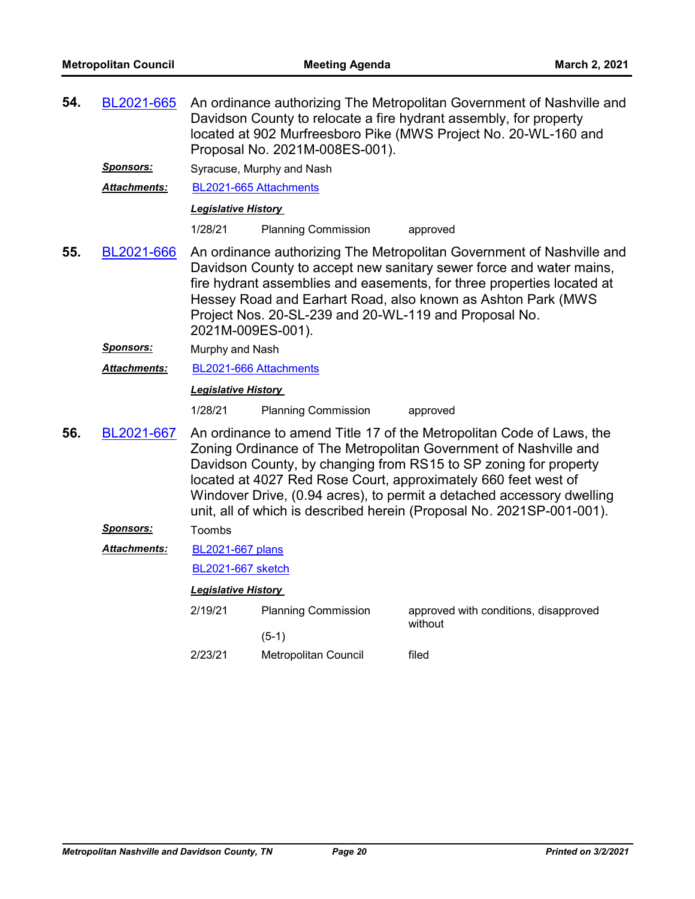| 54. | BL2021-665                       |                                                        | Proposal No. 2021M-008ES-001).                        | An ordinance authorizing The Metropolitan Government of Nashville and<br>Davidson County to relocate a fire hydrant assembly, for property<br>located at 902 Murfreesboro Pike (MWS Project No. 20-WL-160 and                                                                                                                                                                                                                    |
|-----|----------------------------------|--------------------------------------------------------|-------------------------------------------------------|----------------------------------------------------------------------------------------------------------------------------------------------------------------------------------------------------------------------------------------------------------------------------------------------------------------------------------------------------------------------------------------------------------------------------------|
|     | Sponsors:<br><b>Attachments:</b> | BL2021-665 Attachments                                 | Syracuse, Murphy and Nash                             |                                                                                                                                                                                                                                                                                                                                                                                                                                  |
|     |                                  | Legislative History                                    |                                                       |                                                                                                                                                                                                                                                                                                                                                                                                                                  |
|     |                                  | 1/28/21                                                | <b>Planning Commission</b>                            | approved                                                                                                                                                                                                                                                                                                                                                                                                                         |
| 55. | BL2021-666                       | 2021M-009ES-001).                                      | Project Nos. 20-SL-239 and 20-WL-119 and Proposal No. | An ordinance authorizing The Metropolitan Government of Nashville and<br>Davidson County to accept new sanitary sewer force and water mains,<br>fire hydrant assemblies and easements, for three properties located at<br>Hessey Road and Earhart Road, also known as Ashton Park (MWS                                                                                                                                           |
|     | <u>Sponsors:</u>                 | Murphy and Nash                                        |                                                       |                                                                                                                                                                                                                                                                                                                                                                                                                                  |
|     | <b>Attachments:</b>              | BL2021-666 Attachments                                 |                                                       |                                                                                                                                                                                                                                                                                                                                                                                                                                  |
|     |                                  | <b>Legislative History</b>                             |                                                       |                                                                                                                                                                                                                                                                                                                                                                                                                                  |
|     |                                  | 1/28/21                                                | <b>Planning Commission</b>                            | approved                                                                                                                                                                                                                                                                                                                                                                                                                         |
| 56. | BL2021-667                       |                                                        |                                                       | An ordinance to amend Title 17 of the Metropolitan Code of Laws, the<br>Zoning Ordinance of The Metropolitan Government of Nashville and<br>Davidson County, by changing from RS15 to SP zoning for property<br>located at 4027 Red Rose Court, approximately 660 feet west of<br>Windover Drive, (0.94 acres), to permit a detached accessory dwelling<br>unit, all of which is described herein (Proposal No. 2021SP-001-001). |
|     | <b>Sponsors:</b>                 | Toombs                                                 |                                                       |                                                                                                                                                                                                                                                                                                                                                                                                                                  |
|     | Attachments:                     | <b>BL2021-667 plans</b>                                |                                                       |                                                                                                                                                                                                                                                                                                                                                                                                                                  |
|     |                                  | <b>BL2021-667 sketch</b><br><b>Legislative History</b> |                                                       |                                                                                                                                                                                                                                                                                                                                                                                                                                  |
|     |                                  |                                                        |                                                       |                                                                                                                                                                                                                                                                                                                                                                                                                                  |
|     |                                  | 2/19/21                                                | <b>Planning Commission</b>                            | approved with conditions, disapproved<br>without                                                                                                                                                                                                                                                                                                                                                                                 |
|     |                                  |                                                        | $(5-1)$                                               |                                                                                                                                                                                                                                                                                                                                                                                                                                  |
|     |                                  | 2/23/21                                                | Metropolitan Council                                  | filed                                                                                                                                                                                                                                                                                                                                                                                                                            |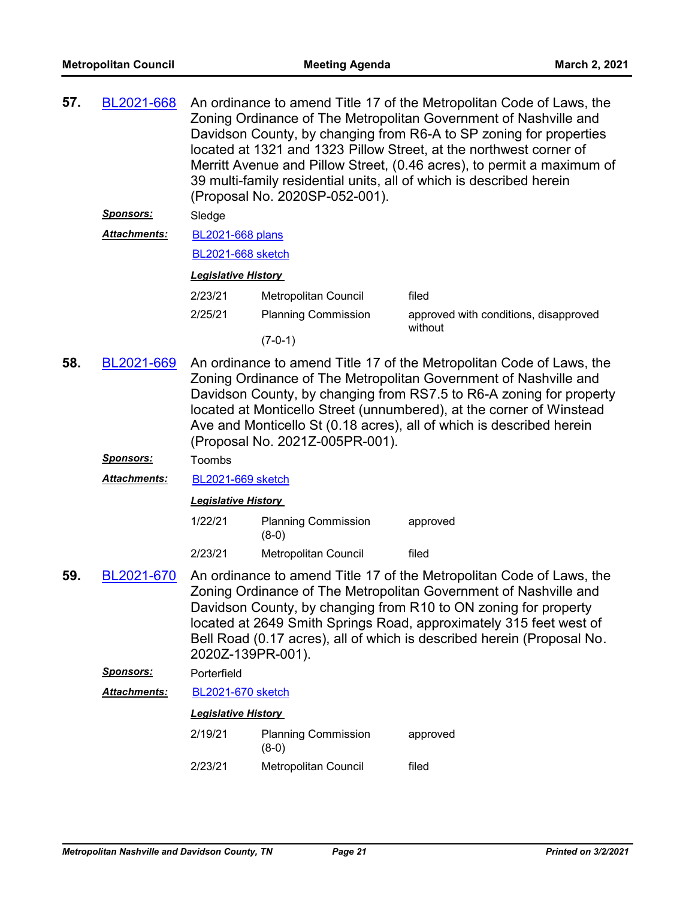| 57. | BL2021-668                                                                                                                                                                                                                                                                                                                                                                                                       | An ordinance to amend Title 17 of the Metropolitan Code of Laws, the<br>Zoning Ordinance of The Metropolitan Government of Nashville and<br>Davidson County, by changing from R6-A to SP zoning for properties<br>located at 1321 and 1323 Pillow Street, at the northwest corner of<br>Merritt Avenue and Pillow Street, (0.46 acres), to permit a maximum of<br>39 multi-family residential units, all of which is described herein<br>(Proposal No. 2020SP-052-001). |                                       |                                                                                                                                                                                                                                                                                                                                                             |  |
|-----|------------------------------------------------------------------------------------------------------------------------------------------------------------------------------------------------------------------------------------------------------------------------------------------------------------------------------------------------------------------------------------------------------------------|-------------------------------------------------------------------------------------------------------------------------------------------------------------------------------------------------------------------------------------------------------------------------------------------------------------------------------------------------------------------------------------------------------------------------------------------------------------------------|---------------------------------------|-------------------------------------------------------------------------------------------------------------------------------------------------------------------------------------------------------------------------------------------------------------------------------------------------------------------------------------------------------------|--|
|     | Sponsors:                                                                                                                                                                                                                                                                                                                                                                                                        | Sledge                                                                                                                                                                                                                                                                                                                                                                                                                                                                  |                                       |                                                                                                                                                                                                                                                                                                                                                             |  |
|     | Attachments:                                                                                                                                                                                                                                                                                                                                                                                                     | <b>BL2021-668 plans</b>                                                                                                                                                                                                                                                                                                                                                                                                                                                 |                                       |                                                                                                                                                                                                                                                                                                                                                             |  |
|     |                                                                                                                                                                                                                                                                                                                                                                                                                  | <b>BL2021-668 sketch</b>                                                                                                                                                                                                                                                                                                                                                                                                                                                |                                       |                                                                                                                                                                                                                                                                                                                                                             |  |
|     |                                                                                                                                                                                                                                                                                                                                                                                                                  | <b>Legislative History</b>                                                                                                                                                                                                                                                                                                                                                                                                                                              |                                       |                                                                                                                                                                                                                                                                                                                                                             |  |
|     |                                                                                                                                                                                                                                                                                                                                                                                                                  | 2/23/21                                                                                                                                                                                                                                                                                                                                                                                                                                                                 | Metropolitan Council                  | filed                                                                                                                                                                                                                                                                                                                                                       |  |
|     |                                                                                                                                                                                                                                                                                                                                                                                                                  | 2/25/21                                                                                                                                                                                                                                                                                                                                                                                                                                                                 | <b>Planning Commission</b>            | approved with conditions, disapproved<br>without                                                                                                                                                                                                                                                                                                            |  |
|     |                                                                                                                                                                                                                                                                                                                                                                                                                  |                                                                                                                                                                                                                                                                                                                                                                                                                                                                         | $(7-0-1)$                             |                                                                                                                                                                                                                                                                                                                                                             |  |
| 58. | BL2021-669<br>An ordinance to amend Title 17 of the Metropolitan Code of Laws, the<br>Zoning Ordinance of The Metropolitan Government of Nashville and<br>Davidson County, by changing from RS7.5 to R6-A zoning for property<br>located at Monticello Street (unnumbered), at the corner of Winstead<br>Ave and Monticello St (0.18 acres), all of which is described herein<br>(Proposal No. 2021Z-005PR-001). |                                                                                                                                                                                                                                                                                                                                                                                                                                                                         |                                       |                                                                                                                                                                                                                                                                                                                                                             |  |
|     | <u>Sponsors:</u>                                                                                                                                                                                                                                                                                                                                                                                                 | Toombs                                                                                                                                                                                                                                                                                                                                                                                                                                                                  |                                       |                                                                                                                                                                                                                                                                                                                                                             |  |
|     | Attachments:                                                                                                                                                                                                                                                                                                                                                                                                     | BL2021-669 sketch                                                                                                                                                                                                                                                                                                                                                                                                                                                       |                                       |                                                                                                                                                                                                                                                                                                                                                             |  |
|     |                                                                                                                                                                                                                                                                                                                                                                                                                  | <b>Legislative History</b>                                                                                                                                                                                                                                                                                                                                                                                                                                              |                                       |                                                                                                                                                                                                                                                                                                                                                             |  |
|     |                                                                                                                                                                                                                                                                                                                                                                                                                  | 1/22/21                                                                                                                                                                                                                                                                                                                                                                                                                                                                 | <b>Planning Commission</b><br>$(8-0)$ | approved                                                                                                                                                                                                                                                                                                                                                    |  |
|     |                                                                                                                                                                                                                                                                                                                                                                                                                  | 2/23/21                                                                                                                                                                                                                                                                                                                                                                                                                                                                 | Metropolitan Council                  | filed                                                                                                                                                                                                                                                                                                                                                       |  |
| 59. | BL2021-670                                                                                                                                                                                                                                                                                                                                                                                                       | 2020Z-139PR-001).                                                                                                                                                                                                                                                                                                                                                                                                                                                       |                                       | An ordinance to amend Title 17 of the Metropolitan Code of Laws, the<br>Zoning Ordinance of The Metropolitan Government of Nashville and<br>Davidson County, by changing from R10 to ON zoning for property<br>located at 2649 Smith Springs Road, approximately 315 feet west of<br>Bell Road (0.17 acres), all of which is described herein (Proposal No. |  |
|     | Sponsors:                                                                                                                                                                                                                                                                                                                                                                                                        | Porterfield                                                                                                                                                                                                                                                                                                                                                                                                                                                             |                                       |                                                                                                                                                                                                                                                                                                                                                             |  |
|     | Attachments:                                                                                                                                                                                                                                                                                                                                                                                                     | <b>BL2021-670 sketch</b>                                                                                                                                                                                                                                                                                                                                                                                                                                                |                                       |                                                                                                                                                                                                                                                                                                                                                             |  |
|     |                                                                                                                                                                                                                                                                                                                                                                                                                  | <b>Legislative History</b>                                                                                                                                                                                                                                                                                                                                                                                                                                              |                                       |                                                                                                                                                                                                                                                                                                                                                             |  |
|     |                                                                                                                                                                                                                                                                                                                                                                                                                  | 2/19/21                                                                                                                                                                                                                                                                                                                                                                                                                                                                 | <b>Planning Commission</b><br>$(8-0)$ | approved                                                                                                                                                                                                                                                                                                                                                    |  |
|     |                                                                                                                                                                                                                                                                                                                                                                                                                  | 2/23/21                                                                                                                                                                                                                                                                                                                                                                                                                                                                 | Metropolitan Council                  | filed                                                                                                                                                                                                                                                                                                                                                       |  |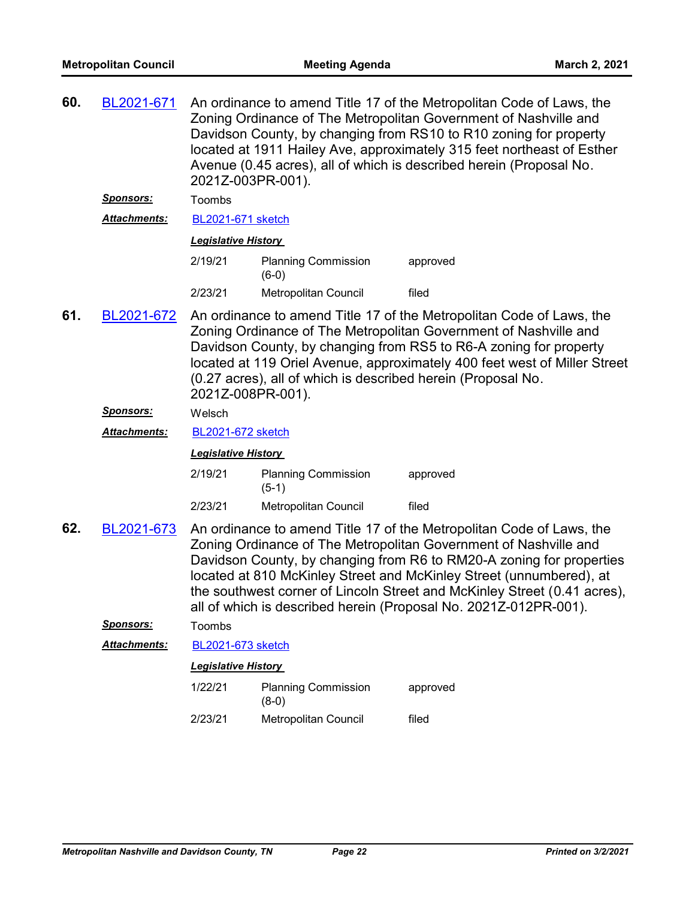**60.** [BL2021-671](http://nashville.legistar.com/gateway.aspx?m=l&id=/matter.aspx?key=1965)

An ordinance to amend Title 17 of the Metropolitan Code of Laws, the

Zoning Ordinance of The Metropolitan Government of Nashville and Davidson County, by changing from RS10 to R10 zoning for property located at 1911 Hailey Ave, approximately 315 feet northeast of Esther Avenue (0.45 acres), all of which is described herein (Proposal No. 2021Z-003PR-001). *Sponsors:* Toombs *Attachments:* [BL2021-671 sketch](http://nashville.legistar.com/gateway.aspx?M=F&ID=895f47f2-c55d-483a-88cf-c6ad2873405c.docx) *Legislative History*  2/19/21 Planning Commission approved (6-0) 2/23/21 Metropolitan Council filed An ordinance to amend Title 17 of the Metropolitan Code of Laws, the Zoning Ordinance of The Metropolitan Government of Nashville and Davidson County, by changing from RS5 to R6-A zoning for property located at 119 Oriel Avenue, approximately 400 feet west of Miller Street (0.27 acres), all of which is described herein (Proposal No. 2021Z-008PR-001). **61.** [BL2021-672](http://nashville.legistar.com/gateway.aspx?m=l&id=/matter.aspx?key=1966) *Sponsors:* Welsch *Attachments:* [BL2021-672 sketch](http://nashville.legistar.com/gateway.aspx?M=F&ID=7aa1e6f4-e320-4d23-855f-0c7c283222da.docx) *Legislative History*  2/19/21 Planning Commission approved (5-1) 2/23/21 Metropolitan Council filed An ordinance to amend Title 17 of the Metropolitan Code of Laws, the Zoning Ordinance of The Metropolitan Government of Nashville and Davidson County, by changing from R6 to RM20-A zoning for properties located at 810 McKinley Street and McKinley Street (unnumbered), at the southwest corner of Lincoln Street and McKinley Street (0.41 acres), all of which is described herein (Proposal No. 2021Z-012PR-001). **62.** [BL2021-673](http://nashville.legistar.com/gateway.aspx?m=l&id=/matter.aspx?key=1864) *Sponsors:* Toombs *Attachments:* [BL2021-673 sketch](http://nashville.legistar.com/gateway.aspx?M=F&ID=d65dc39f-884f-4500-961a-c70c2d1444ac.docx) *Legislative History*  1/22/21 Planning Commission approved (8-0) 2/23/21 Metropolitan Council filed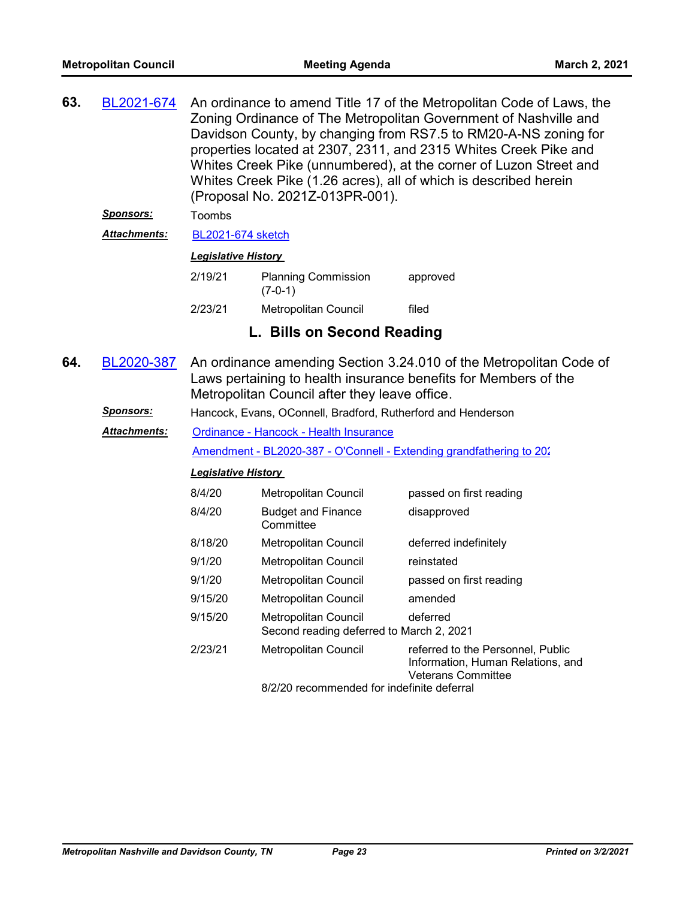| 63. | BL2021-674          | An ordinance to amend Title 17 of the Metropolitan Code of Laws, the<br>Zoning Ordinance of The Metropolitan Government of Nashville and<br>Davidson County, by changing from RS7.5 to RM20-A-NS zoning for<br>properties located at 2307, 2311, and 2315 Whites Creek Pike and<br>Whites Creek Pike (unnumbered), at the corner of Luzon Street and<br>Whites Creek Pike (1.26 acres), all of which is described herein<br>(Proposal No. 2021Z-013PR-001). |                                                                    |                                                                                                     |  |
|-----|---------------------|-------------------------------------------------------------------------------------------------------------------------------------------------------------------------------------------------------------------------------------------------------------------------------------------------------------------------------------------------------------------------------------------------------------------------------------------------------------|--------------------------------------------------------------------|-----------------------------------------------------------------------------------------------------|--|
|     | <u>Sponsors:</u>    | Toombs                                                                                                                                                                                                                                                                                                                                                                                                                                                      |                                                                    |                                                                                                     |  |
|     | <b>Attachments:</b> | <b>BL2021-674 sketch</b>                                                                                                                                                                                                                                                                                                                                                                                                                                    |                                                                    |                                                                                                     |  |
|     |                     | <b>Legislative History</b>                                                                                                                                                                                                                                                                                                                                                                                                                                  |                                                                    |                                                                                                     |  |
|     |                     | 2/19/21                                                                                                                                                                                                                                                                                                                                                                                                                                                     | <b>Planning Commission</b><br>$(7-0-1)$                            | approved                                                                                            |  |
|     |                     | 2/23/21                                                                                                                                                                                                                                                                                                                                                                                                                                                     | Metropolitan Council                                               | filed                                                                                               |  |
|     |                     |                                                                                                                                                                                                                                                                                                                                                                                                                                                             | L. Bills on Second Reading                                         |                                                                                                     |  |
| 64. | BL2020-387          | An ordinance amending Section 3.24.010 of the Metropolitan Code of<br>Laws pertaining to health insurance benefits for Members of the<br>Metropolitan Council after they leave office.                                                                                                                                                                                                                                                                      |                                                                    |                                                                                                     |  |
|     | <u>Sponsors:</u>    |                                                                                                                                                                                                                                                                                                                                                                                                                                                             | Hancock, Evans, OConnell, Bradford, Rutherford and Henderson       |                                                                                                     |  |
|     | <b>Attachments:</b> |                                                                                                                                                                                                                                                                                                                                                                                                                                                             | Ordinance - Hancock - Health Insurance                             |                                                                                                     |  |
|     |                     |                                                                                                                                                                                                                                                                                                                                                                                                                                                             |                                                                    | Amendment - BL2020-387 - O'Connell - Extending grandfathering to 202                                |  |
|     |                     | <b>Legislative History</b>                                                                                                                                                                                                                                                                                                                                                                                                                                  |                                                                    |                                                                                                     |  |
|     |                     | 8/4/20                                                                                                                                                                                                                                                                                                                                                                                                                                                      | Metropolitan Council                                               | passed on first reading                                                                             |  |
|     |                     | 8/4/20                                                                                                                                                                                                                                                                                                                                                                                                                                                      | <b>Budget and Finance</b><br>Committee                             | disapproved                                                                                         |  |
|     |                     | 8/18/20                                                                                                                                                                                                                                                                                                                                                                                                                                                     | Metropolitan Council                                               | deferred indefinitely                                                                               |  |
|     |                     | 9/1/20                                                                                                                                                                                                                                                                                                                                                                                                                                                      | Metropolitan Council                                               | reinstated                                                                                          |  |
|     |                     | 9/1/20                                                                                                                                                                                                                                                                                                                                                                                                                                                      | <b>Metropolitan Council</b>                                        | passed on first reading                                                                             |  |
|     |                     | 9/15/20                                                                                                                                                                                                                                                                                                                                                                                                                                                     | Metropolitan Council                                               | amended                                                                                             |  |
|     |                     | 9/15/20                                                                                                                                                                                                                                                                                                                                                                                                                                                     | Metropolitan Council<br>Second reading deferred to March 2, 2021   | deferred                                                                                            |  |
|     |                     | 2/23/21                                                                                                                                                                                                                                                                                                                                                                                                                                                     | Metropolitan Council<br>8/2/20 recommended for indefinite deferral | referred to the Personnel, Public<br>Information, Human Relations, and<br><b>Veterans Committee</b> |  |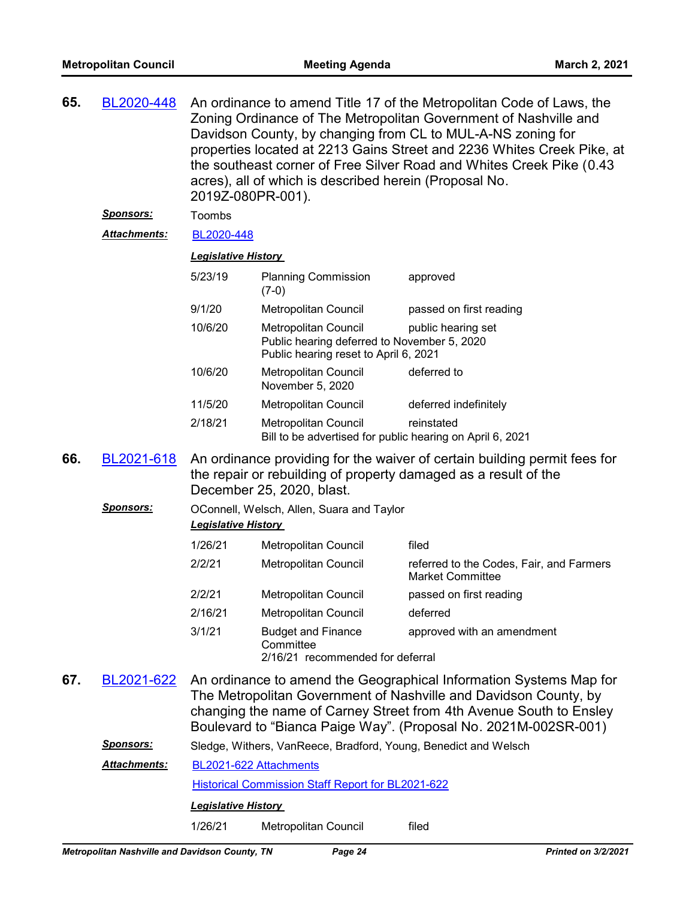| 65. | BL2020-448          |                                                                                                                                                                           | acres), all of which is described herein (Proposal No.<br>2019Z-080PR-001).                                  | An ordinance to amend Title 17 of the Metropolitan Code of Laws, the<br>Zoning Ordinance of The Metropolitan Government of Nashville and<br>Davidson County, by changing from CL to MUL-A-NS zoning for<br>properties located at 2213 Gains Street and 2236 Whites Creek Pike, at<br>the southeast corner of Free Silver Road and Whites Creek Pike (0.43 |  |
|-----|---------------------|---------------------------------------------------------------------------------------------------------------------------------------------------------------------------|--------------------------------------------------------------------------------------------------------------|-----------------------------------------------------------------------------------------------------------------------------------------------------------------------------------------------------------------------------------------------------------------------------------------------------------------------------------------------------------|--|
|     | <b>Sponsors:</b>    | Toombs                                                                                                                                                                    |                                                                                                              |                                                                                                                                                                                                                                                                                                                                                           |  |
|     | <b>Attachments:</b> | BL2020-448                                                                                                                                                                |                                                                                                              |                                                                                                                                                                                                                                                                                                                                                           |  |
|     |                     | <b>Legislative History</b>                                                                                                                                                |                                                                                                              |                                                                                                                                                                                                                                                                                                                                                           |  |
|     |                     | 5/23/19                                                                                                                                                                   | <b>Planning Commission</b><br>$(7-0)$                                                                        | approved                                                                                                                                                                                                                                                                                                                                                  |  |
|     |                     | 9/1/20                                                                                                                                                                    | Metropolitan Council                                                                                         | passed on first reading                                                                                                                                                                                                                                                                                                                                   |  |
|     |                     | 10/6/20                                                                                                                                                                   | Metropolitan Council<br>Public hearing deferred to November 5, 2020<br>Public hearing reset to April 6, 2021 | public hearing set                                                                                                                                                                                                                                                                                                                                        |  |
|     |                     | 10/6/20                                                                                                                                                                   | <b>Metropolitan Council</b><br>November 5, 2020                                                              | deferred to                                                                                                                                                                                                                                                                                                                                               |  |
|     |                     | 11/5/20                                                                                                                                                                   | Metropolitan Council                                                                                         | deferred indefinitely                                                                                                                                                                                                                                                                                                                                     |  |
|     |                     | 2/18/21                                                                                                                                                                   | <b>Metropolitan Council</b><br>Bill to be advertised for public hearing on April 6, 2021                     | reinstated                                                                                                                                                                                                                                                                                                                                                |  |
| 66. | BL2021-618          | An ordinance providing for the waiver of certain building permit fees for<br>the repair or rebuilding of property damaged as a result of the<br>December 25, 2020, blast. |                                                                                                              |                                                                                                                                                                                                                                                                                                                                                           |  |
|     | <u>Sponsors:</u>    | <b>Legislative History</b>                                                                                                                                                | OConnell, Welsch, Allen, Suara and Taylor                                                                    |                                                                                                                                                                                                                                                                                                                                                           |  |
|     |                     | 1/26/21                                                                                                                                                                   | Metropolitan Council                                                                                         | filed                                                                                                                                                                                                                                                                                                                                                     |  |
|     |                     | 2/2/21                                                                                                                                                                    | Metropolitan Council                                                                                         | referred to the Codes, Fair, and Farmers<br><b>Market Committee</b>                                                                                                                                                                                                                                                                                       |  |
|     |                     | 2/2/21                                                                                                                                                                    | Metropolitan Council                                                                                         | passed on first reading                                                                                                                                                                                                                                                                                                                                   |  |
|     |                     | 2/16/21                                                                                                                                                                   | Metropolitan Council                                                                                         | deferred                                                                                                                                                                                                                                                                                                                                                  |  |
|     |                     | 3/1/21                                                                                                                                                                    | <b>Budget and Finance</b><br>Committee<br>2/16/21 recommended for deferral                                   | approved with an amendment                                                                                                                                                                                                                                                                                                                                |  |
| 67. | BL2021-622          |                                                                                                                                                                           |                                                                                                              | An ordinance to amend the Geographical Information Systems Map for<br>The Metropolitan Government of Nashville and Davidson County, by<br>changing the name of Carney Street from 4th Avenue South to Ensley<br>Boulevard to "Bianca Paige Way". (Proposal No. 2021M-002SR-001)                                                                           |  |
|     | Sponsors:           |                                                                                                                                                                           | Sledge, Withers, VanReece, Bradford, Young, Benedict and Welsch                                              |                                                                                                                                                                                                                                                                                                                                                           |  |
|     | <b>Attachments:</b> |                                                                                                                                                                           | BL2021-622 Attachments                                                                                       |                                                                                                                                                                                                                                                                                                                                                           |  |
|     |                     |                                                                                                                                                                           | Historical Commission Staff Report for BL2021-622                                                            |                                                                                                                                                                                                                                                                                                                                                           |  |
|     |                     | <b>Legislative History</b>                                                                                                                                                |                                                                                                              |                                                                                                                                                                                                                                                                                                                                                           |  |
|     |                     | 1/26/21                                                                                                                                                                   | Metropolitan Council                                                                                         | filed                                                                                                                                                                                                                                                                                                                                                     |  |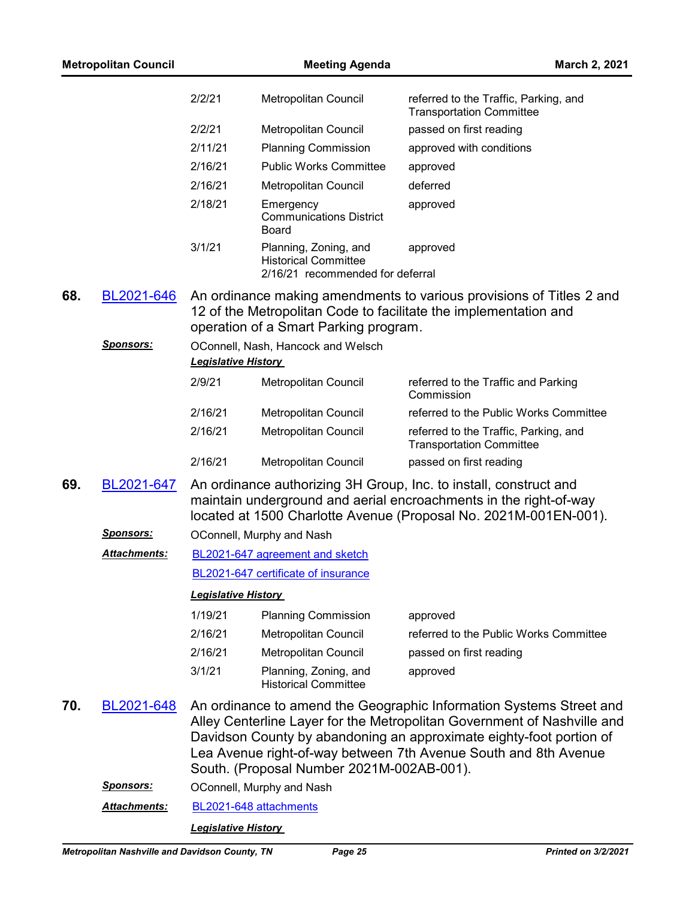|     | <b>Metropolitan Council</b> |                            | <b>Meeting Agenda</b>                                                                    | <b>March 2, 2021</b>                                                                                                                                                                                                                                                                     |
|-----|-----------------------------|----------------------------|------------------------------------------------------------------------------------------|------------------------------------------------------------------------------------------------------------------------------------------------------------------------------------------------------------------------------------------------------------------------------------------|
|     |                             | 2/2/21                     | Metropolitan Council                                                                     | referred to the Traffic, Parking, and<br><b>Transportation Committee</b>                                                                                                                                                                                                                 |
|     |                             | 2/2/21                     | Metropolitan Council                                                                     | passed on first reading                                                                                                                                                                                                                                                                  |
|     |                             | 2/11/21                    | <b>Planning Commission</b>                                                               | approved with conditions                                                                                                                                                                                                                                                                 |
|     |                             | 2/16/21                    | <b>Public Works Committee</b>                                                            | approved                                                                                                                                                                                                                                                                                 |
|     |                             | 2/16/21                    | Metropolitan Council                                                                     | deferred                                                                                                                                                                                                                                                                                 |
|     |                             | 2/18/21                    | Emergency<br><b>Communications District</b><br>Board                                     | approved                                                                                                                                                                                                                                                                                 |
|     |                             | 3/1/21                     | Planning, Zoning, and<br><b>Historical Committee</b><br>2/16/21 recommended for deferral | approved                                                                                                                                                                                                                                                                                 |
| 68. | BL2021-646                  |                            | operation of a Smart Parking program.                                                    | An ordinance making amendments to various provisions of Titles 2 and<br>12 of the Metropolitan Code to facilitate the implementation and                                                                                                                                                 |
|     | <u>Sponsors:</u>            | <b>Legislative History</b> | OConnell, Nash, Hancock and Welsch                                                       |                                                                                                                                                                                                                                                                                          |
|     |                             | 2/9/21                     | Metropolitan Council                                                                     | referred to the Traffic and Parking<br>Commission                                                                                                                                                                                                                                        |
|     |                             | 2/16/21                    | Metropolitan Council                                                                     | referred to the Public Works Committee                                                                                                                                                                                                                                                   |
|     |                             | 2/16/21                    | Metropolitan Council                                                                     | referred to the Traffic, Parking, and<br><b>Transportation Committee</b>                                                                                                                                                                                                                 |
|     |                             | 2/16/21                    | Metropolitan Council                                                                     | passed on first reading                                                                                                                                                                                                                                                                  |
| 69. | BL2021-647                  |                            |                                                                                          | An ordinance authorizing 3H Group, Inc. to install, construct and<br>maintain underground and aerial encroachments in the right-of-way<br>located at 1500 Charlotte Avenue (Proposal No. 2021M-001EN-001).                                                                               |
|     | <u>Sponsors:</u>            |                            | OConnell, Murphy and Nash                                                                |                                                                                                                                                                                                                                                                                          |
|     | <b>Attachments:</b>         |                            | BL2021-647 agreement and sketch                                                          |                                                                                                                                                                                                                                                                                          |
|     |                             |                            | BL2021-647 certificate of insurance                                                      |                                                                                                                                                                                                                                                                                          |
|     |                             | <b>Legislative History</b> |                                                                                          |                                                                                                                                                                                                                                                                                          |
|     |                             | 1/19/21                    | <b>Planning Commission</b>                                                               | approved                                                                                                                                                                                                                                                                                 |
|     |                             | 2/16/21                    | Metropolitan Council                                                                     | referred to the Public Works Committee                                                                                                                                                                                                                                                   |
|     |                             | 2/16/21                    | Metropolitan Council                                                                     | passed on first reading                                                                                                                                                                                                                                                                  |
|     |                             | 3/1/21                     | Planning, Zoning, and<br><b>Historical Committee</b>                                     | approved                                                                                                                                                                                                                                                                                 |
| 70. | BL2021-648                  |                            | South. (Proposal Number 2021M-002AB-001).                                                | An ordinance to amend the Geographic Information Systems Street and<br>Alley Centerline Layer for the Metropolitan Government of Nashville and<br>Davidson County by abandoning an approximate eighty-foot portion of<br>Lea Avenue right-of-way between 7th Avenue South and 8th Avenue |
|     | <u>Sponsors:</u>            |                            | OConnell, Murphy and Nash                                                                |                                                                                                                                                                                                                                                                                          |
|     | <b>Attachments:</b>         |                            | BL2021-648 attachments                                                                   |                                                                                                                                                                                                                                                                                          |
|     |                             | <b>Legislative History</b> |                                                                                          |                                                                                                                                                                                                                                                                                          |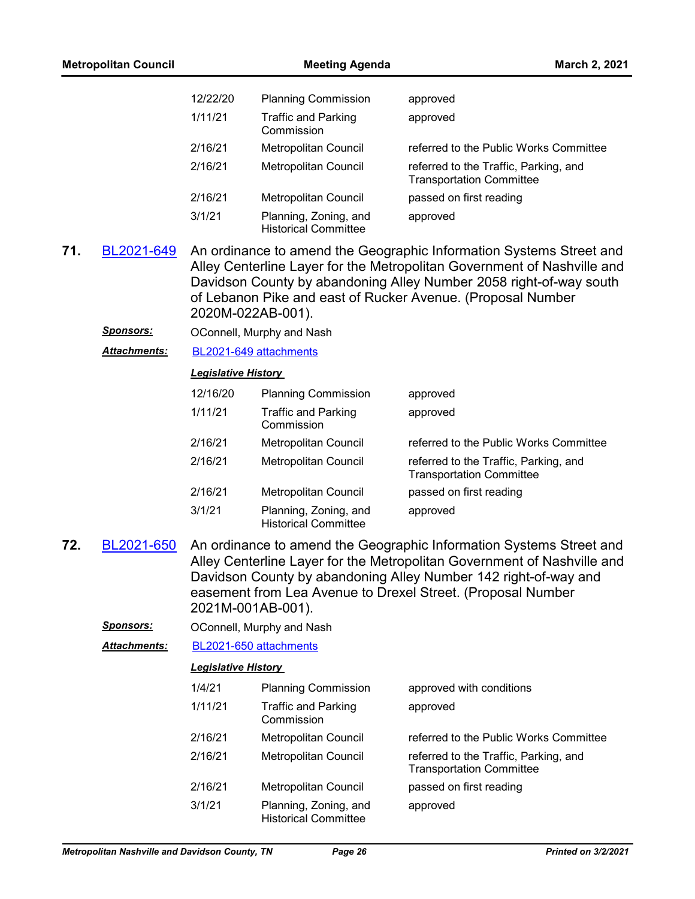|     | <b>Metropolitan Council</b> |                            | <b>Meeting Agenda</b>                                | March 2, 2021                                                                                                                                                                                                                                                                       |  |  |
|-----|-----------------------------|----------------------------|------------------------------------------------------|-------------------------------------------------------------------------------------------------------------------------------------------------------------------------------------------------------------------------------------------------------------------------------------|--|--|
|     |                             | 12/22/20                   | <b>Planning Commission</b>                           | approved                                                                                                                                                                                                                                                                            |  |  |
|     |                             | 1/11/21                    | <b>Traffic and Parking</b><br>Commission             | approved                                                                                                                                                                                                                                                                            |  |  |
|     |                             | 2/16/21                    | Metropolitan Council                                 | referred to the Public Works Committee                                                                                                                                                                                                                                              |  |  |
|     |                             | 2/16/21                    | <b>Metropolitan Council</b>                          | referred to the Traffic, Parking, and<br><b>Transportation Committee</b>                                                                                                                                                                                                            |  |  |
|     |                             | 2/16/21                    | Metropolitan Council                                 | passed on first reading                                                                                                                                                                                                                                                             |  |  |
|     |                             | 3/1/21                     | Planning, Zoning, and<br><b>Historical Committee</b> | approved                                                                                                                                                                                                                                                                            |  |  |
| 71. | BL2021-649                  |                            | 2020M-022AB-001).                                    | An ordinance to amend the Geographic Information Systems Street and<br>Alley Centerline Layer for the Metropolitan Government of Nashville and<br>Davidson County by abandoning Alley Number 2058 right-of-way south<br>of Lebanon Pike and east of Rucker Avenue. (Proposal Number |  |  |
|     | <u>Sponsors:</u>            |                            | OConnell, Murphy and Nash                            |                                                                                                                                                                                                                                                                                     |  |  |
|     | Attachments:                | BL2021-649 attachments     |                                                      |                                                                                                                                                                                                                                                                                     |  |  |
|     |                             | <b>Legislative History</b> |                                                      |                                                                                                                                                                                                                                                                                     |  |  |
|     |                             | 12/16/20                   | <b>Planning Commission</b>                           | approved                                                                                                                                                                                                                                                                            |  |  |
|     |                             | 1/11/21                    | <b>Traffic and Parking</b><br>Commission             | approved                                                                                                                                                                                                                                                                            |  |  |
|     |                             | 2/16/21                    | Metropolitan Council                                 | referred to the Public Works Committee                                                                                                                                                                                                                                              |  |  |
|     |                             | 2/16/21                    | Metropolitan Council                                 | referred to the Traffic, Parking, and<br><b>Transportation Committee</b>                                                                                                                                                                                                            |  |  |
|     |                             | 2/16/21                    | Metropolitan Council                                 | passed on first reading                                                                                                                                                                                                                                                             |  |  |
|     |                             | 3/1/21                     | Planning, Zoning, and<br><b>Historical Committee</b> | approved                                                                                                                                                                                                                                                                            |  |  |
| 72. | BL2021-650                  |                            | 2021M-001AB-001).                                    | An ordinance to amend the Geographic Information Systems Street and<br>Alley Centerline Layer for the Metropolitan Government of Nashville and<br>Davidson County by abandoning Alley Number 142 right-of-way and<br>easement from Lea Avenue to Drexel Street. (Proposal Number    |  |  |
|     | <b>Sponsors:</b>            | OConnell, Murphy and Nash  |                                                      |                                                                                                                                                                                                                                                                                     |  |  |
|     | <b>Attachments:</b>         |                            | BL2021-650 attachments                               |                                                                                                                                                                                                                                                                                     |  |  |
|     |                             | <b>Legislative History</b> |                                                      |                                                                                                                                                                                                                                                                                     |  |  |
|     |                             | 1/4/21                     | <b>Planning Commission</b>                           | approved with conditions                                                                                                                                                                                                                                                            |  |  |
|     |                             | 1/11/21                    | <b>Traffic and Parking</b><br>Commission             | approved                                                                                                                                                                                                                                                                            |  |  |
|     |                             | 2/16/21                    | Metropolitan Council                                 | referred to the Public Works Committee                                                                                                                                                                                                                                              |  |  |
|     |                             | 2/16/21                    | Metropolitan Council                                 | referred to the Traffic, Parking, and<br><b>Transportation Committee</b>                                                                                                                                                                                                            |  |  |
|     |                             | 2/16/21                    | Metropolitan Council                                 | passed on first reading                                                                                                                                                                                                                                                             |  |  |
|     |                             | 3/1/21                     | Planning, Zoning, and<br><b>Historical Committee</b> | approved                                                                                                                                                                                                                                                                            |  |  |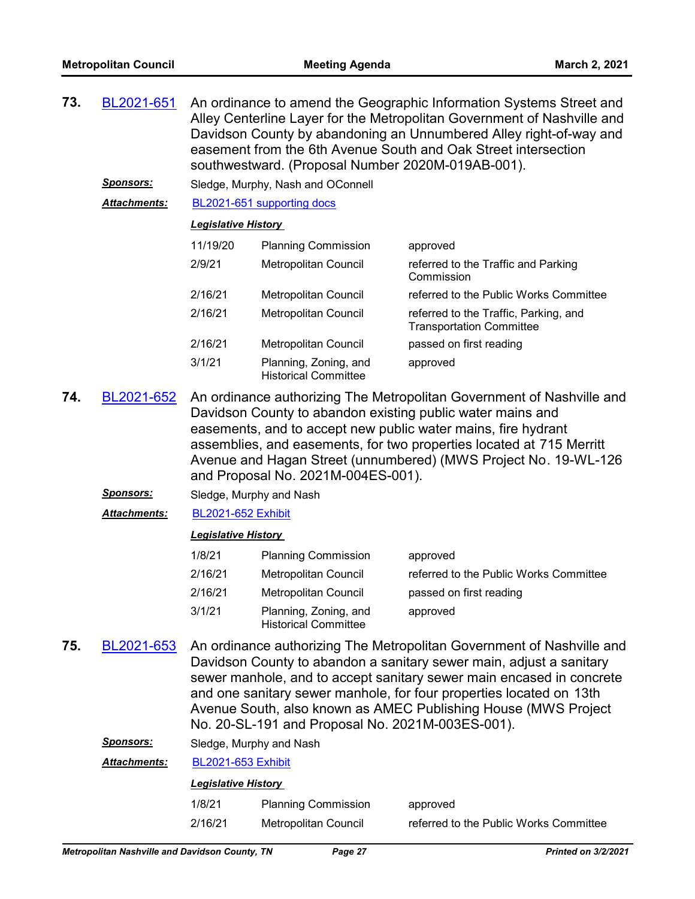| 73. | BL2021-651          |                            | southwestward. (Proposal Number 2020M-019AB-001).    | An ordinance to amend the Geographic Information Systems Street and<br>Alley Centerline Layer for the Metropolitan Government of Nashville and<br>Davidson County by abandoning an Unnumbered Alley right-of-way and<br>easement from the 6th Avenue South and Oak Street intersection |  |
|-----|---------------------|----------------------------|------------------------------------------------------|----------------------------------------------------------------------------------------------------------------------------------------------------------------------------------------------------------------------------------------------------------------------------------------|--|
|     | <u>Sponsors:</u>    |                            | Sledge, Murphy, Nash and OConnell                    |                                                                                                                                                                                                                                                                                        |  |
|     | <b>Attachments:</b> |                            | BL2021-651 supporting docs                           |                                                                                                                                                                                                                                                                                        |  |
|     |                     | <b>Legislative History</b> |                                                      |                                                                                                                                                                                                                                                                                        |  |
|     |                     | 11/19/20                   | <b>Planning Commission</b>                           | approved                                                                                                                                                                                                                                                                               |  |
|     |                     | 2/9/21                     | Metropolitan Council                                 | referred to the Traffic and Parking<br>Commission                                                                                                                                                                                                                                      |  |
|     |                     | 2/16/21                    | Metropolitan Council                                 | referred to the Public Works Committee                                                                                                                                                                                                                                                 |  |
|     |                     | 2/16/21                    | Metropolitan Council                                 | referred to the Traffic, Parking, and<br><b>Transportation Committee</b>                                                                                                                                                                                                               |  |
|     |                     | 2/16/21                    | Metropolitan Council                                 | passed on first reading                                                                                                                                                                                                                                                                |  |
|     |                     | 3/1/21                     | Planning, Zoning, and<br><b>Historical Committee</b> | approved                                                                                                                                                                                                                                                                               |  |

- An ordinance authorizing The Metropolitan Government of Nashville and Davidson County to abandon existing public water mains and easements, and to accept new public water mains, fire hydrant assemblies, and easements, for two properties located at 715 Merritt Avenue and Hagan Street (unnumbered) (MWS Project No. 19-WL-126 and Proposal No. 2021M-004ES-001). **74.** [BL2021-652](http://nashville.legistar.com/gateway.aspx?m=l&id=/matter.aspx?key=1895)
	- *Sponsors:* Sledge, Murphy and Nash
	- *Attachments:* [BL2021-652 Exhibit](http://nashville.legistar.com/gateway.aspx?M=F&ID=271908fd-fcde-4c23-b38c-6507716fb5b0.PDF)

#### *Legislative History*

| 1/8/21  | <b>Planning Commission</b>                           | approved                               |
|---------|------------------------------------------------------|----------------------------------------|
| 2/16/21 | Metropolitan Council                                 | referred to the Public Works Committee |
| 2/16/21 | Metropolitan Council                                 | passed on first reading                |
| 3/1/21  | Planning, Zoning, and<br><b>Historical Committee</b> | approved                               |

An ordinance authorizing The Metropolitan Government of Nashville and Davidson County to abandon a sanitary sewer main, adjust a sanitary sewer manhole, and to accept sanitary sewer main encased in concrete and one sanitary sewer manhole, for four properties located on 13th Avenue South, also known as AMEC Publishing House (MWS Project No. 20-SL-191 and Proposal No. 2021M-003ES-001). **75.** [BL2021-653](http://nashville.legistar.com/gateway.aspx?m=l&id=/matter.aspx?key=1896)

| <b>Sponsors:</b> |  | Sledge, Murphy and Nash |
|------------------|--|-------------------------|
|------------------|--|-------------------------|

*Attachments:* [BL2021-653 Exhibit](http://nashville.legistar.com/gateway.aspx?M=F&ID=abdc497e-88a8-43c6-bcc6-156e99e67281.PDF)

| 1/8/21  | <b>Planning Commission</b> | approved                               |
|---------|----------------------------|----------------------------------------|
| 2/16/21 | Metropolitan Council       | referred to the Public Works Committee |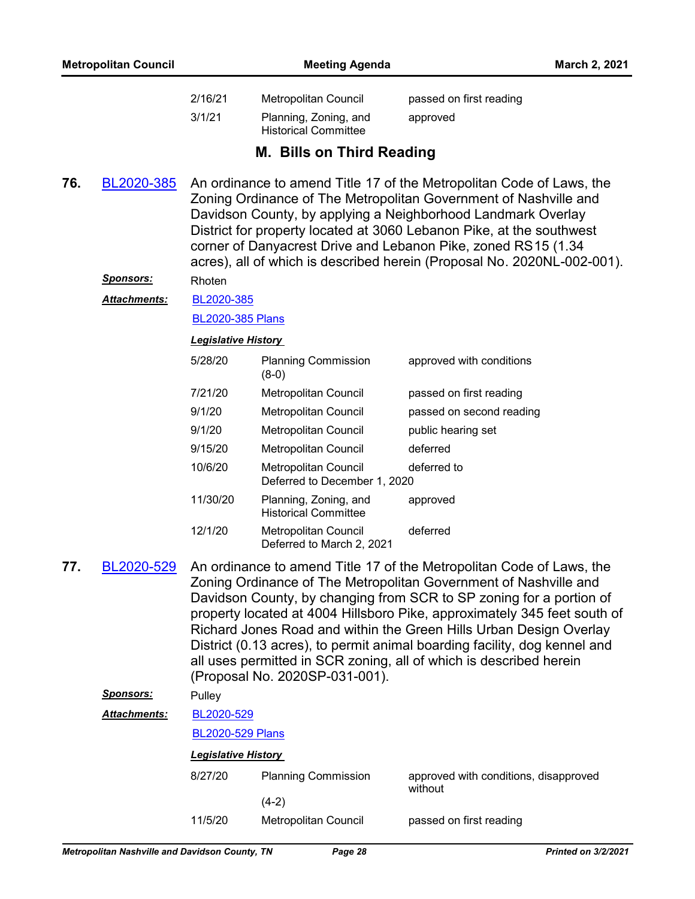| 2/16/21 | Metropolitan Council                                 | passed on first reading |
|---------|------------------------------------------------------|-------------------------|
| 3/1/21  | Planning, Zoning, and<br><b>Historical Committee</b> | approved                |

## **M. Bills on Third Reading**

An ordinance to amend Title 17 of the Metropolitan Code of Laws, the Zoning Ordinance of The Metropolitan Government of Nashville and Davidson County, by applying a Neighborhood Landmark Overlay District for property located at 3060 Lebanon Pike, at the southwest corner of Danyacrest Drive and Lebanon Pike, zoned RS15 (1.34 acres), all of which is described herein (Proposal No. 2020NL-002-001). **76.** [BL2020-385](http://nashville.legistar.com/gateway.aspx?m=l&id=/matter.aspx?key=1256)

## *Sponsors:* Rhoten

[BL2020-385](http://nashville.legistar.com/gateway.aspx?M=F&ID=8eea4fad-d41a-420d-9af1-dd8f0e522d25.pdf) *Attachments:*

[BL2020-385 Plans](http://nashville.legistar.com/gateway.aspx?M=F&ID=fb6c9417-f0eb-4fa2-8462-3f83a7f4ca21.pdf)

#### *Legislative History*

| 5/28/20  | <b>Planning Commission</b><br>$(8-0)$                    | approved with conditions |
|----------|----------------------------------------------------------|--------------------------|
| 7/21/20  | <b>Metropolitan Council</b>                              | passed on first reading  |
| 9/1/20   | <b>Metropolitan Council</b>                              | passed on second reading |
| 9/1/20   | Metropolitan Council                                     | public hearing set       |
| 9/15/20  | <b>Metropolitan Council</b>                              | deferred                 |
| 10/6/20  | Metropolitan Council<br>Deferred to December 1, 2020     | deferred to              |
| 11/30/20 | Planning, Zoning, and<br><b>Historical Committee</b>     | approved                 |
| 12/1/20  | <b>Metropolitan Council</b><br>Deferred to March 2, 2021 | deferred                 |

An ordinance to amend Title 17 of the Metropolitan Code of Laws, the Zoning Ordinance of The Metropolitan Government of Nashville and Davidson County, by changing from SCR to SP zoning for a portion of property located at 4004 Hillsboro Pike, approximately 345 feet south of Richard Jones Road and within the Green Hills Urban Design Overlay District (0.13 acres), to permit animal boarding facility, dog kennel and all uses permitted in SCR zoning, all of which is described herein (Proposal No. 2020SP-031-001). **77.** [BL2020-529](http://nashville.legistar.com/gateway.aspx?m=l&id=/matter.aspx?key=1357)

*Sponsors:* Pulley

[BL2020-529](http://nashville.legistar.com/gateway.aspx?M=F&ID=da4332ae-bdcf-4f2f-91c3-56cbadee839d.pdf) *Attachments:*

### [BL2020-529 Plans](http://nashville.legistar.com/gateway.aspx?M=F&ID=4b8c0f21-6bbb-4b4a-8b09-0f0b1ea13f48.pdf)

| 8/27/20 | <b>Planning Commission</b> | approved with conditions, disapproved<br>without |
|---------|----------------------------|--------------------------------------------------|
|         | (4-2)                      |                                                  |
| 11/5/20 | Metropolitan Council       | passed on first reading                          |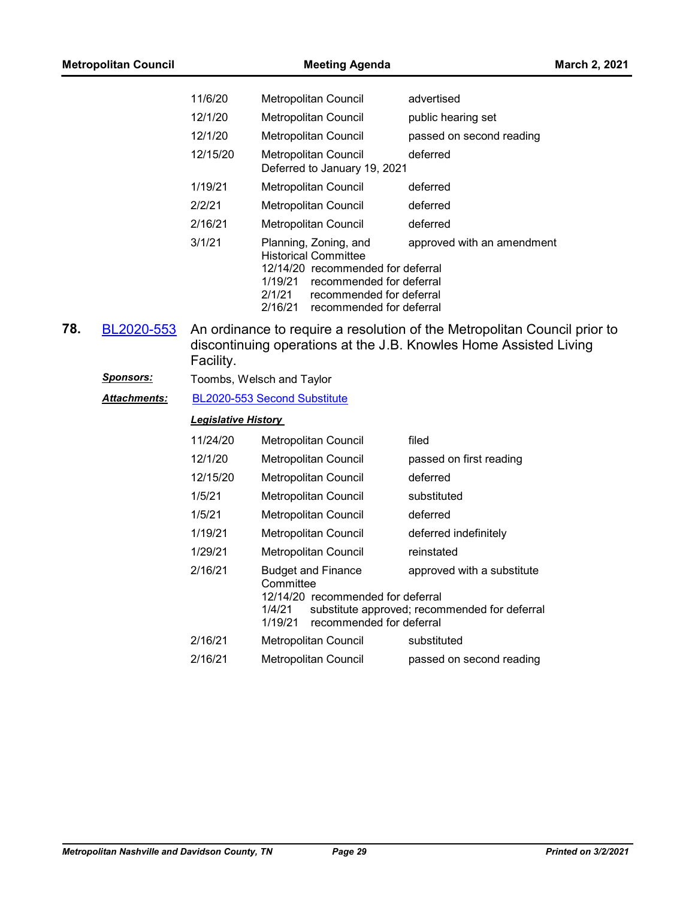| <b>Metropolitan Council</b> |                  | <b>Meeting Agenda</b>      |                                                                                                                                                                                                               | March 2, 2021                                                                                                                                  |
|-----------------------------|------------------|----------------------------|---------------------------------------------------------------------------------------------------------------------------------------------------------------------------------------------------------------|------------------------------------------------------------------------------------------------------------------------------------------------|
|                             |                  | 11/6/20                    | Metropolitan Council                                                                                                                                                                                          | advertised                                                                                                                                     |
|                             |                  | 12/1/20                    | Metropolitan Council                                                                                                                                                                                          | public hearing set                                                                                                                             |
|                             |                  | 12/1/20                    | Metropolitan Council                                                                                                                                                                                          | passed on second reading                                                                                                                       |
|                             |                  | 12/15/20                   | Metropolitan Council<br>Deferred to January 19, 2021                                                                                                                                                          | deferred                                                                                                                                       |
|                             |                  | 1/19/21                    | Metropolitan Council                                                                                                                                                                                          | deferred                                                                                                                                       |
|                             |                  | 2/2/21                     | Metropolitan Council                                                                                                                                                                                          | deferred                                                                                                                                       |
|                             |                  | 2/16/21                    | Metropolitan Council                                                                                                                                                                                          | deferred                                                                                                                                       |
|                             |                  | 3/1/21                     | Planning, Zoning, and<br><b>Historical Committee</b><br>12/14/20 recommended for deferral<br>1/19/21<br>recommended for deferral<br>2/1/21<br>recommended for deferral<br>2/16/21<br>recommended for deferral | approved with an amendment                                                                                                                     |
| 78.                         | BL2020-553       | Facility.                  |                                                                                                                                                                                                               | An ordinance to require a resolution of the Metropolitan Council prior to<br>discontinuing operations at the J.B. Knowles Home Assisted Living |
|                             | <b>Sponsors:</b> |                            | Toombs, Welsch and Taylor                                                                                                                                                                                     |                                                                                                                                                |
|                             | Attachments:     |                            | BL2020-553 Second Substitute                                                                                                                                                                                  |                                                                                                                                                |
|                             |                  | <b>Legislative History</b> |                                                                                                                                                                                                               |                                                                                                                                                |
|                             |                  | 11/24/20                   | Metropolitan Council                                                                                                                                                                                          | filed                                                                                                                                          |
|                             |                  | 12/1/20                    | Metropolitan Council                                                                                                                                                                                          | passed on first reading                                                                                                                        |
|                             |                  | 12/15/20                   | Metropolitan Council                                                                                                                                                                                          | deferred                                                                                                                                       |
|                             |                  | 1/5/21                     | Metropolitan Council                                                                                                                                                                                          | substituted                                                                                                                                    |
|                             |                  | 1/5/21                     | Metropolitan Council                                                                                                                                                                                          | deferred                                                                                                                                       |
|                             |                  | 1/19/21                    | Metropolitan Council                                                                                                                                                                                          | deferred indefinitely                                                                                                                          |
|                             |                  | 1/29/21                    | Metropolitan Council                                                                                                                                                                                          | reinstated                                                                                                                                     |
|                             |                  | 2/16/21                    | <b>Budget and Finance</b><br>Committee<br>12/14/20 recommended for deferral<br>1/4/21<br>1/19/21<br>recommended for deferral                                                                                  | approved with a substitute<br>substitute approved; recommended for deferral                                                                    |
|                             |                  | 2/16/21                    | Metropolitan Council                                                                                                                                                                                          | substituted                                                                                                                                    |
|                             |                  | 2/16/21                    | Metropolitan Council                                                                                                                                                                                          | passed on second reading                                                                                                                       |
|                             |                  |                            |                                                                                                                                                                                                               |                                                                                                                                                |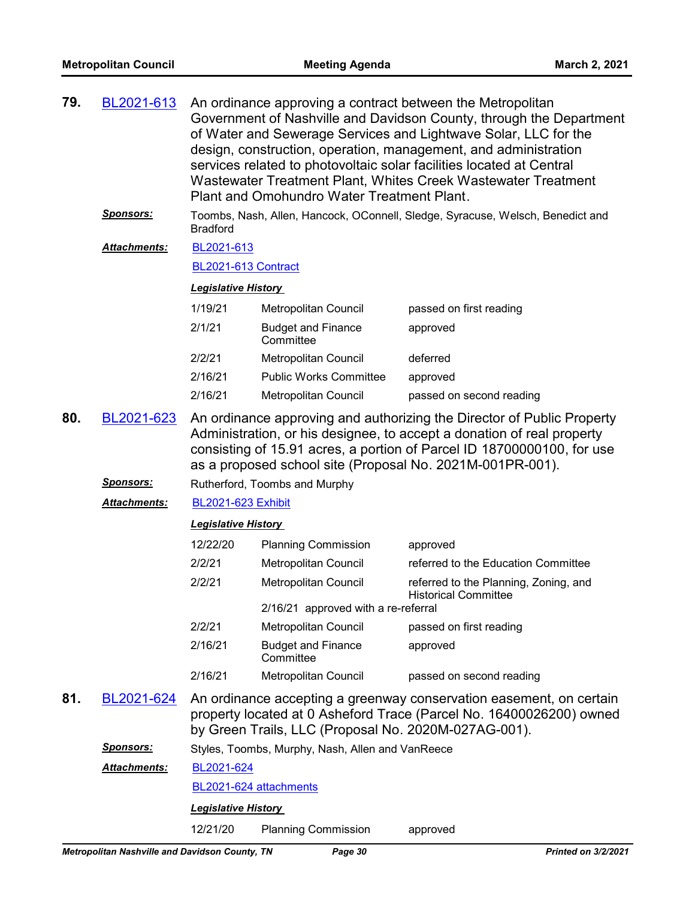| 79. | BL2021-613                     |                                                  | Plant and Omohundro Water Treatment Plant.           | An ordinance approving a contract between the Metropolitan<br>Government of Nashville and Davidson County, through the Department<br>of Water and Sewerage Services and Lightwave Solar, LLC for the<br>design, construction, operation, management, and administration<br>services related to photovoltaic solar facilities located at Central<br>Wastewater Treatment Plant, Whites Creek Wastewater Treatment |
|-----|--------------------------------|--------------------------------------------------|------------------------------------------------------|------------------------------------------------------------------------------------------------------------------------------------------------------------------------------------------------------------------------------------------------------------------------------------------------------------------------------------------------------------------------------------------------------------------|
|     | <u>Sponsors:</u>               | <b>Bradford</b>                                  |                                                      | Toombs, Nash, Allen, Hancock, OConnell, Sledge, Syracuse, Welsch, Benedict and                                                                                                                                                                                                                                                                                                                                   |
|     | <b>Attachments:</b>            | BL2021-613                                       |                                                      |                                                                                                                                                                                                                                                                                                                                                                                                                  |
|     |                                | BL2021-613 Contract                              |                                                      |                                                                                                                                                                                                                                                                                                                                                                                                                  |
|     |                                | <b>Legislative History</b>                       |                                                      |                                                                                                                                                                                                                                                                                                                                                                                                                  |
|     |                                | 1/19/21                                          | Metropolitan Council                                 | passed on first reading                                                                                                                                                                                                                                                                                                                                                                                          |
|     |                                | 2/1/21                                           | <b>Budget and Finance</b><br>Committee               | approved                                                                                                                                                                                                                                                                                                                                                                                                         |
|     |                                | 2/2/21                                           | <b>Metropolitan Council</b>                          | deferred                                                                                                                                                                                                                                                                                                                                                                                                         |
|     |                                | 2/16/21                                          | <b>Public Works Committee</b>                        | approved                                                                                                                                                                                                                                                                                                                                                                                                         |
|     |                                | 2/16/21                                          | Metropolitan Council                                 | passed on second reading                                                                                                                                                                                                                                                                                                                                                                                         |
| 80. | BL2021-623<br><u>Sponsors:</u> |                                                  | Rutherford, Toombs and Murphy                        | An ordinance approving and authorizing the Director of Public Property<br>Administration, or his designee, to accept a donation of real property<br>consisting of 15.91 acres, a portion of Parcel ID 18700000100, for use<br>as a proposed school site (Proposal No. 2021M-001PR-001).                                                                                                                          |
|     | Attachments:                   | <b>BL2021-623 Exhibit</b>                        |                                                      |                                                                                                                                                                                                                                                                                                                                                                                                                  |
|     |                                | <b>Legislative History</b>                       |                                                      |                                                                                                                                                                                                                                                                                                                                                                                                                  |
|     |                                | 12/22/20                                         | <b>Planning Commission</b>                           | approved                                                                                                                                                                                                                                                                                                                                                                                                         |
|     |                                | 2/2/21                                           | Metropolitan Council                                 | referred to the Education Committee                                                                                                                                                                                                                                                                                                                                                                              |
|     |                                | 2/2/21                                           | Metropolitan Council                                 | referred to the Planning, Zoning, and<br><b>Historical Committee</b>                                                                                                                                                                                                                                                                                                                                             |
|     |                                |                                                  | 2/16/21 approved with a re-referral                  |                                                                                                                                                                                                                                                                                                                                                                                                                  |
|     |                                | 2/2/21                                           | <b>Metropolitan Council</b>                          | passed on first reading                                                                                                                                                                                                                                                                                                                                                                                          |
|     |                                | 2/16/21                                          | <b>Budget and Finance</b><br>Committee               | approved                                                                                                                                                                                                                                                                                                                                                                                                         |
|     |                                | 2/16/21                                          | Metropolitan Council                                 | passed on second reading                                                                                                                                                                                                                                                                                                                                                                                         |
| 81. | BL2021-624                     |                                                  | by Green Trails, LLC (Proposal No. 2020M-027AG-001). | An ordinance accepting a greenway conservation easement, on certain<br>property located at 0 Asheford Trace (Parcel No. 16400026200) owned                                                                                                                                                                                                                                                                       |
|     | Sponsors:                      | Styles, Toombs, Murphy, Nash, Allen and VanReece |                                                      |                                                                                                                                                                                                                                                                                                                                                                                                                  |
|     | <u> Attachments:</u>           | BL2021-624                                       |                                                      |                                                                                                                                                                                                                                                                                                                                                                                                                  |
|     |                                |                                                  | BL2021-624 attachments                               |                                                                                                                                                                                                                                                                                                                                                                                                                  |
|     |                                | <b>Legislative History</b>                       |                                                      |                                                                                                                                                                                                                                                                                                                                                                                                                  |
|     |                                | 12/21/20                                         | <b>Planning Commission</b>                           | approved                                                                                                                                                                                                                                                                                                                                                                                                         |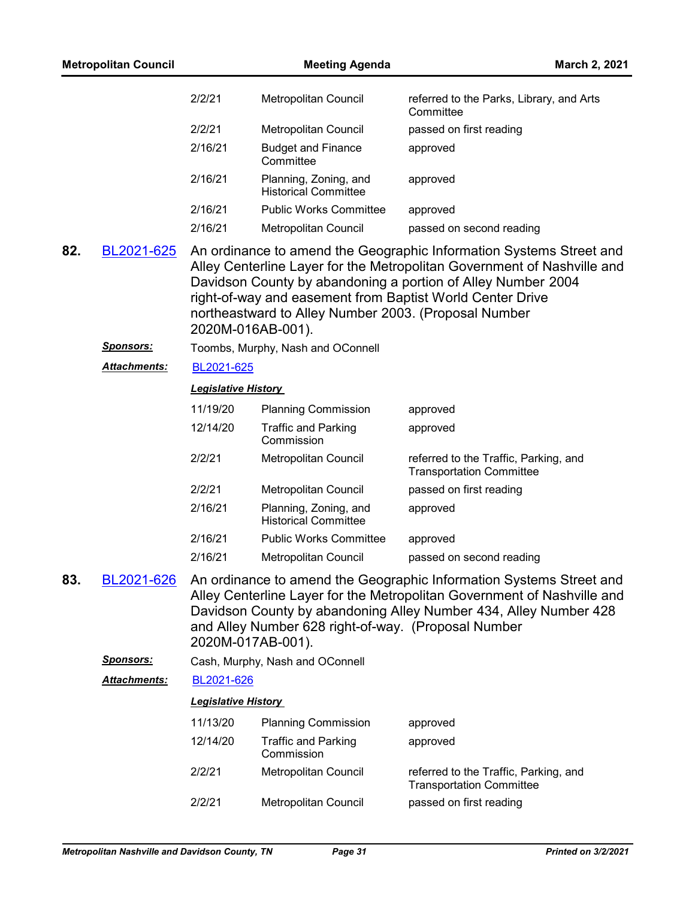|     | <b>Metropolitan Council</b> |                            | <b>Meeting Agenda</b>                                | March 2, 2021                                                                                                                                                                                                                                                               |
|-----|-----------------------------|----------------------------|------------------------------------------------------|-----------------------------------------------------------------------------------------------------------------------------------------------------------------------------------------------------------------------------------------------------------------------------|
|     |                             | 2/2/21                     | Metropolitan Council                                 | referred to the Parks, Library, and Arts<br>Committee                                                                                                                                                                                                                       |
|     |                             | 2/2/21                     | Metropolitan Council                                 | passed on first reading                                                                                                                                                                                                                                                     |
|     |                             | 2/16/21                    | <b>Budget and Finance</b><br>Committee               | approved                                                                                                                                                                                                                                                                    |
|     |                             | 2/16/21                    | Planning, Zoning, and<br><b>Historical Committee</b> | approved                                                                                                                                                                                                                                                                    |
|     |                             | 2/16/21                    | <b>Public Works Committee</b>                        | approved                                                                                                                                                                                                                                                                    |
|     |                             | 2/16/21                    | Metropolitan Council                                 | passed on second reading                                                                                                                                                                                                                                                    |
| 82. | BL2021-625                  | 2020M-016AB-001).          | northeastward to Alley Number 2003. (Proposal Number | An ordinance to amend the Geographic Information Systems Street and<br>Alley Centerline Layer for the Metropolitan Government of Nashville and<br>Davidson County by abandoning a portion of Alley Number 2004<br>right-of-way and easement from Baptist World Center Drive |
|     | <u>Sponsors:</u>            |                            | Toombs, Murphy, Nash and OConnell                    |                                                                                                                                                                                                                                                                             |
|     | <u> Attachments:</u>        | BL2021-625                 |                                                      |                                                                                                                                                                                                                                                                             |
|     |                             | <b>Legislative History</b> |                                                      |                                                                                                                                                                                                                                                                             |
|     |                             | 11/19/20                   | <b>Planning Commission</b>                           | approved                                                                                                                                                                                                                                                                    |
|     |                             | 12/14/20                   | <b>Traffic and Parking</b><br>Commission             | approved                                                                                                                                                                                                                                                                    |
|     |                             | 2/2/21                     | Metropolitan Council                                 | referred to the Traffic, Parking, and<br><b>Transportation Committee</b>                                                                                                                                                                                                    |
|     |                             | 2/2/21                     | Metropolitan Council                                 | passed on first reading                                                                                                                                                                                                                                                     |
|     |                             | 2/16/21                    | Planning, Zoning, and<br><b>Historical Committee</b> | approved                                                                                                                                                                                                                                                                    |
|     |                             | 2/16/21                    | <b>Public Works Committee</b>                        | approved                                                                                                                                                                                                                                                                    |
|     |                             | 2/16/21                    | Metropolitan Council                                 | passed on second reading                                                                                                                                                                                                                                                    |
| 83. | BL2021-626                  | 2020M-017AB-001).          | and Alley Number 628 right-of-way. (Proposal Number  | An ordinance to amend the Geographic Information Systems Street and<br>Alley Centerline Layer for the Metropolitan Government of Nashville and<br>Davidson County by abandoning Alley Number 434, Alley Number 428                                                          |
|     | <u>Sponsors:</u>            |                            | Cash, Murphy, Nash and OConnell                      |                                                                                                                                                                                                                                                                             |
|     | <b>Attachments:</b>         | BL2021-626                 |                                                      |                                                                                                                                                                                                                                                                             |
|     |                             | <b>Legislative History</b> |                                                      |                                                                                                                                                                                                                                                                             |
|     |                             | 11/13/20                   | <b>Planning Commission</b>                           | approved                                                                                                                                                                                                                                                                    |
|     |                             | 12/14/20                   | <b>Traffic and Parking</b><br>Commission             | approved                                                                                                                                                                                                                                                                    |
|     |                             | 2/2/21                     | Metropolitan Council                                 | referred to the Traffic, Parking, and<br><b>Transportation Committee</b>                                                                                                                                                                                                    |
|     |                             | 2/2/21                     | Metropolitan Council                                 | passed on first reading                                                                                                                                                                                                                                                     |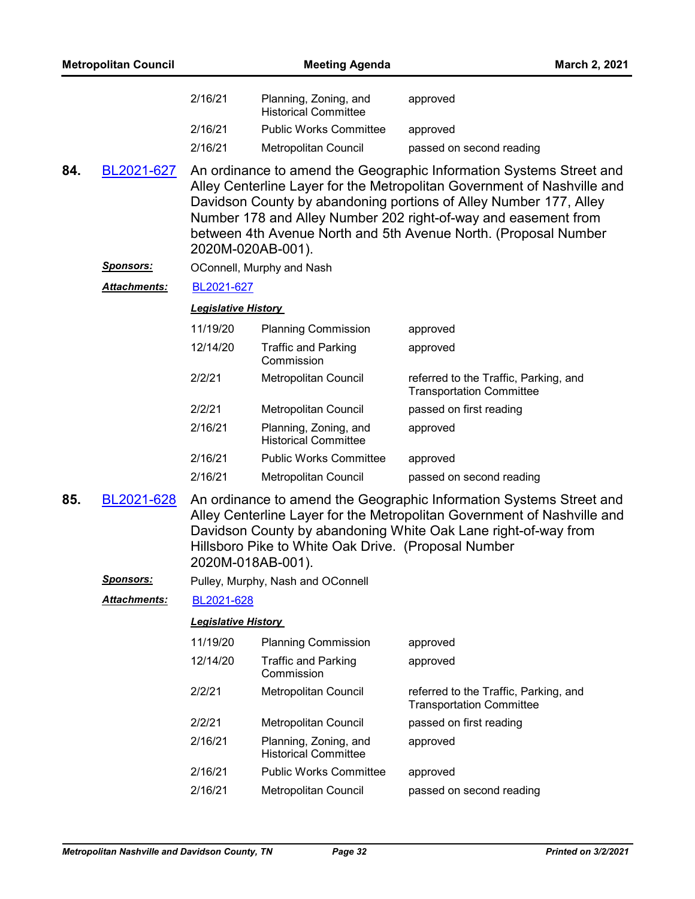|     | <b>Metropolitan Council</b> |                            | <b>Meeting Agenda</b>                                                    | March 2, 2021                                                                                                                                                                                                                                                                                                                                            |
|-----|-----------------------------|----------------------------|--------------------------------------------------------------------------|----------------------------------------------------------------------------------------------------------------------------------------------------------------------------------------------------------------------------------------------------------------------------------------------------------------------------------------------------------|
|     |                             | 2/16/21                    | Planning, Zoning, and<br><b>Historical Committee</b>                     | approved                                                                                                                                                                                                                                                                                                                                                 |
|     |                             | 2/16/21                    | <b>Public Works Committee</b>                                            | approved                                                                                                                                                                                                                                                                                                                                                 |
|     |                             | 2/16/21                    | Metropolitan Council                                                     | passed on second reading                                                                                                                                                                                                                                                                                                                                 |
| 84. | BL2021-627                  |                            | 2020M-020AB-001).                                                        | An ordinance to amend the Geographic Information Systems Street and<br>Alley Centerline Layer for the Metropolitan Government of Nashville and<br>Davidson County by abandoning portions of Alley Number 177, Alley<br>Number 178 and Alley Number 202 right-of-way and easement from<br>between 4th Avenue North and 5th Avenue North. (Proposal Number |
|     | <u>Sponsors:</u>            |                            | OConnell, Murphy and Nash                                                |                                                                                                                                                                                                                                                                                                                                                          |
|     | Attachments:                | BL2021-627                 |                                                                          |                                                                                                                                                                                                                                                                                                                                                          |
|     |                             | <b>Legislative History</b> |                                                                          |                                                                                                                                                                                                                                                                                                                                                          |
|     |                             | 11/19/20                   | <b>Planning Commission</b>                                               | approved                                                                                                                                                                                                                                                                                                                                                 |
|     |                             | 12/14/20                   | <b>Traffic and Parking</b><br>Commission                                 | approved                                                                                                                                                                                                                                                                                                                                                 |
|     |                             | 2/2/21                     | Metropolitan Council                                                     | referred to the Traffic, Parking, and<br><b>Transportation Committee</b>                                                                                                                                                                                                                                                                                 |
|     |                             | 2/2/21                     | Metropolitan Council                                                     | passed on first reading                                                                                                                                                                                                                                                                                                                                  |
|     |                             | 2/16/21                    | Planning, Zoning, and<br><b>Historical Committee</b>                     | approved                                                                                                                                                                                                                                                                                                                                                 |
|     |                             | 2/16/21                    | <b>Public Works Committee</b>                                            | approved                                                                                                                                                                                                                                                                                                                                                 |
|     |                             | 2/16/21                    | Metropolitan Council                                                     | passed on second reading                                                                                                                                                                                                                                                                                                                                 |
| 85. | BL2021-628                  |                            | Hillsboro Pike to White Oak Drive. (Proposal Number<br>2020M-018AB-001). | An ordinance to amend the Geographic Information Systems Street and<br>Alley Centerline Layer for the Metropolitan Government of Nashville and<br>Davidson County by abandoning White Oak Lane right-of-way from                                                                                                                                         |
|     | <u>Sponsors:</u>            |                            | Pulley, Murphy, Nash and OConnell                                        |                                                                                                                                                                                                                                                                                                                                                          |
|     | <b>Attachments:</b>         | BL2021-628                 |                                                                          |                                                                                                                                                                                                                                                                                                                                                          |
|     |                             | <b>Legislative History</b> |                                                                          |                                                                                                                                                                                                                                                                                                                                                          |
|     |                             | 11/19/20                   | <b>Planning Commission</b>                                               | approved                                                                                                                                                                                                                                                                                                                                                 |
|     |                             | 12/14/20                   | <b>Traffic and Parking</b><br>Commission                                 | approved                                                                                                                                                                                                                                                                                                                                                 |
|     |                             | 2/2/21                     | Metropolitan Council                                                     | referred to the Traffic, Parking, and<br><b>Transportation Committee</b>                                                                                                                                                                                                                                                                                 |
|     |                             | 2/2/21                     | Metropolitan Council                                                     | passed on first reading                                                                                                                                                                                                                                                                                                                                  |
|     |                             | 2/16/21                    | Planning, Zoning, and<br><b>Historical Committee</b>                     | approved                                                                                                                                                                                                                                                                                                                                                 |
|     |                             | 2/16/21                    | <b>Public Works Committee</b>                                            | approved                                                                                                                                                                                                                                                                                                                                                 |
|     |                             | 2/16/21                    | Metropolitan Council                                                     | passed on second reading                                                                                                                                                                                                                                                                                                                                 |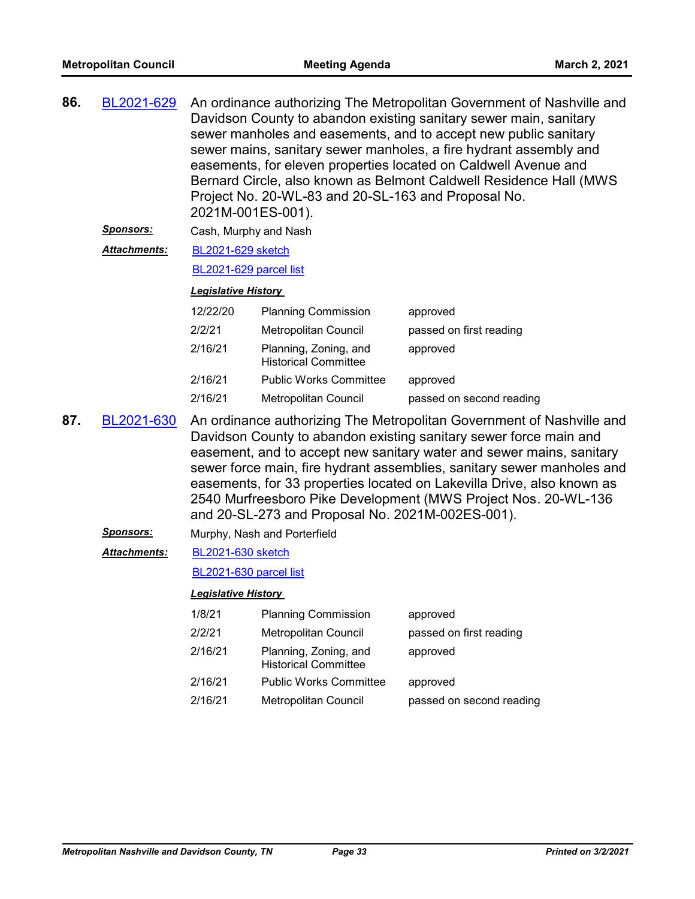| 86. | BL2021-629          | An ordinance authorizing The Metropolitan Government of Nashville and<br>Davidson County to abandon existing sanitary sewer main, sanitary<br>sewer manholes and easements, and to accept new public sanitary<br>sewer mains, sanitary sewer manholes, a fire hydrant assembly and<br>easements, for eleven properties located on Caldwell Avenue and<br>Bernard Circle, also known as Belmont Caldwell Residence Hall (MWS<br>Project No. 20-WL-83 and 20-SL-163 and Proposal No.<br>2021M-001ES-001). |                                                      |                                                                                                                                                                                                                                                                                                                                                                                                                                          |
|-----|---------------------|---------------------------------------------------------------------------------------------------------------------------------------------------------------------------------------------------------------------------------------------------------------------------------------------------------------------------------------------------------------------------------------------------------------------------------------------------------------------------------------------------------|------------------------------------------------------|------------------------------------------------------------------------------------------------------------------------------------------------------------------------------------------------------------------------------------------------------------------------------------------------------------------------------------------------------------------------------------------------------------------------------------------|
|     | Sponsors:           | Cash, Murphy and Nash                                                                                                                                                                                                                                                                                                                                                                                                                                                                                   |                                                      |                                                                                                                                                                                                                                                                                                                                                                                                                                          |
|     | Attachments:        | <b>BL2021-629 sketch</b>                                                                                                                                                                                                                                                                                                                                                                                                                                                                                |                                                      |                                                                                                                                                                                                                                                                                                                                                                                                                                          |
|     |                     | BL2021-629 parcel list                                                                                                                                                                                                                                                                                                                                                                                                                                                                                  |                                                      |                                                                                                                                                                                                                                                                                                                                                                                                                                          |
|     |                     | <b>Legislative History</b>                                                                                                                                                                                                                                                                                                                                                                                                                                                                              |                                                      |                                                                                                                                                                                                                                                                                                                                                                                                                                          |
|     |                     | 12/22/20                                                                                                                                                                                                                                                                                                                                                                                                                                                                                                | <b>Planning Commission</b>                           | approved                                                                                                                                                                                                                                                                                                                                                                                                                                 |
|     |                     | 2/2/21                                                                                                                                                                                                                                                                                                                                                                                                                                                                                                  | Metropolitan Council                                 | passed on first reading                                                                                                                                                                                                                                                                                                                                                                                                                  |
|     |                     | 2/16/21                                                                                                                                                                                                                                                                                                                                                                                                                                                                                                 | Planning, Zoning, and<br><b>Historical Committee</b> | approved                                                                                                                                                                                                                                                                                                                                                                                                                                 |
|     |                     | 2/16/21                                                                                                                                                                                                                                                                                                                                                                                                                                                                                                 | <b>Public Works Committee</b>                        | approved                                                                                                                                                                                                                                                                                                                                                                                                                                 |
|     |                     | 2/16/21                                                                                                                                                                                                                                                                                                                                                                                                                                                                                                 | Metropolitan Council                                 | passed on second reading                                                                                                                                                                                                                                                                                                                                                                                                                 |
| 87. | BL2021-630          |                                                                                                                                                                                                                                                                                                                                                                                                                                                                                                         | and 20-SL-273 and Proposal No. 2021M-002ES-001).     | An ordinance authorizing The Metropolitan Government of Nashville and<br>Davidson County to abandon existing sanitary sewer force main and<br>easement, and to accept new sanitary water and sewer mains, sanitary<br>sewer force main, fire hydrant assemblies, sanitary sewer manholes and<br>easements, for 33 properties located on Lakevilla Drive, also known as<br>2540 Murfreesboro Pike Development (MWS Project Nos. 20-WL-136 |
|     | <u>Sponsors:</u>    |                                                                                                                                                                                                                                                                                                                                                                                                                                                                                                         | Murphy, Nash and Porterfield                         |                                                                                                                                                                                                                                                                                                                                                                                                                                          |
|     | <b>Attachments:</b> | BL2021-630 sketch                                                                                                                                                                                                                                                                                                                                                                                                                                                                                       |                                                      |                                                                                                                                                                                                                                                                                                                                                                                                                                          |
|     |                     | BL2021-630 parcel list                                                                                                                                                                                                                                                                                                                                                                                                                                                                                  |                                                      |                                                                                                                                                                                                                                                                                                                                                                                                                                          |
|     |                     | <b>Legislative History</b>                                                                                                                                                                                                                                                                                                                                                                                                                                                                              |                                                      |                                                                                                                                                                                                                                                                                                                                                                                                                                          |
|     |                     | 1/8/21                                                                                                                                                                                                                                                                                                                                                                                                                                                                                                  | <b>Planning Commission</b>                           | approved                                                                                                                                                                                                                                                                                                                                                                                                                                 |
|     |                     | 2/2/21                                                                                                                                                                                                                                                                                                                                                                                                                                                                                                  | Metropolitan Council                                 | passed on first reading                                                                                                                                                                                                                                                                                                                                                                                                                  |
|     |                     | 2/16/21                                                                                                                                                                                                                                                                                                                                                                                                                                                                                                 | Planning, Zoning, and<br><b>Historical Committee</b> | approved                                                                                                                                                                                                                                                                                                                                                                                                                                 |
|     |                     | 2/16/21                                                                                                                                                                                                                                                                                                                                                                                                                                                                                                 | <b>Public Works Committee</b>                        | approved                                                                                                                                                                                                                                                                                                                                                                                                                                 |
|     |                     | 2/16/21                                                                                                                                                                                                                                                                                                                                                                                                                                                                                                 | Metropolitan Council                                 | passed on second reading                                                                                                                                                                                                                                                                                                                                                                                                                 |
|     |                     |                                                                                                                                                                                                                                                                                                                                                                                                                                                                                                         |                                                      |                                                                                                                                                                                                                                                                                                                                                                                                                                          |